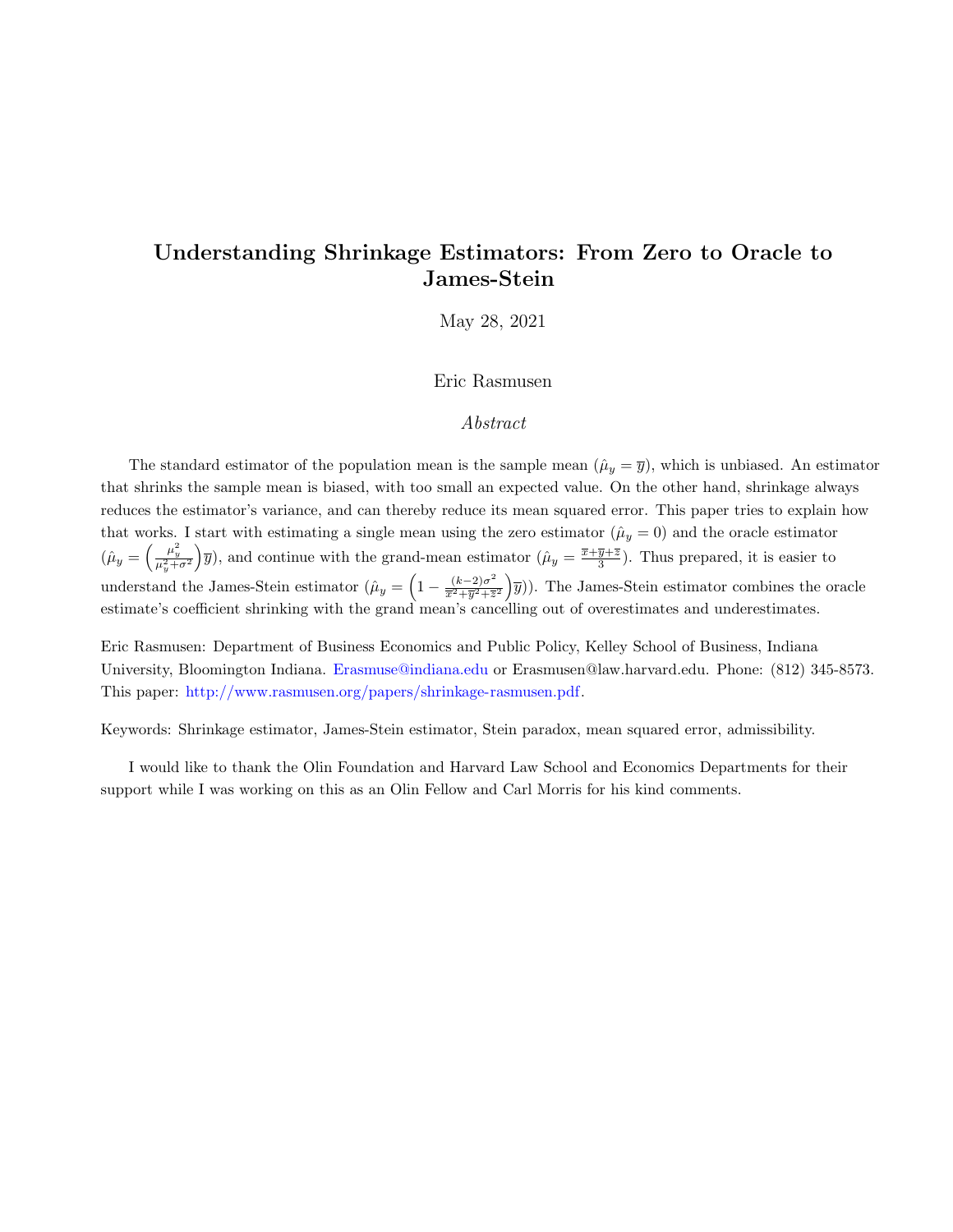# Understanding Shrinkage Estimators: From Zero to Oracle to James-Stein

May 28, 2021

## Eric Rasmusen

## Abstract

The standard estimator of the population mean is the sample mean  $(\hat{\mu}_y = \overline{y})$ , which is unbiased. An estimator that shrinks the sample mean is biased, with too small an expected value. On the other hand, shrinkage always reduces the estimator's variance, and can thereby reduce its mean squared error. This paper tries to explain how that works. I start with estimating a single mean using the zero estimator  $(\hat{\mu}_y = 0)$  and the oracle estimator  $(\hat{\mu}_y = \left(\frac{\mu_y^2}{\mu_y^2 + \sigma^2}\right)$  $y(\bar{y})$ , and continue with the grand-mean estimator  $(\hat{\mu}_y = \frac{\bar{x} + \bar{y} + \bar{z}}{3})$ . Thus prepared, it is easier to understand the James-Stein estimator  $(\hat{\mu}_y = \left(1 - \frac{(k-2)\sigma^2}{\overline{x}^2 + \overline{y}^2 + \overline{z}}\right))$  $\frac{(k-2)\sigma^2}{\overline{x}^2+\overline{y}^2+\overline{z}^2}$   $\left(\overline{y}\right)$ ). The James-Stein estimator combines the oracle estimate's coefficient shrinking with the grand mean's cancelling out of overestimates and underestimates.

Eric Rasmusen: Department of Business Economics and Public Policy, Kelley School of Business, Indiana University, Bloomington Indiana. [Erasmuse@indiana.edu](mailto:erasmuse@indiana.edu) or Erasmusen@law.harvard.edu. Phone: (812) 345-8573. This paper: [http://www.rasmusen.org/papers/shrinkage-rasmusen.pdf.](http://www.rasmusen.org/papers/shrinkage-rasmusen.pdf)

Keywords: Shrinkage estimator, James-Stein estimator, Stein paradox, mean squared error, admissibility.

I would like to thank the Olin Foundation and Harvard Law School and Economics Departments for their support while I was working on this as an Olin Fellow and Carl Morris for his kind comments.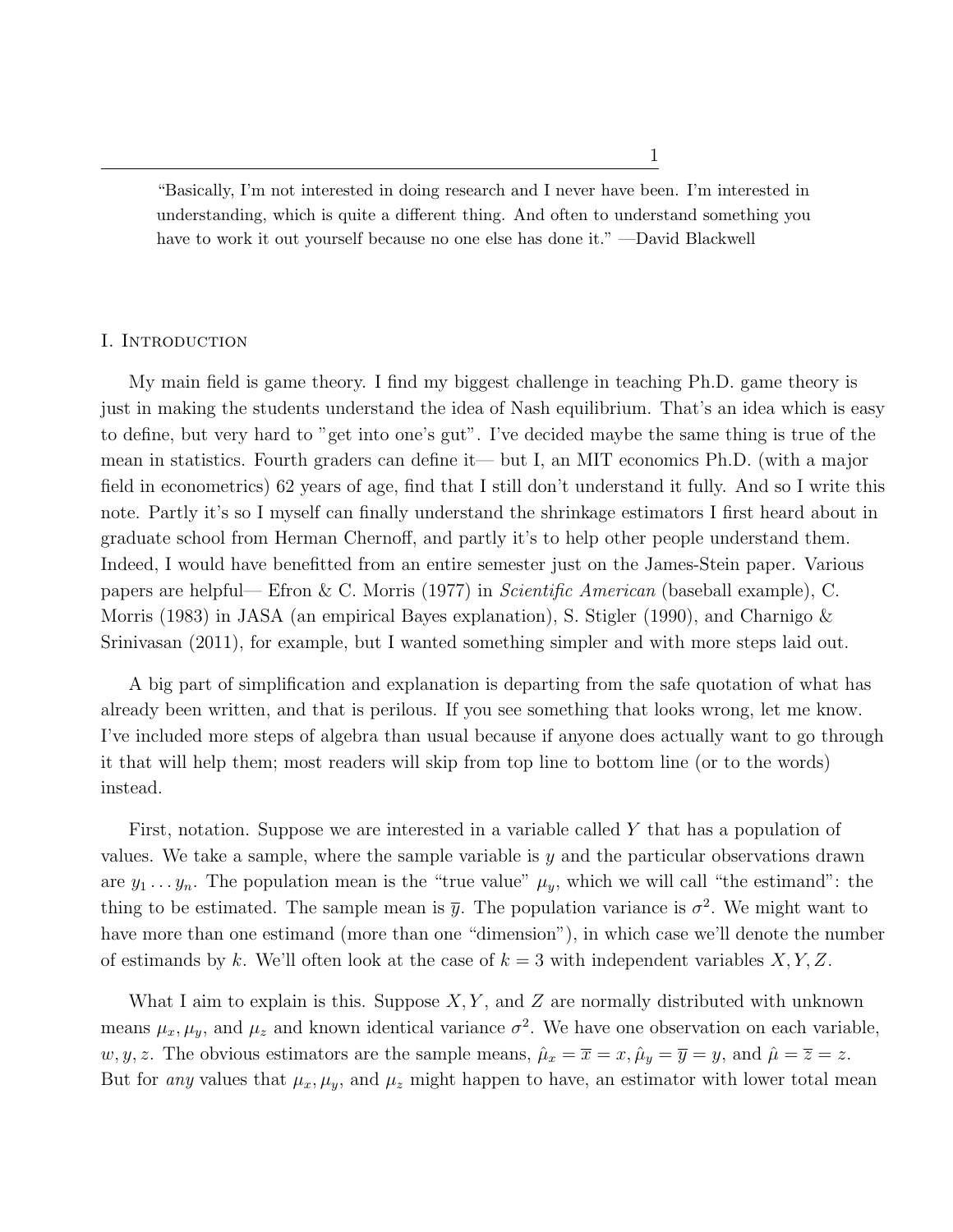1

"Basically, I'm not interested in doing research and I never have been. I'm interested in understanding, which is quite a different thing. And often to understand something you have to work it out yourself because no one else has done it." —David Blackwell

### I. Introduction

My main field is game theory. I find my biggest challenge in teaching Ph.D. game theory is just in making the students understand the idea of Nash equilibrium. That's an idea which is easy to define, but very hard to "get into one's gut". I've decided maybe the same thing is true of the mean in statistics. Fourth graders can define it— but I, an MIT economics Ph.D. (with a major field in econometrics) 62 years of age, find that I still don't understand it fully. And so I write this note. Partly it's so I myself can finally understand the shrinkage estimators I first heard about in graduate school from Herman Chernoff, and partly it's to help other people understand them. Indeed, I would have benefitted from an entire semester just on the James-Stein paper. Various papers are helpful— Efron & C. Morris (1977) in Scientific American (baseball example), C. Morris (1983) in JASA (an empirical Bayes explanation), S. Stigler (1990), and Charnigo & Srinivasan (2011), for example, but I wanted something simpler and with more steps laid out.

A big part of simplification and explanation is departing from the safe quotation of what has already been written, and that is perilous. If you see something that looks wrong, let me know. I've included more steps of algebra than usual because if anyone does actually want to go through it that will help them; most readers will skip from top line to bottom line (or to the words) instead.

First, notation. Suppose we are interested in a variable called Y that has a population of values. We take a sample, where the sample variable is  $y$  and the particular observations drawn are  $y_1 \ldots y_n$ . The population mean is the "true value"  $\mu_y$ , which we will call "the estimand": the thing to be estimated. The sample mean is  $\bar{y}$ . The population variance is  $\sigma^2$ . We might want to have more than one estimand (more than one "dimension"), in which case we'll denote the number of estimands by k. We'll often look at the case of  $k = 3$  with independent variables  $X, Y, Z$ .

What I aim to explain is this. Suppose  $X, Y$ , and Z are normally distributed with unknown means  $\mu_x, \mu_y$ , and  $\mu_z$  and known identical variance  $\sigma^2$ . We have one observation on each variable, w, y, z. The obvious estimators are the sample means,  $\hat{\mu}_x = \overline{x} = x$ ,  $\hat{\mu}_y = \overline{y} = y$ , and  $\hat{\mu} = \overline{z} = z$ . But for any values that  $\mu_x, \mu_y$ , and  $\mu_z$  might happen to have, an estimator with lower total mean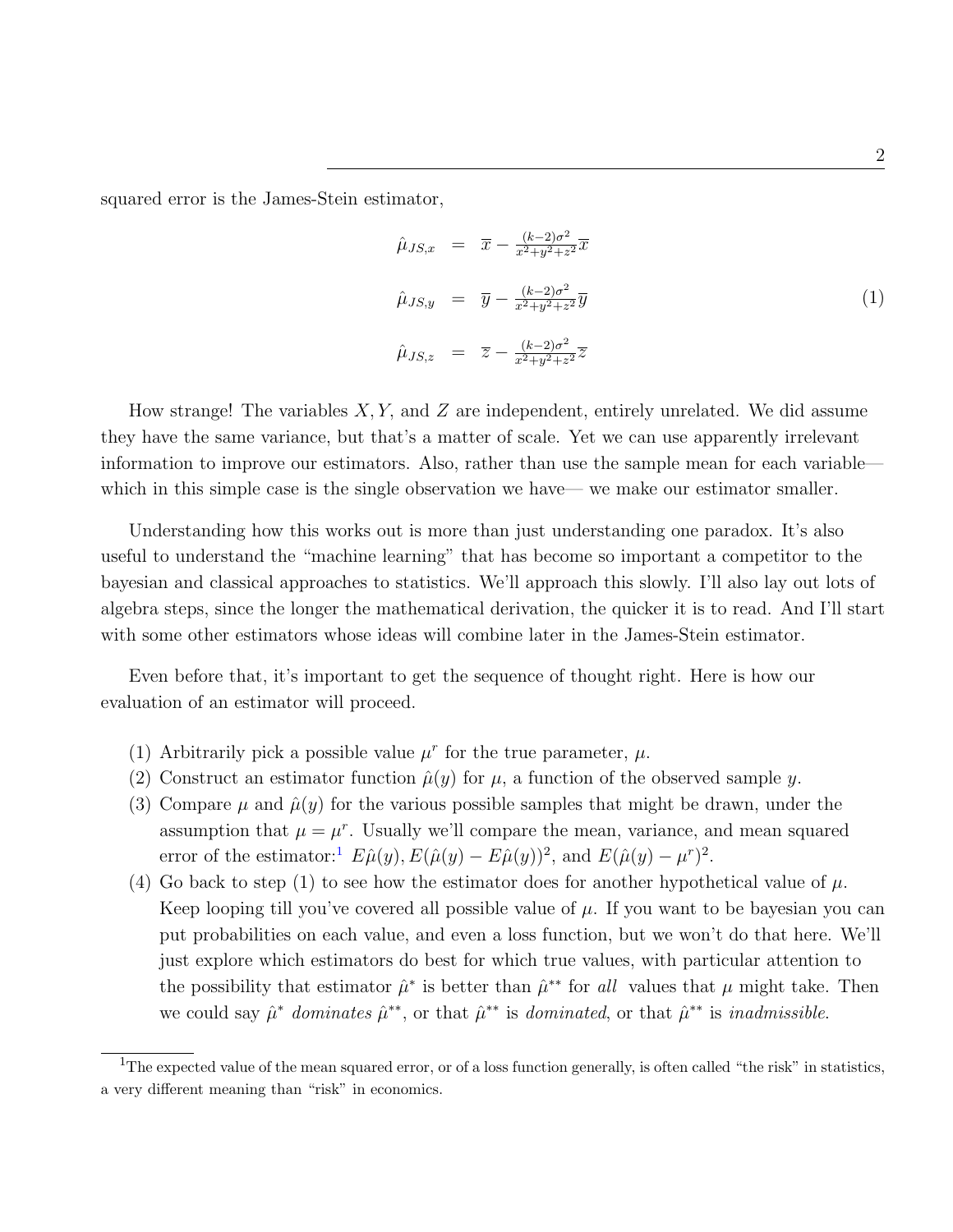squared error is the James-Stein estimator,

$$
\hat{\mu}_{JS,x} = \overline{x} - \frac{(k-2)\sigma^2}{x^2 + y^2 + z^2} \overline{x}
$$
\n
$$
\hat{\mu}_{JS,y} = \overline{y} - \frac{(k-2)\sigma^2}{x^2 + y^2 + z^2} \overline{y}
$$
\n
$$
\hat{\mu}_{JS,z} = \overline{z} - \frac{(k-2)\sigma^2}{x^2 + y^2 + z^2} \overline{z}
$$
\n(1)

How strange! The variables  $X, Y$ , and  $Z$  are independent, entirely unrelated. We did assume they have the same variance, but that's a matter of scale. Yet we can use apparently irrelevant information to improve our estimators. Also, rather than use the sample mean for each variable which in this simple case is the single observation we have— we make our estimator smaller.

Understanding how this works out is more than just understanding one paradox. It's also useful to understand the "machine learning" that has become so important a competitor to the bayesian and classical approaches to statistics. We'll approach this slowly. I'll also lay out lots of algebra steps, since the longer the mathematical derivation, the quicker it is to read. And I'll start with some other estimators whose ideas will combine later in the James-Stein estimator.

Even before that, it's important to get the sequence of thought right. Here is how our evaluation of an estimator will proceed.

- (1) Arbitrarily pick a possible value  $\mu^r$  for the true parameter,  $\mu$ .
- (2) Construct an estimator function  $\hat{\mu}(y)$  for  $\mu$ , a function of the observed sample y.
- (3) Compare  $\mu$  and  $\hat{\mu}(y)$  for the various possible samples that might be drawn, under the assumption that  $\mu = \mu^r$ . Usually we'll compare the mean, variance, and mean squared error of the estimator:<sup>[1](#page-2-0)</sup>  $E\hat{\mu}(y), E(\hat{\mu}(y) - E\hat{\mu}(y))^2$ , and  $E(\hat{\mu}(y) - \mu^2)$ .
- (4) Go back to step (1) to see how the estimator does for another hypothetical value of  $\mu$ . Keep looping till you've covered all possible value of  $\mu$ . If you want to be bayesian you can put probabilities on each value, and even a loss function, but we won't do that here. We'll just explore which estimators do best for which true values, with particular attention to the possibility that estimator  $\hat{\mu}^*$  is better than  $\hat{\mu}^{**}$  for all values that  $\mu$  might take. Then we could say  $\hat{\mu}^*$  dominates  $\hat{\mu}^{**}$ , or that  $\hat{\mu}^{**}$  is dominated, or that  $\hat{\mu}^{**}$  is inadmissible.

<span id="page-2-0"></span><sup>&</sup>lt;sup>1</sup>The expected value of the mean squared error, or of a loss function generally, is often called "the risk" in statistics, a very different meaning than "risk" in economics.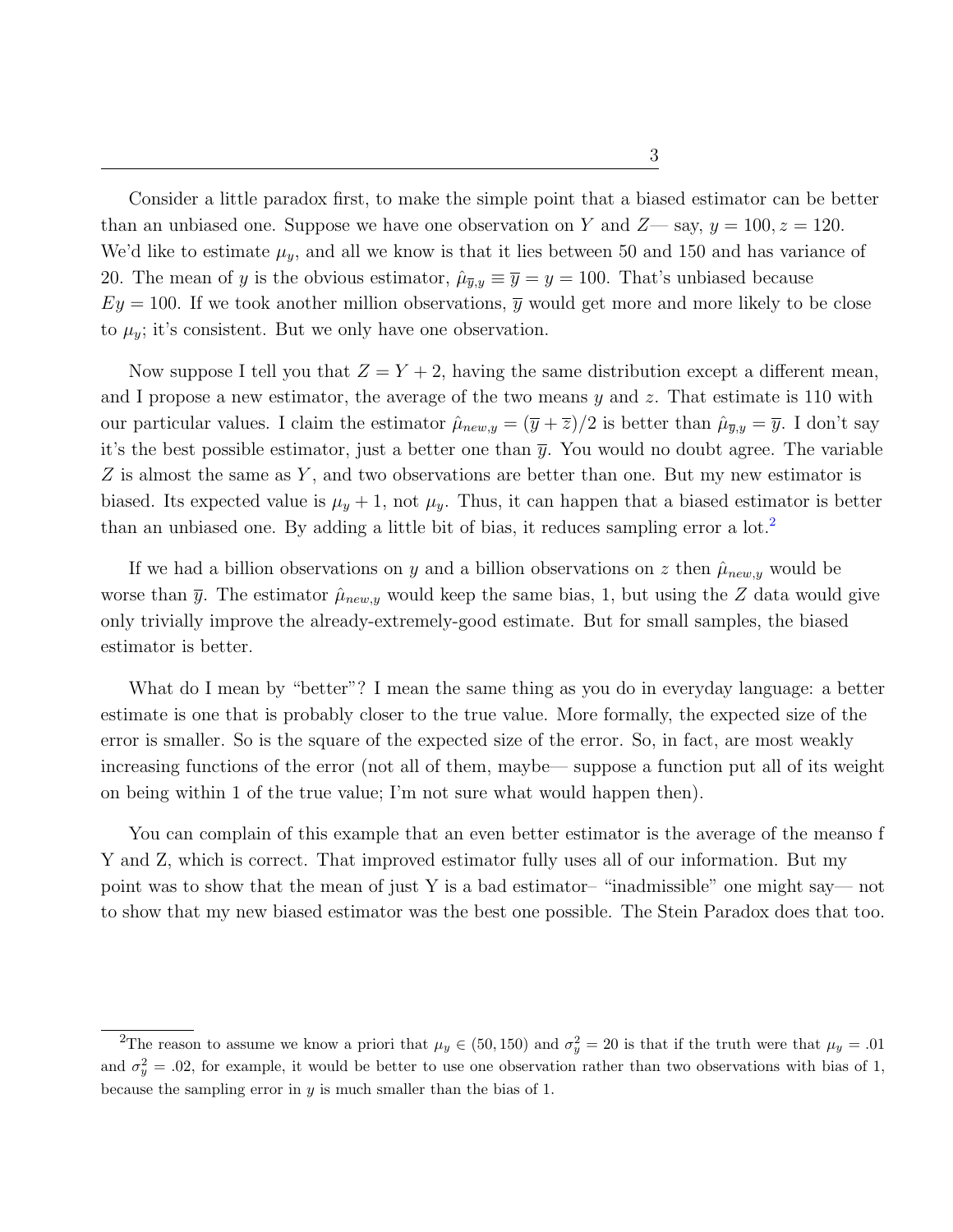Consider a little paradox first, to make the simple point that a biased estimator can be better than an unbiased one. Suppose we have one observation on Y and  $Z$ — say,  $y = 100$ ,  $z = 120$ . We'd like to estimate  $\mu_y$ , and all we know is that it lies between 50 and 150 and has variance of 20. The mean of y is the obvious estimator,  $\hat{\mu}_{\overline{y},y} \equiv \overline{y} = y = 100$ . That's unbiased because  $Ey = 100$ . If we took another million observations,  $\bar{y}$  would get more and more likely to be close to  $\mu_y$ ; it's consistent. But we only have one observation.

Now suppose I tell you that  $Z = Y + 2$ , having the same distribution except a different mean, and I propose a new estimator, the average of the two means  $y$  and  $z$ . That estimate is 110 with our particular values. I claim the estimator  $\hat{\mu}_{new,y} = (\overline{y} + \overline{z})/2$  is better than  $\hat{\mu}_{\overline{y},y} = \overline{y}$ . I don't say it's the best possible estimator, just a better one than  $\bar{y}$ . You would no doubt agree. The variable  $Z$  is almost the same as  $Y$ , and two observations are better than one. But my new estimator is biased. Its expected value is  $\mu_y + 1$ , not  $\mu_y$ . Thus, it can happen that a biased estimator is better than an unbiased one. By adding a little bit of bias, it reduces sampling error a  $\text{lot.}^2$  $\text{lot.}^2$ 

If we had a billion observations on y and a billion observations on z then  $\hat{\mu}_{new,y}$  would be worse than  $\bar{y}$ . The estimator  $\hat{\mu}_{new,y}$  would keep the same bias, 1, but using the Z data would give only trivially improve the already-extremely-good estimate. But for small samples, the biased estimator is better.

What do I mean by "better"? I mean the same thing as you do in everyday language: a better estimate is one that is probably closer to the true value. More formally, the expected size of the error is smaller. So is the square of the expected size of the error. So, in fact, are most weakly increasing functions of the error (not all of them, maybe— suppose a function put all of its weight on being within 1 of the true value; I'm not sure what would happen then).

You can complain of this example that an even better estimator is the average of the meanso f Y and Z, which is correct. That improved estimator fully uses all of our information. But my point was to show that the mean of just Y is a bad estimator– "inadmissible" one might say— not to show that my new biased estimator was the best one possible. The Stein Paradox does that too.

<span id="page-3-0"></span><sup>&</sup>lt;sup>2</sup>The reason to assume we know a priori that  $\mu_y \in (50, 150)$  and  $\sigma_y^2 = 20$  is that if the truth were that  $\mu_y = .01$ and  $\sigma_y^2 = 0.02$ , for example, it would be better to use one observation rather than two observations with bias of 1, because the sampling error in  $y$  is much smaller than the bias of 1.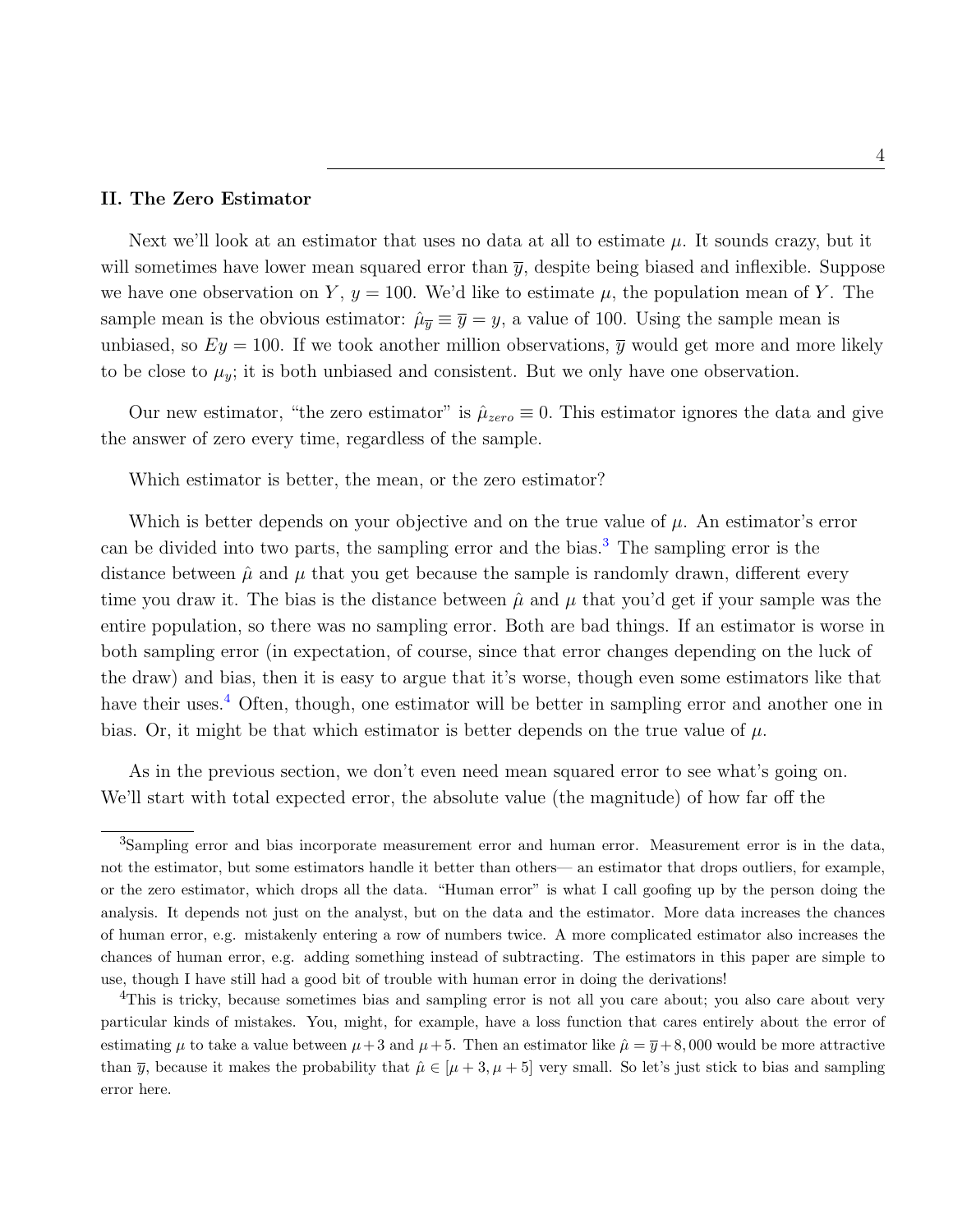#### II. The Zero Estimator

Next we'll look at an estimator that uses no data at all to estimate  $\mu$ . It sounds crazy, but it will sometimes have lower mean squared error than  $\bar{y}$ , despite being biased and inflexible. Suppose we have one observation on Y,  $y = 100$ . We'd like to estimate  $\mu$ , the population mean of Y. The sample mean is the obvious estimator:  $\hat{\mu}_{\overline{y}} \equiv \overline{y} = y$ , a value of 100. Using the sample mean is unbiased, so  $Ey = 100$ . If we took another million observations,  $\overline{y}$  would get more and more likely to be close to  $\mu_y$ ; it is both unbiased and consistent. But we only have one observation.

Our new estimator, "the zero estimator" is  $\hat{\mu}_{zero} \equiv 0$ . This estimator ignores the data and give the answer of zero every time, regardless of the sample.

Which estimator is better, the mean, or the zero estimator?

Which is better depends on your objective and on the true value of  $\mu$ . An estimator's error can be divided into two parts, the sampling error and the bias.[3](#page-4-0) The sampling error is the distance between  $\hat{\mu}$  and  $\mu$  that you get because the sample is randomly drawn, different every time you draw it. The bias is the distance between  $\hat{\mu}$  and  $\mu$  that you'd get if your sample was the entire population, so there was no sampling error. Both are bad things. If an estimator is worse in both sampling error (in expectation, of course, since that error changes depending on the luck of the draw) and bias, then it is easy to argue that it's worse, though even some estimators like that have their uses.<sup>[4](#page-4-1)</sup> Often, though, one estimator will be better in sampling error and another one in bias. Or, it might be that which estimator is better depends on the true value of  $\mu$ .

As in the previous section, we don't even need mean squared error to see what's going on. We'll start with total expected error, the absolute value (the magnitude) of how far off the

<span id="page-4-0"></span><sup>&</sup>lt;sup>3</sup>Sampling error and bias incorporate measurement error and human error. Measurement error is in the data, not the estimator, but some estimators handle it better than others— an estimator that drops outliers, for example, or the zero estimator, which drops all the data. "Human error" is what I call goofing up by the person doing the analysis. It depends not just on the analyst, but on the data and the estimator. More data increases the chances of human error, e.g. mistakenly entering a row of numbers twice. A more complicated estimator also increases the chances of human error, e.g. adding something instead of subtracting. The estimators in this paper are simple to use, though I have still had a good bit of trouble with human error in doing the derivations!

<span id="page-4-1"></span><sup>&</sup>lt;sup>4</sup>This is tricky, because sometimes bias and sampling error is not all you care about; you also care about very particular kinds of mistakes. You, might, for example, have a loss function that cares entirely about the error of estimating  $\mu$  to take a value between  $\mu + 3$  and  $\mu + 5$ . Then an estimator like  $\hat{\mu} = \bar{y} + 8,000$  would be more attractive than  $\bar{y}$ , because it makes the probability that  $\hat{\mu} \in [\mu+3, \mu+5]$  very small. So let's just stick to bias and sampling error here.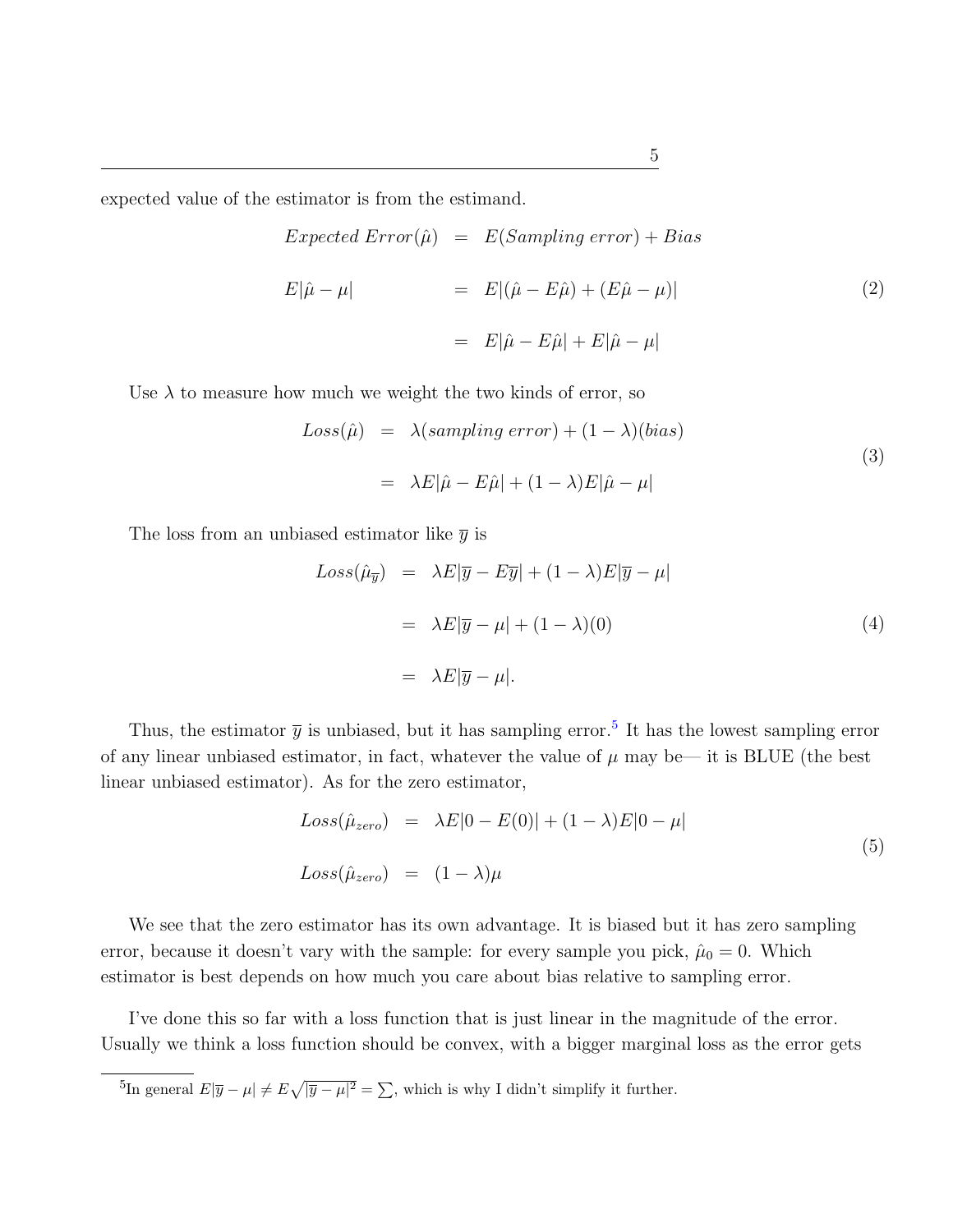expected value of the estimator is from the estimand.

$$
Expected Error(\hat{\mu}) = E(Sampling error) + Bias
$$
  

$$
E|\hat{\mu} - \mu| = E|(\hat{\mu} - E\hat{\mu}) + (E\hat{\mu} - \mu)|
$$
  

$$
= E|\hat{\mu} - E\hat{\mu}| + E|\hat{\mu} - \mu|
$$
 (2)

Use  $\lambda$  to measure how much we weight the two kinds of error, so

$$
Loss(\hat{\mu}) = \lambda(sampling error) + (1 - \lambda)(bias)
$$
  
=  $\lambda E|\hat{\mu} - E\hat{\mu}| + (1 - \lambda)E|\hat{\mu} - \mu|$  (3)

The loss from an unbiased estimator like  $\bar{y}$  is

$$
Loss(\hat{\mu}_{\overline{y}}) = \lambda E|\overline{y} - E\overline{y}| + (1 - \lambda)E|\overline{y} - \mu|
$$
  

$$
= \lambda E|\overline{y} - \mu| + (1 - \lambda)(0)
$$
  

$$
= \lambda E|\overline{y} - \mu|.
$$
 (4)

Thus, the estimator  $\bar{y}$  is unbiased, but it has sampling error.<sup>[5](#page-5-0)</sup> It has the lowest sampling error of any linear unbiased estimator, in fact, whatever the value of  $\mu$  may be— it is BLUE (the best linear unbiased estimator). As for the zero estimator,

$$
Loss(\hat{\mu}_{zero}) = \lambda E|0 - E(0)| + (1 - \lambda)E|0 - \mu|
$$
  
\n
$$
Loss(\hat{\mu}_{zero}) = (1 - \lambda)\mu
$$
\n(5)

We see that the zero estimator has its own advantage. It is biased but it has zero sampling error, because it doesn't vary with the sample: for every sample you pick,  $\hat{\mu}_0 = 0$ . Which estimator is best depends on how much you care about bias relative to sampling error.

I've done this so far with a loss function that is just linear in the magnitude of the error. Usually we think a loss function should be convex, with a bigger marginal loss as the error gets

<span id="page-5-0"></span><sup>5</sup>In general  $E|\overline{y} - \mu| \neq E\sqrt{|\overline{y} - \mu|^2} = \sum$ , which is why I didn't simplify it further.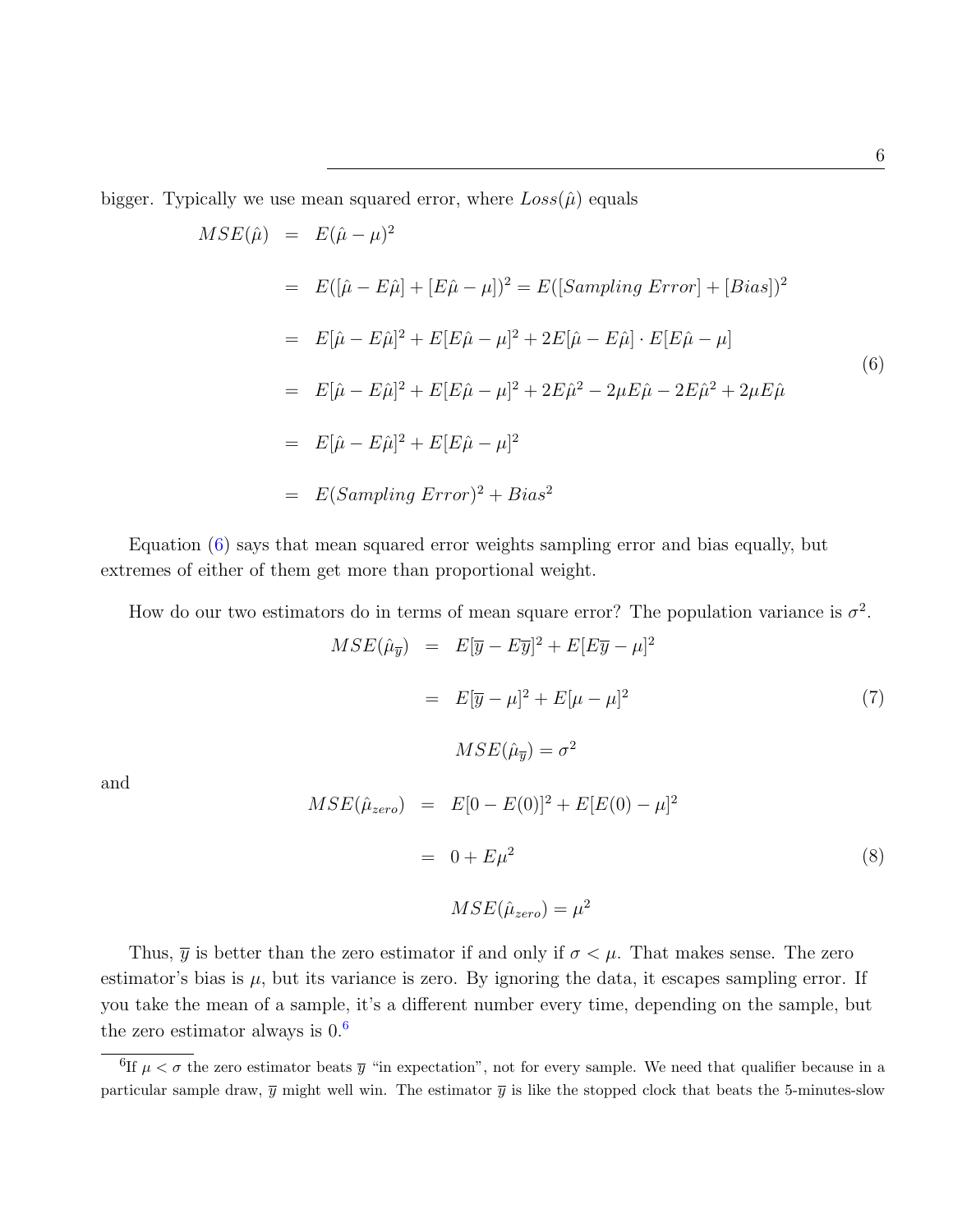bigger. Typically we use mean squared error, where  $Loss(\hat{\mu})$  equals

and

<span id="page-6-0"></span>
$$
MSE(\hat{\mu}) = E(\hat{\mu} - \mu)^2
$$
  
=  $E([\hat{\mu} - E\hat{\mu}] + [E\hat{\mu} - \mu])^2 = E([Sampling Error] + [Bias])^2$   
=  $E[\hat{\mu} - E\hat{\mu}]^2 + E[E\hat{\mu} - \mu]^2 + 2E[\hat{\mu} - E\hat{\mu}] \cdot E[E\hat{\mu} - \mu]$   
=  $E[\hat{\mu} - E\hat{\mu}]^2 + E[E\hat{\mu} - \mu]^2 + 2E\hat{\mu}^2 - 2\mu E\hat{\mu} - 2E\hat{\mu}^2 + 2\mu E\hat{\mu}$   
=  $E[\hat{\mu} - E\hat{\mu}]^2 + E[E\hat{\mu} - \mu]^2$   
=  $E(Sampling Error)^2 + Bias^2$  (6)

Equation [\(6\)](#page-6-0) says that mean squared error weights sampling error and bias equally, but extremes of either of them get more than proportional weight.

How do our two estimators do in terms of mean square error? The population variance is  $\sigma^2$ .

$$
MSE(\hat{\mu}_{\overline{y}}) = E[\overline{y} - E\overline{y}]^{2} + E[E\overline{y} - \mu]^{2}
$$
  
\n
$$
= E[\overline{y} - \mu]^{2} + E[\mu - \mu]^{2}
$$
(7)  
\n
$$
MSE(\hat{\mu}_{\overline{y}}) = \sigma^{2}
$$
  
\n
$$
MSE(\hat{\mu}_{zero}) = E[0 - E(0)]^{2} + E[E(0) - \mu]^{2}
$$
  
\n
$$
= 0 + E\mu^{2}
$$
(8)

$$
MSE(\hat{\mu}_{zero}) = \mu^2
$$

Thus,  $\bar{y}$  is better than the zero estimator if and only if  $\sigma < \mu$ . That makes sense. The zero estimator's bias is  $\mu$ , but its variance is zero. By ignoring the data, it escapes sampling error. If you take the mean of a sample, it's a different number every time, depending on the sample, but the zero estimator always is  $0.6$  $0.6$ 

6

<span id="page-6-1"></span><sup>&</sup>lt;sup>6</sup>If  $\mu < \sigma$  the zero estimator beats  $\bar{y}$  "in expectation", not for every sample. We need that qualifier because in a particular sample draw,  $\bar{y}$  might well win. The estimator  $\bar{y}$  is like the stopped clock that beats the 5-minutes-slow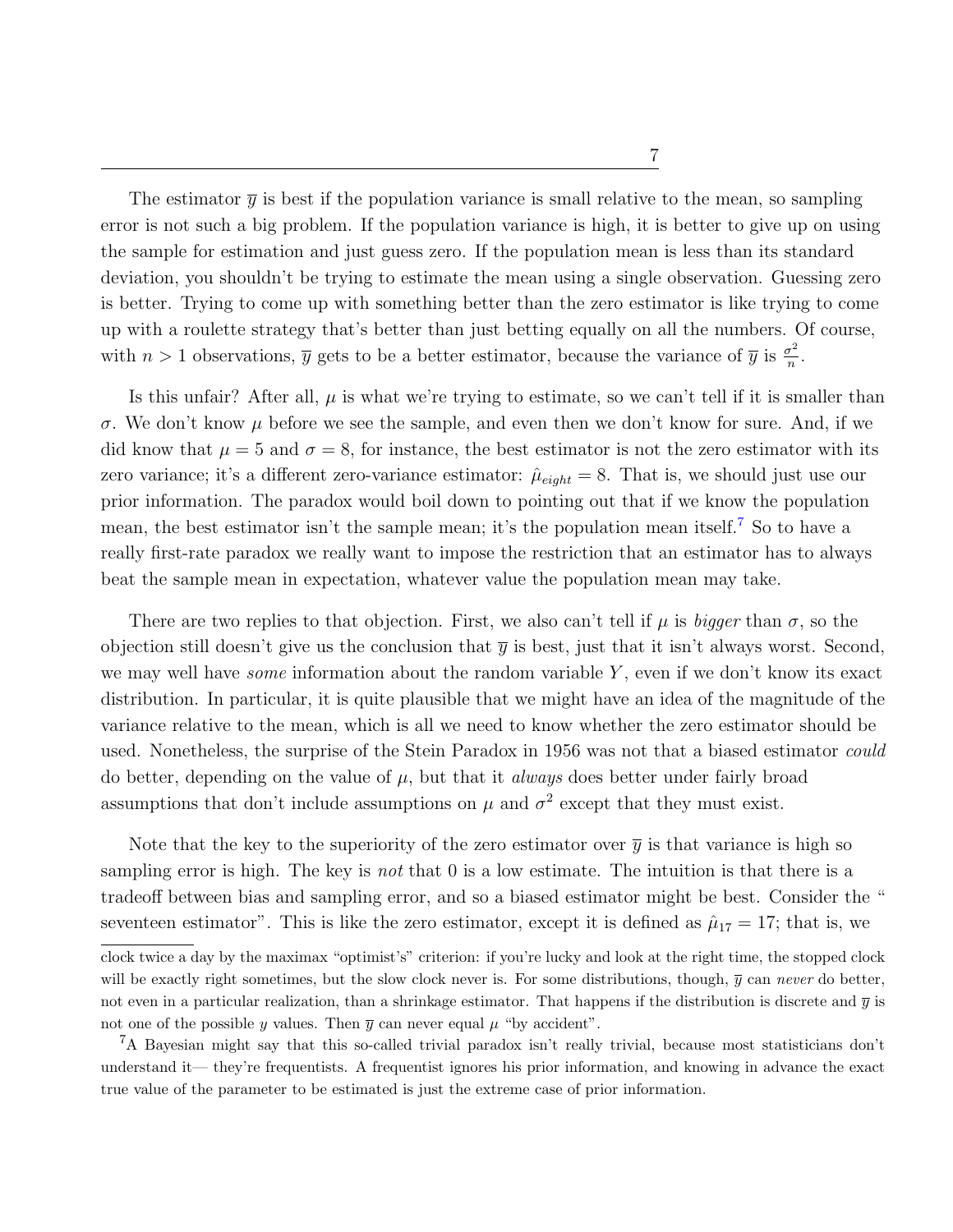The estimator  $\bar{y}$  is best if the population variance is small relative to the mean, so sampling error is not such a big problem. If the population variance is high, it is better to give up on using the sample for estimation and just guess zero. If the population mean is less than its standard deviation, you shouldn't be trying to estimate the mean using a single observation. Guessing zero is better. Trying to come up with something better than the zero estimator is like trying to come up with a roulette strategy that's better than just betting equally on all the numbers. Of course, with  $n > 1$  observations,  $\overline{y}$  gets to be a better estimator, because the variance of  $\overline{y}$  is  $\frac{\sigma^2}{n}$  $\frac{\sigma^2}{n}$ .

Is this unfair? After all,  $\mu$  is what we're trying to estimate, so we can't tell if it is smaller than σ. We don't know µ before we see the sample, and even then we don't know for sure. And, if we did know that  $\mu = 5$  and  $\sigma = 8$ , for instance, the best estimator is not the zero estimator with its zero variance; it's a different zero-variance estimator:  $\hat{\mu}_{eight} = 8$ . That is, we should just use our prior information. The paradox would boil down to pointing out that if we know the population mean, the best estimator isn't the sample mean; it's the population mean itself.<sup>[7](#page-7-0)</sup> So to have a really first-rate paradox we really want to impose the restriction that an estimator has to always beat the sample mean in expectation, whatever value the population mean may take.

There are two replies to that objection. First, we also can't tell if  $\mu$  is bigger than  $\sigma$ , so the objection still doesn't give us the conclusion that  $\bar{y}$  is best, just that it isn't always worst. Second, we may well have *some* information about the random variable Y, even if we don't know its exact distribution. In particular, it is quite plausible that we might have an idea of the magnitude of the variance relative to the mean, which is all we need to know whether the zero estimator should be used. Nonetheless, the surprise of the Stein Paradox in 1956 was not that a biased estimator *could* do better, depending on the value of  $\mu$ , but that it *always* does better under fairly broad assumptions that don't include assumptions on  $\mu$  and  $\sigma^2$  except that they must exist.

Note that the key to the superiority of the zero estimator over  $\bar{y}$  is that variance is high so sampling error is high. The key is *not* that 0 is a low estimate. The intuition is that there is a tradeoff between bias and sampling error, and so a biased estimator might be best. Consider the " seventeen estimator". This is like the zero estimator, except it is defined as  $\hat{\mu}_{17} = 17$ ; that is, we

clock twice a day by the maximax "optimist's" criterion: if you're lucky and look at the right time, the stopped clock will be exactly right sometimes, but the slow clock never is. For some distributions, though,  $\bar{y}$  can never do better, not even in a particular realization, than a shrinkage estimator. That happens if the distribution is discrete and  $\bar{y}$  is not one of the possible y values. Then  $\overline{y}$  can never equal  $\mu$  "by accident".

<span id="page-7-0"></span><sup>&</sup>lt;sup>7</sup>A Bayesian might say that this so-called trivial paradox isn't really trivial, because most statisticians don't understand it— they're frequentists. A frequentist ignores his prior information, and knowing in advance the exact true value of the parameter to be estimated is just the extreme case of prior information.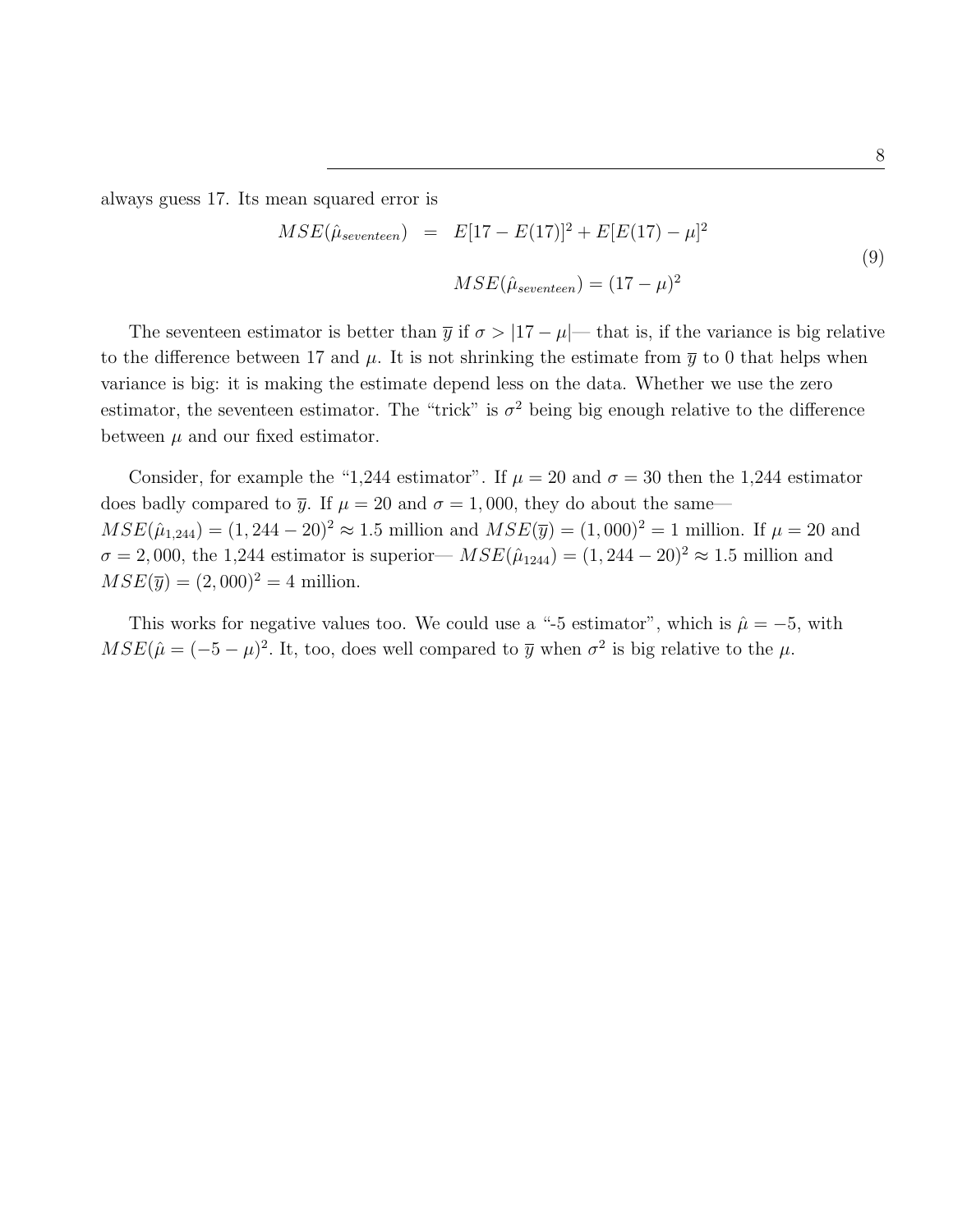always guess 17. Its mean squared error is

$$
MSE(\hat{\mu}_{seventeen}) = E[17 - E(17)]^2 + E[E(17) - \mu]^2
$$
  

$$
MSE(\hat{\mu}_{seventeen}) = (17 - \mu)^2
$$
 (9)

The seventeen estimator is better than  $\bar{y}$  if  $\sigma > |17 - \mu|$ — that is, if the variance is big relative to the difference between 17 and  $\mu$ . It is not shrinking the estimate from  $\bar{y}$  to 0 that helps when variance is big: it is making the estimate depend less on the data. Whether we use the zero estimator, the seventeen estimator. The "trick" is  $\sigma^2$  being big enough relative to the difference between  $\mu$  and our fixed estimator.

Consider, for example the "1,244 estimator". If  $\mu = 20$  and  $\sigma = 30$  then the 1,244 estimator does badly compared to  $\bar{y}$ . If  $\mu = 20$  and  $\sigma = 1,000$ , they do about the same—  $MSE(\hat{\mu}_{1,244}) = (1, 244 - 20)^2 \approx 1.5$  million and  $MSE(\bar{y}) = (1, 000)^2 = 1$  million. If  $\mu = 20$  and  $\sigma = 2,000$ , the 1,244 estimator is superior—  $MSE(\hat{\mu}_{1244}) = (1,244 - 20)^2 \approx 1.5$  million and  $MSE(\bar{y}) = (2,000)^2 = 4$  million.

This works for negative values too. We could use a "-5 estimator", which is  $\hat{\mu} = -5$ , with  $MSE(\hat{\mu} = (-5 - \mu)^2$ . It, too, does well compared to  $\bar{y}$  when  $\sigma^2$  is big relative to the  $\mu$ .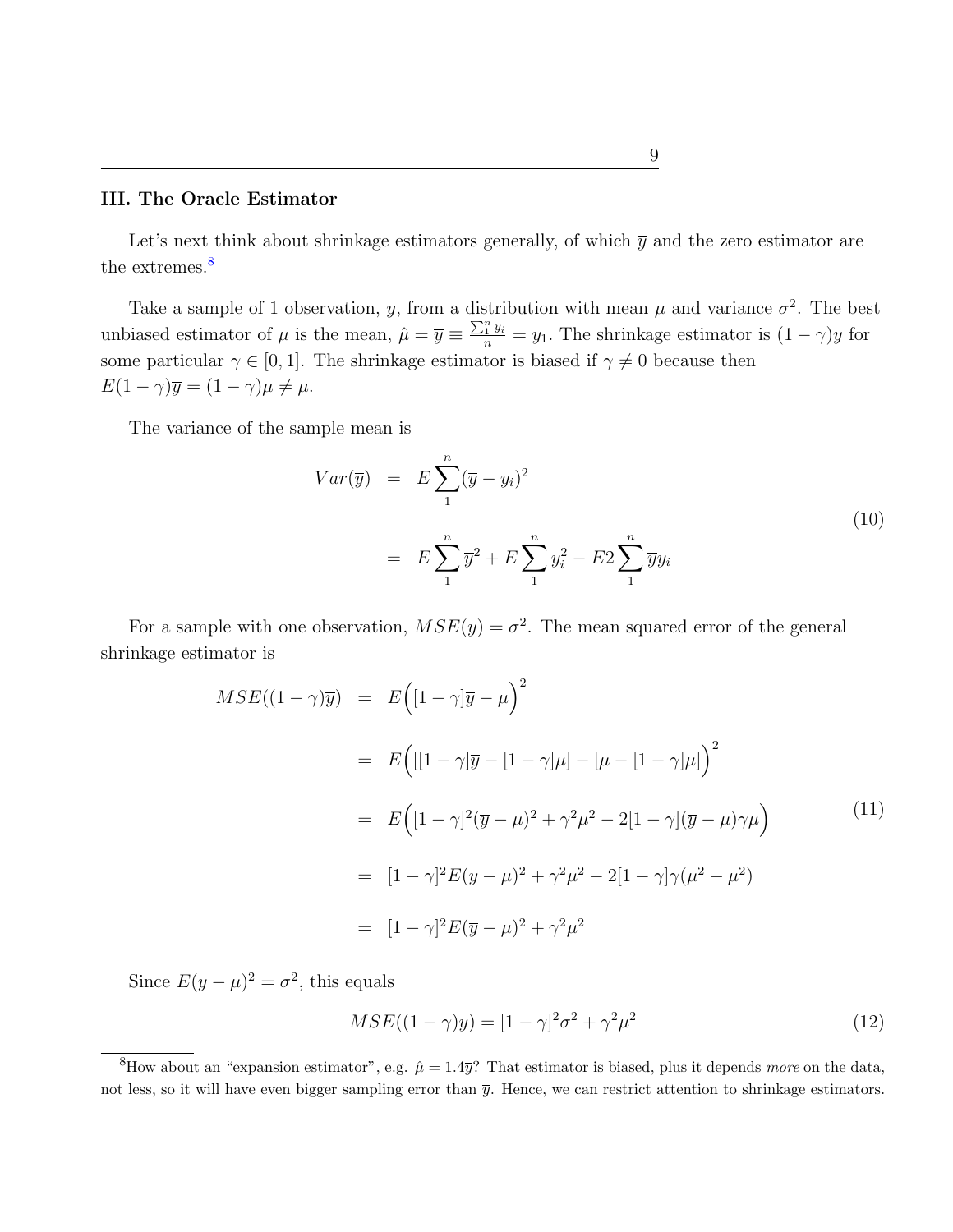## III. The Oracle Estimator

Let's next think about shrinkage estimators generally, of which  $\bar{y}$  and the zero estimator are the extremes.<sup>[8](#page-9-0)</sup>

Take a sample of 1 observation, y, from a distribution with mean  $\mu$  and variance  $\sigma^2$ . The best unbiased estimator of  $\mu$  is the mean,  $\hat{\mu} = \overline{y} \equiv \frac{\sum_{i=1}^{n} y_i}{n} = y_1$ . The shrinkage estimator is  $(1 - \gamma)y$  for some particular  $\gamma \in [0, 1]$ . The shrinkage estimator is biased if  $\gamma \neq 0$  because then  $E(1-\gamma)\overline{y} = (1-\gamma)\mu \neq \mu.$ 

The variance of the sample mean is

$$
Var(\overline{y}) = E \sum_{1}^{n} (\overline{y} - y_i)^2
$$
  
=  $E \sum_{1}^{n} \overline{y}^2 + E \sum_{1}^{n} y_i^2 - E2 \sum_{1}^{n} \overline{y} y_i$  (10)

For a sample with one observation,  $MSE(\bar{y}) = \sigma^2$ . The mean squared error of the general shrinkage estimator is

$$
MSE((1 - \gamma)\overline{y}) = E([1 - \gamma]\overline{y} - \mu)^{2}
$$
  
=  $E([1 - \gamma]\overline{y} - [1 - \gamma]\mu] - [\mu - [1 - \gamma]\mu])^{2}$   
=  $E([1 - \gamma]^{2}(\overline{y} - \mu)^{2} + \gamma^{2}\mu^{2} - 2[1 - \gamma](\overline{y} - \mu)\gamma\mu)$   
=  $[1 - \gamma]^{2}E(\overline{y} - \mu)^{2} + \gamma^{2}\mu^{2} - 2[1 - \gamma]\gamma(\mu^{2} - \mu^{2})$   
=  $[1 - \gamma]^{2}E(\overline{y} - \mu)^{2} + \gamma^{2}\mu^{2}$  (11)

Since  $E(\bar{y} - \mu)^2 = \sigma^2$ , this equals

$$
MSE((1 - \gamma)\overline{y}) = [1 - \gamma]^2 \sigma^2 + \gamma^2 \mu^2 \tag{12}
$$

<span id="page-9-0"></span><sup>&</sup>lt;sup>8</sup>How about an "expansion estimator", e.g.  $\hat{\mu} = 1.4\overline{y}$ ? That estimator is biased, plus it depends more on the data, not less, so it will have even bigger sampling error than  $\bar{y}$ . Hence, we can restrict attention to shrinkage estimators.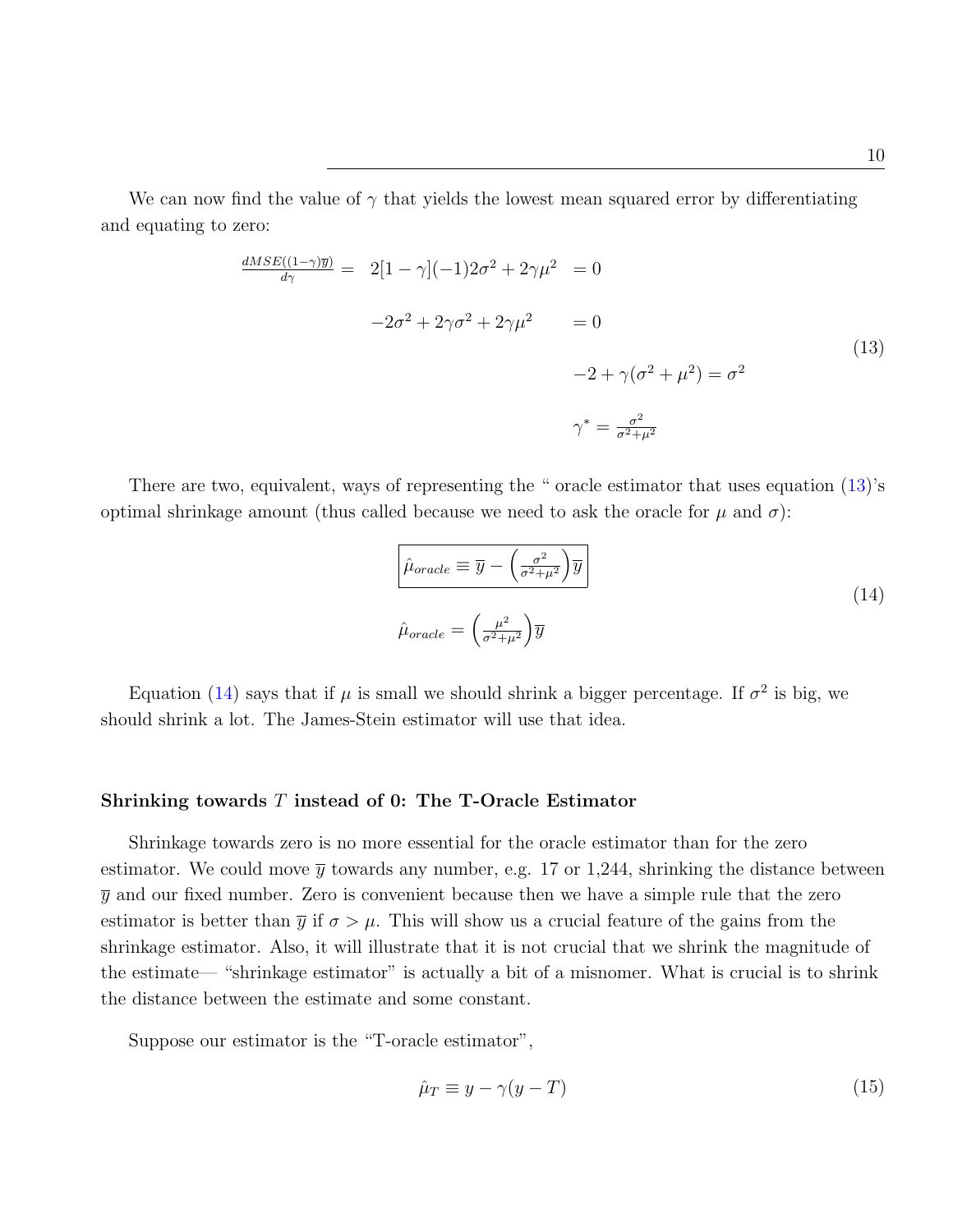We can now find the value of  $\gamma$  that yields the lowest mean squared error by differentiating and equating to zero:

<span id="page-10-0"></span>
$$
\frac{dMSE((1-\gamma)\overline{y})}{d\gamma} = 2[1-\gamma](-1)2\sigma^2 + 2\gamma\mu^2 = 0
$$
  

$$
-2\sigma^2 + 2\gamma\sigma^2 + 2\gamma\mu^2 = 0
$$
  

$$
-2 + \gamma(\sigma^2 + \mu^2) = \sigma^2
$$
  

$$
\gamma^* = \frac{\sigma^2}{\sigma^2 + \mu^2}
$$
 (13)

There are two, equivalent, ways of representing the " oracle estimator that uses equation  $(13)$ 's optimal shrinkage amount (thus called because we need to ask the oracle for  $\mu$  and  $\sigma$ ):

<span id="page-10-1"></span>
$$
\hat{\mu}_{oracle} \equiv \overline{y} - \left(\frac{\sigma^2}{\sigma^2 + \mu^2}\right) \overline{y}
$$
\n
$$
\hat{\mu}_{oracle} = \left(\frac{\mu^2}{\sigma^2 + \mu^2}\right) \overline{y}
$$
\n(14)

Equation [\(14\)](#page-10-1) says that if  $\mu$  is small we should shrink a bigger percentage. If  $\sigma^2$  is big, we should shrink a lot. The James-Stein estimator will use that idea.

## Shrinking towards T instead of 0: The T-Oracle Estimator

Shrinkage towards zero is no more essential for the oracle estimator than for the zero estimator. We could move  $\bar{y}$  towards any number, e.g. 17 or 1,244, shrinking the distance between  $\bar{y}$  and our fixed number. Zero is convenient because then we have a simple rule that the zero estimator is better than  $\bar{y}$  if  $\sigma > \mu$ . This will show us a crucial feature of the gains from the shrinkage estimator. Also, it will illustrate that it is not crucial that we shrink the magnitude of the estimate— "shrinkage estimator" is actually a bit of a misnomer. What is crucial is to shrink the distance between the estimate and some constant.

Suppose our estimator is the "T-oracle estimator",

$$
\hat{\mu}_T \equiv y - \gamma(y - T) \tag{15}
$$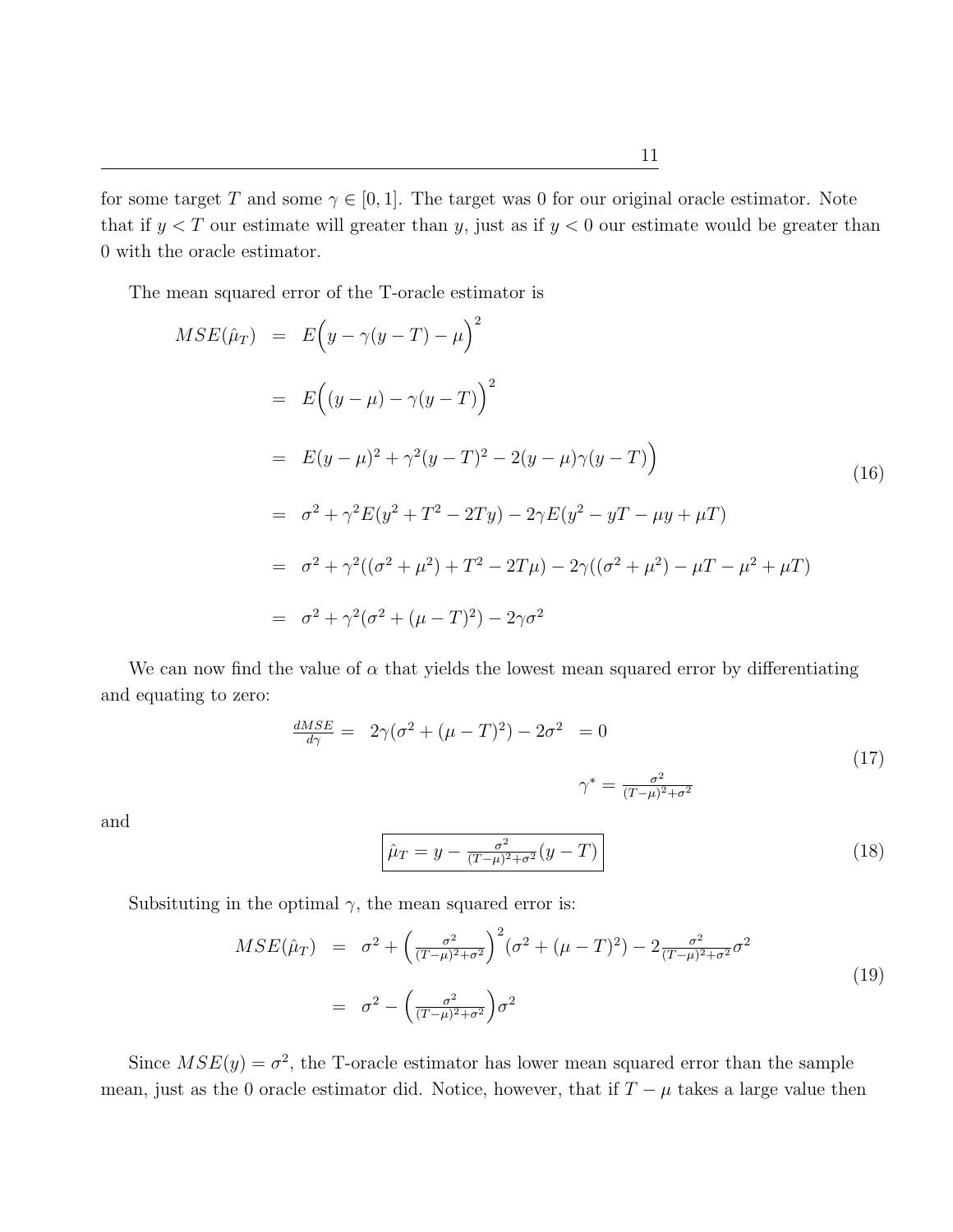for some target T and some  $\gamma \in [0, 1]$ . The target was 0 for our original oracle estimator. Note that if  $y < T$  our estimate will greater than y, just as if  $y < 0$  our estimate would be greater than 0 with the oracle estimator.

The mean squared error of the T-oracle estimator is

$$
MSE(\hat{\mu}_T) = E(y - \gamma(y - T) - \mu)^2
$$
  
=  $E((y - \mu) - \gamma(y - T))^2$   
=  $E(y - \mu)^2 + \gamma^2(y - T)^2 - 2(y - \mu)\gamma(y - T)$   
=  $\sigma^2 + \gamma^2 E(y^2 + T^2 - 2Ty) - 2\gamma E(y^2 - yT - \mu y + \mu T)$   
=  $\sigma^2 + \gamma^2 ((\sigma^2 + \mu^2) + T^2 - 2T\mu) - 2\gamma ((\sigma^2 + \mu^2) - \mu T - \mu^2 + \mu T)$   
=  $\sigma^2 + \gamma^2 (\sigma^2 + (\mu - T)^2) - 2\gamma \sigma^2$  (6)

We can now find the value of  $\alpha$  that yields the lowest mean squared error by differentiating and equating to zero:

$$
\frac{dMSE}{d\gamma} = 2\gamma(\sigma^2 + (\mu - T)^2) - 2\sigma^2 = 0
$$
\n
$$
\gamma^* = \frac{\sigma^2}{(T - \mu)^2 + \sigma^2}
$$
\n(17)

and

$$
\hat{\mu}_T = y - \frac{\sigma^2}{(T - \mu)^2 + \sigma^2} (y - T) \tag{18}
$$

Subsituting in the optimal  $\gamma$ , the mean squared error is:

<span id="page-11-0"></span>
$$
MSE(\hat{\mu}_T) = \sigma^2 + \left(\frac{\sigma^2}{(T-\mu)^2 + \sigma^2}\right)^2 (\sigma^2 + (\mu - T)^2) - 2 \frac{\sigma^2}{(T-\mu)^2 + \sigma^2} \sigma^2
$$
  

$$
= \sigma^2 - \left(\frac{\sigma^2}{(T-\mu)^2 + \sigma^2}\right) \sigma^2
$$
 (19)

Since  $MSE(y) = \sigma^2$ , the T-oracle estimator has lower mean squared error than the sample mean, just as the 0 oracle estimator did. Notice, however, that if  $T - \mu$  takes a large value then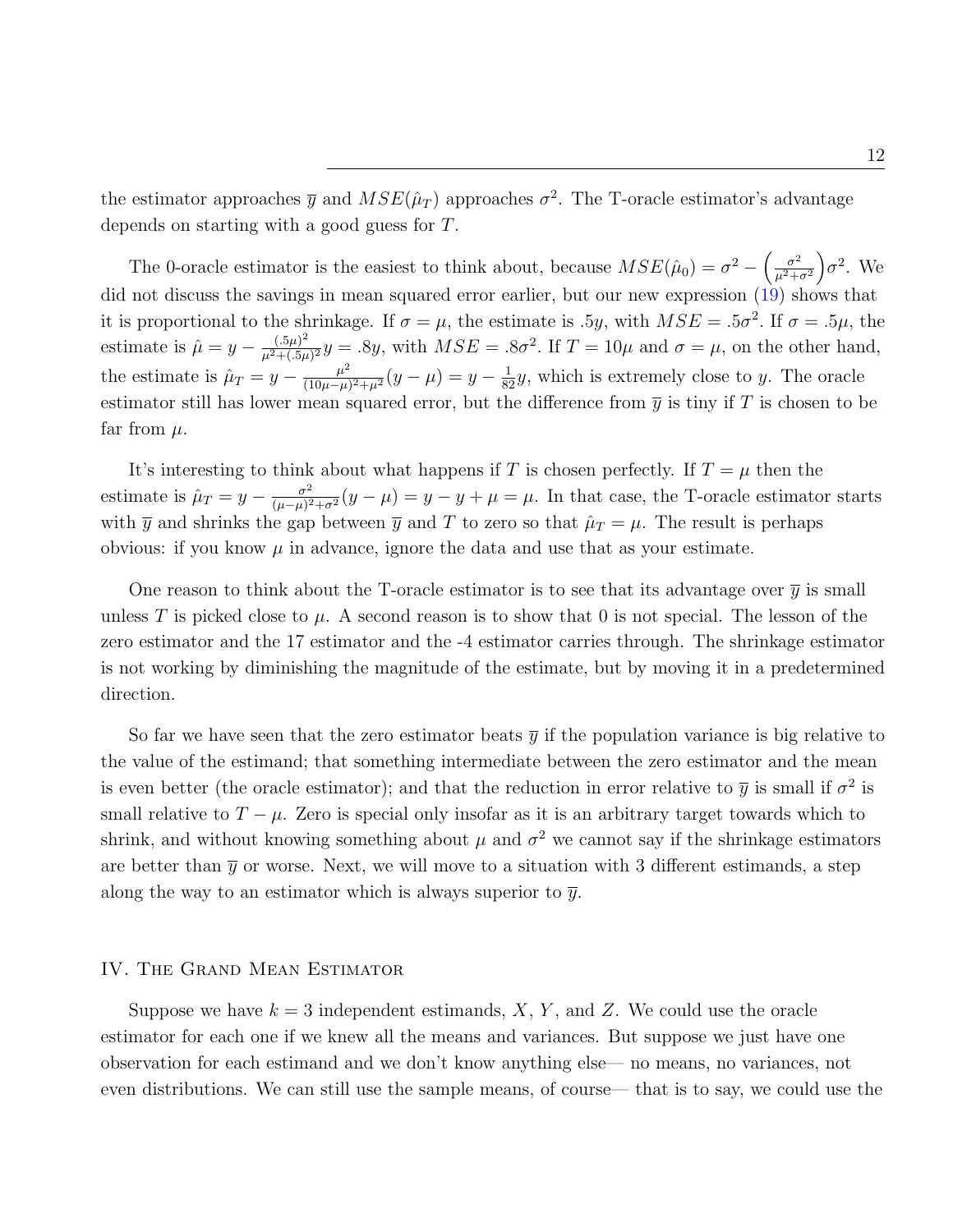the estimator approaches  $\bar{y}$  and  $MSE(\hat{\mu}_T)$  approaches  $\sigma^2$ . The T-oracle estimator's advantage depends on starting with a good guess for T.

The 0-oracle estimator is the easiest to think about, because  $MSE(\hat{\mu}_0) = \sigma^2 - \left(\frac{\sigma^2}{\mu^2 + 1}\right)$  $\frac{\sigma^2}{\mu^2+\sigma^2}$   $\sigma^2$ . We did not discuss the savings in mean squared error earlier, but our new expression [\(19\)](#page-11-0) shows that it is proportional to the shrinkage. If  $\sigma = \mu$ , the estimate is .5y, with  $MSE = .5\sigma^2$ . If  $\sigma = .5\mu$ , the estimate is  $\hat{\mu} = y - \frac{(.5\mu)^2}{u^2 + (.5\mu)^2}$  $\frac{(.5\mu)^2}{\mu^2 + (.5\mu)^2} y = .8y$ , with  $MSE = .8\sigma^2$ . If  $T = 10\mu$  and  $\sigma = \mu$ , on the other hand, the estimate is  $\hat{\mu}_T = y - \frac{\mu^2}{(10\mu - \mu^2)}$  $\frac{\mu^2}{(10\mu-\mu)^2+\mu^2}(y-\mu)=y-\frac{1}{82}y$ , which is extremely close to y. The oracle estimator still has lower mean squared error, but the difference from  $\bar{y}$  is tiny if T is chosen to be far from  $\mu$ .

It's interesting to think about what happens if T is chosen perfectly. If  $T = \mu$  then the estimate is  $\hat{\mu}_T = y - \frac{\sigma^2}{(\mu - \mu)^2}$  $\frac{\sigma^2}{(\mu-\mu)^2+\sigma^2}(y-\mu)=y-y+\mu=\mu.$  In that case, the T-oracle estimator starts with  $\bar{y}$  and shrinks the gap between  $\bar{y}$  and T to zero so that  $\hat{\mu}_T = \mu$ . The result is perhaps obvious: if you know  $\mu$  in advance, ignore the data and use that as your estimate.

One reason to think about the T-oracle estimator is to see that its advantage over  $\bar{y}$  is small unless T is picked close to  $\mu$ . A second reason is to show that 0 is not special. The lesson of the zero estimator and the 17 estimator and the -4 estimator carries through. The shrinkage estimator is not working by diminishing the magnitude of the estimate, but by moving it in a predetermined direction.

So far we have seen that the zero estimator beats  $\bar{y}$  if the population variance is big relative to the value of the estimand; that something intermediate between the zero estimator and the mean is even better (the oracle estimator); and that the reduction in error relative to  $\bar{y}$  is small if  $\sigma^2$  is small relative to  $T - \mu$ . Zero is special only insofar as it is an arbitrary target towards which to shrink, and without knowing something about  $\mu$  and  $\sigma^2$  we cannot say if the shrinkage estimators are better than  $\overline{\eta}$  or worse. Next, we will move to a situation with 3 different estimands, a step along the way to an estimator which is always superior to  $\bar{y}$ .

## IV. The Grand Mean Estimator

Suppose we have  $k = 3$  independent estimands, X, Y, and Z. We could use the oracle estimator for each one if we knew all the means and variances. But suppose we just have one observation for each estimand and we don't know anything else— no means, no variances, not even distributions. We can still use the sample means, of course— that is to say, we could use the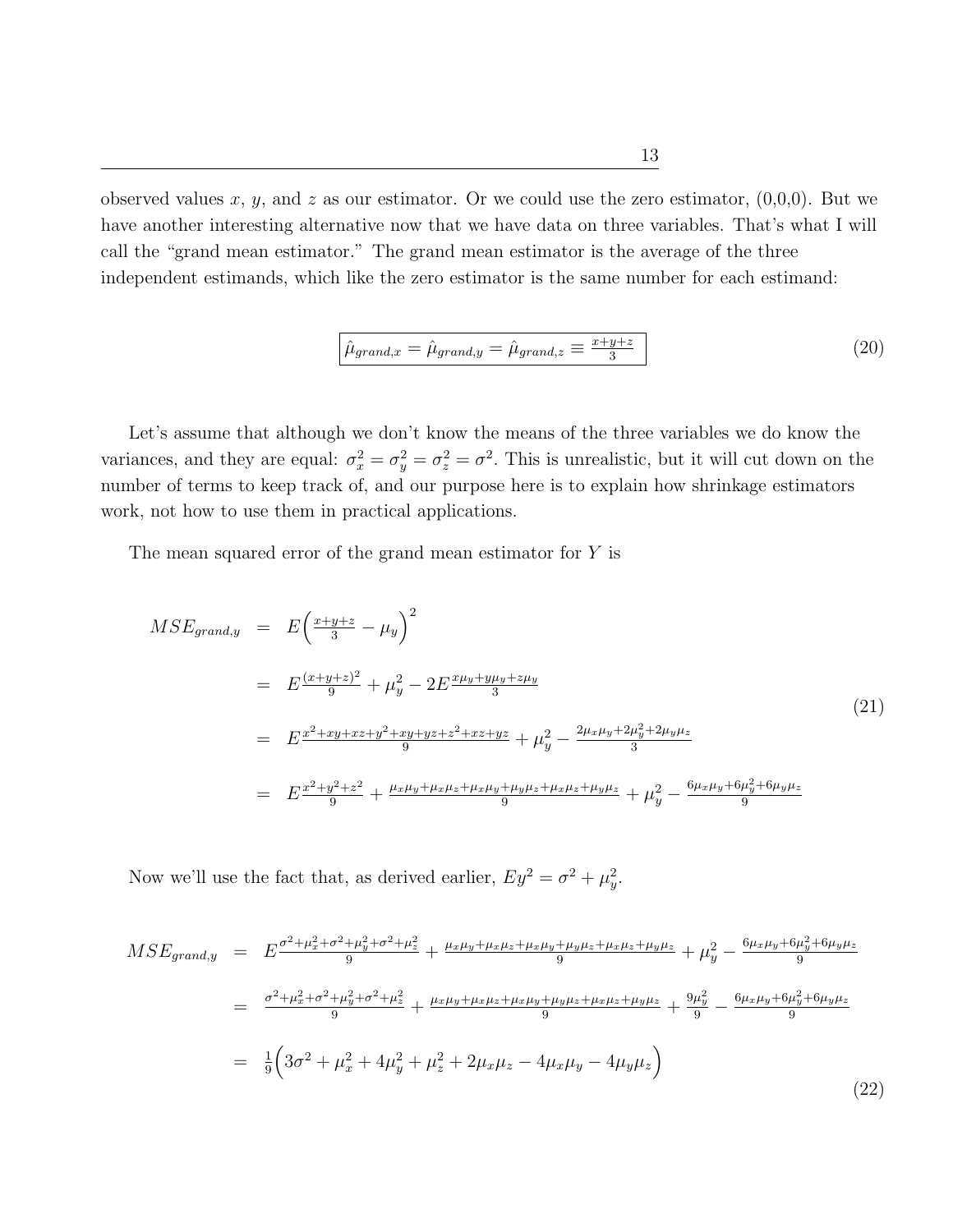observed values x, y, and z as our estimator. Or we could use the zero estimator,  $(0,0,0)$ . But we have another interesting alternative now that we have data on three variables. That's what I will call the "grand mean estimator." The grand mean estimator is the average of the three independent estimands, which like the zero estimator is the same number for each estimand:

$$
\hat{\mu}_{grand,x} = \hat{\mu}_{grand,y} = \hat{\mu}_{grand,z} \equiv \frac{x + y + z}{3}
$$
\n(20)

Let's assume that although we don't know the means of the three variables we do know the variances, and they are equal:  $\sigma_x^2 = \sigma_y^2 = \sigma_z^2 = \sigma^2$ . This is unrealistic, but it will cut down on the number of terms to keep track of, and our purpose here is to explain how shrinkage estimators work, not how to use them in practical applications.

The mean squared error of the grand mean estimator for Y is

$$
MSE_{grand,y} = E\left(\frac{x+y+z}{3} - \mu_y\right)^2
$$
  
=  $E\frac{(x+y+z)^2}{9} + \mu_y^2 - 2E\frac{x\mu_y + y\mu_y + z\mu_y}{3}$   
=  $E\frac{x^2 + xy + xz + y^2 + xy + yz + z^2 + xz + yz}{9} + \mu_y^2 - \frac{2\mu_x\mu_y + 2\mu_y^2 + 2\mu_y\mu_z}{3}$   
=  $E\frac{x^2 + y^2 + z^2}{9} + \frac{\mu_x\mu_y + \mu_x\mu_z + \mu_x\mu_y + \mu_y\mu_z + \mu_x\mu_z + \mu_y\mu_z}{9} + \mu_y^2 - \frac{6\mu_x\mu_y + 6\mu_y^2 + 6\mu_y\mu_z}{9}$  (21)

Now we'll use the fact that, as derived earlier,  $Ey^2 = \sigma^2 + \mu_y^2$ .

<span id="page-13-0"></span>
$$
MSE_{grand,y} = E \frac{\sigma^2 + \mu_x^2 + \sigma^2 + \mu_y^2 + \sigma^2 + \mu_z^2}{9} + \frac{\mu_x \mu_y + \mu_x \mu_z + \mu_x \mu_y + \mu_y \mu_z + \mu_x \mu_z + \mu_y \mu_z}{9} + \mu_y^2 - \frac{6\mu_x \mu_y + 6\mu_y^2 + 6\mu_y \mu_z}{9}
$$
  

$$
= \frac{\sigma^2 + \mu_x^2 + \sigma^2 + \mu_y^2 + \sigma^2 + \mu_z^2}{9} + \frac{\mu_x \mu_y + \mu_x \mu_z + \mu_x \mu_y + \mu_y \mu_z + \mu_x \mu_z + \mu_y \mu_z}{9} + \frac{9\mu_y^2}{9} - \frac{6\mu_x \mu_y + 6\mu_y^2 + 6\mu_y \mu_z}{9}
$$
  

$$
= \frac{1}{9} \Big( 3\sigma^2 + \mu_x^2 + 4\mu_y^2 + \mu_z^2 + 2\mu_x \mu_z - 4\mu_x \mu_y - 4\mu_y \mu_z \Big)
$$
(22)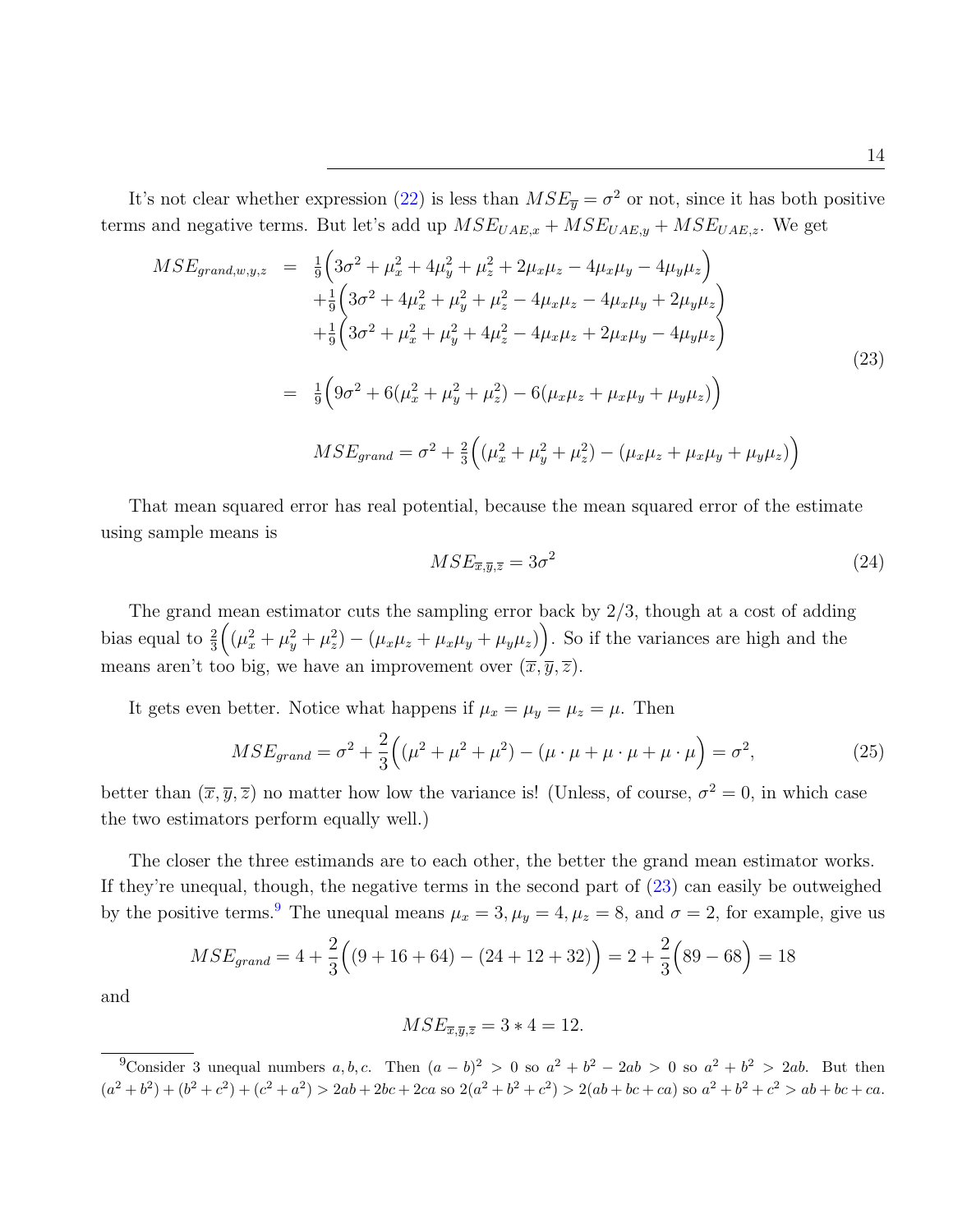It's not clear whether expression [\(22\)](#page-13-0) is less than  $MSE_{\overline{y}} = \sigma^2$  or not, since it has both positive terms and negative terms. But let's add up  $MSE_{UAE,x} + MSE_{UAE,y} + MSE_{UAE,z}$ . We get

<span id="page-14-0"></span>
$$
MSE_{grand,w,y,z} = \frac{1}{9} \Big( 3\sigma^2 + \mu_x^2 + 4\mu_y^2 + \mu_z^2 + 2\mu_x\mu_z - 4\mu_x\mu_y - 4\mu_y\mu_z \Big) + \frac{1}{9} \Big( 3\sigma^2 + 4\mu_x^2 + \mu_y^2 + \mu_z^2 - 4\mu_x\mu_z - 4\mu_x\mu_y + 2\mu_y\mu_z \Big) + \frac{1}{9} \Big( 3\sigma^2 + \mu_x^2 + \mu_y^2 + 4\mu_z^2 - 4\mu_x\mu_z + 2\mu_x\mu_y - 4\mu_y\mu_z \Big) = \frac{1}{9} \Big( 9\sigma^2 + 6(\mu_x^2 + \mu_y^2 + \mu_z^2) - 6(\mu_x\mu_z + \mu_x\mu_y + \mu_y\mu_z) \Big) MSE_{grand} = \sigma^2 + \frac{2}{3} \Big( (\mu_x^2 + \mu_y^2 + \mu_z^2) - (\mu_x\mu_z + \mu_x\mu_y + \mu_y\mu_z) \Big)
$$
(23)

That mean squared error has real potential, because the mean squared error of the estimate using sample means is

$$
MSE_{\overline{x},\overline{y},\overline{z}} = 3\sigma^2 \tag{24}
$$

The grand mean estimator cuts the sampling error back by  $2/3$ , though at a cost of adding bias equal to  $\frac{2}{3}((\mu_x^2+\mu_y^2+\mu_z^2)-(\mu_x\mu_z+\mu_x\mu_y+\mu_y\mu_z)).$  So if the variances are high and the means aren't too big, we have an improvement over  $(\overline{x}, \overline{y}, \overline{z})$ .

It gets even better. Notice what happens if  $\mu_x = \mu_y = \mu_z = \mu$ . Then

$$
MSE_{grand} = \sigma^2 + \frac{2}{3} \left( (\mu^2 + \mu^2 + \mu^2) - (\mu \cdot \mu + \mu \cdot \mu + \mu \cdot \mu) \right) = \sigma^2,
$$
 (25)

better than  $(\bar{x}, \bar{y}, \bar{z})$  no matter how low the variance is! (Unless, of course,  $\sigma^2 = 0$ , in which case the two estimators perform equally well.)

The closer the three estimands are to each other, the better the grand mean estimator works. If they're unequal, though, the negative terms in the second part of  $(23)$  can easily be outweighed by the positive terms.<sup>[9](#page-14-1)</sup> The unequal means  $\mu_x = 3$ ,  $\mu_y = 4$ ,  $\mu_z = 8$ , and  $\sigma = 2$ , for example, give us

$$
MSE_{grand} = 4 + \frac{2}{3} \Big( (9 + 16 + 64) - (24 + 12 + 32) \Big) = 2 + \frac{2}{3} \Big( 89 - 68 \Big) = 18
$$

and

$$
MSE_{\overline{x},\overline{y},\overline{z}} = 3 \times 4 = 12.
$$

<span id="page-14-1"></span><sup>&</sup>lt;sup>9</sup>Consider 3 unequal numbers a, b, c. Then  $(a - b)^2 > 0$  so  $a^2 + b^2 - 2ab > 0$  so  $a^2 + b^2 > 2ab$ . But then  $(a^{2} + b^{2}) + (b^{2} + c^{2}) + (c^{2} + a^{2}) > 2ab + 2bc + 2ca$  so  $2(a^{2} + b^{2} + c^{2}) > 2(ab + bc + ca)$  so  $a^{2} + b^{2} + c^{2} > ab + bc + ca$ .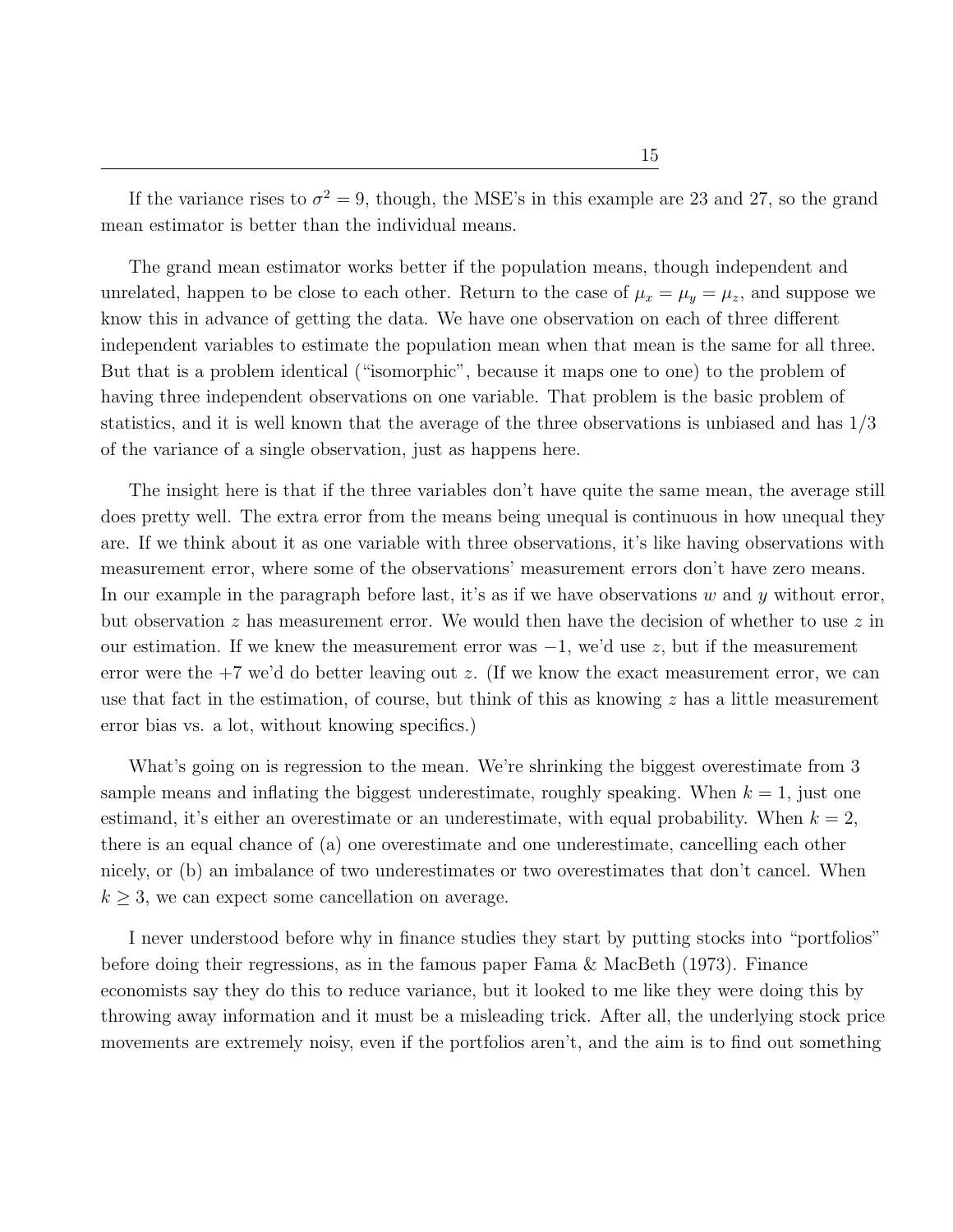The grand mean estimator works better if the population means, though independent and unrelated, happen to be close to each other. Return to the case of  $\mu_x = \mu_y = \mu_z$ , and suppose we know this in advance of getting the data. We have one observation on each of three different independent variables to estimate the population mean when that mean is the same for all three. But that is a problem identical ("isomorphic", because it maps one to one) to the problem of having three independent observations on one variable. That problem is the basic problem of statistics, and it is well known that the average of the three observations is unbiased and has 1/3 of the variance of a single observation, just as happens here.

The insight here is that if the three variables don't have quite the same mean, the average still does pretty well. The extra error from the means being unequal is continuous in how unequal they are. If we think about it as one variable with three observations, it's like having observations with measurement error, where some of the observations' measurement errors don't have zero means. In our example in the paragraph before last, it's as if we have observations  $w$  and  $y$  without error, but observation  $z$  has measurement error. We would then have the decision of whether to use  $z$  in our estimation. If we knew the measurement error was  $-1$ , we'd use z, but if the measurement error were the +7 we'd do better leaving out z. (If we know the exact measurement error, we can use that fact in the estimation, of course, but think of this as knowing  $z$  has a little measurement error bias vs. a lot, without knowing specifics.)

What's going on is regression to the mean. We're shrinking the biggest overestimate from 3 sample means and inflating the biggest underestimate, roughly speaking. When  $k = 1$ , just one estimand, it's either an overestimate or an underestimate, with equal probability. When  $k = 2$ , there is an equal chance of (a) one overestimate and one underestimate, cancelling each other nicely, or (b) an imbalance of two underestimates or two overestimates that don't cancel. When  $k \geq 3$ , we can expect some cancellation on average.

I never understood before why in finance studies they start by putting stocks into "portfolios" before doing their regressions, as in the famous paper Fama & MacBeth (1973). Finance economists say they do this to reduce variance, but it looked to me like they were doing this by throwing away information and it must be a misleading trick. After all, the underlying stock price movements are extremely noisy, even if the portfolios aren't, and the aim is to find out something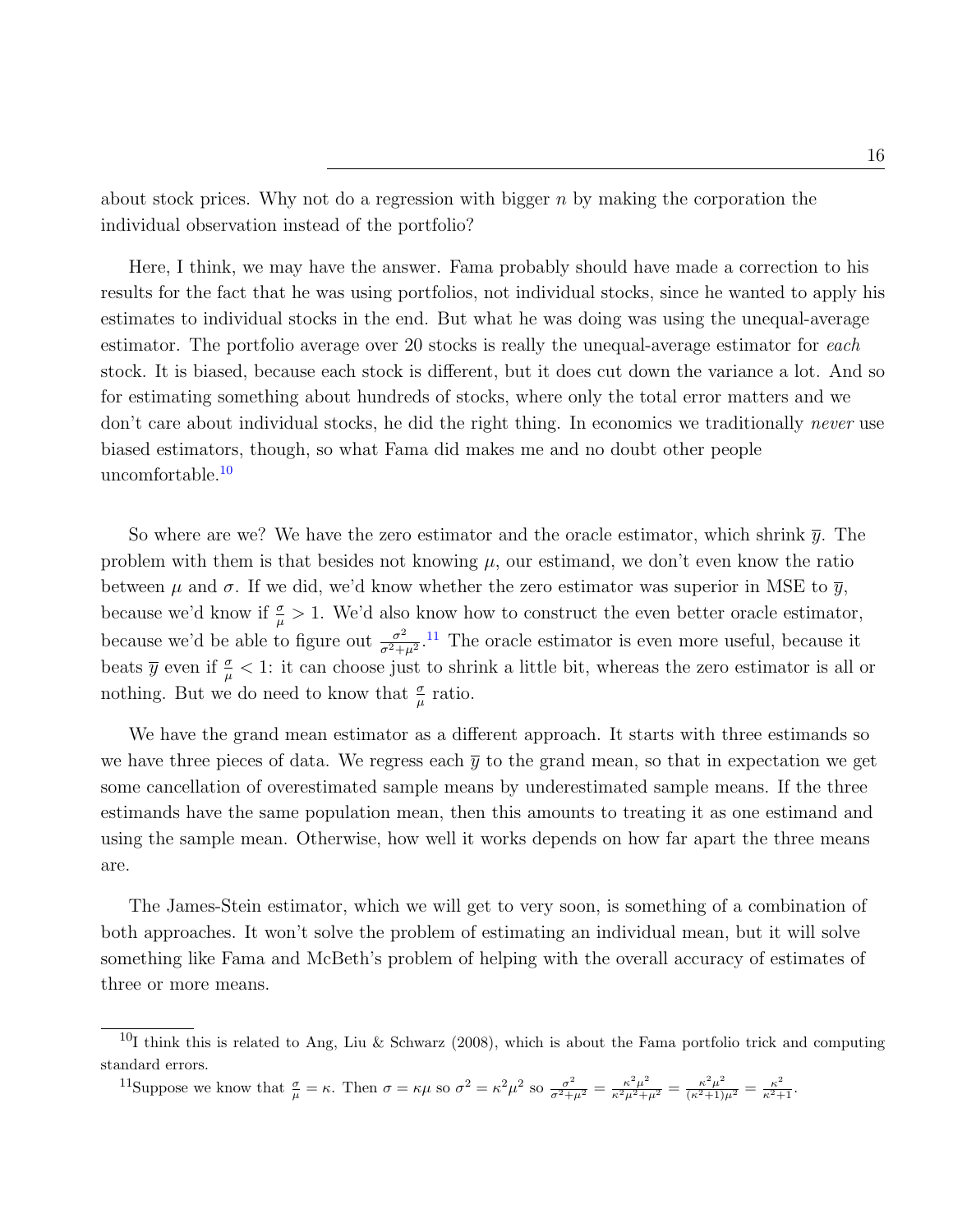about stock prices. Why not do a regression with bigger  $n$  by making the corporation the individual observation instead of the portfolio?

Here, I think, we may have the answer. Fama probably should have made a correction to his results for the fact that he was using portfolios, not individual stocks, since he wanted to apply his estimates to individual stocks in the end. But what he was doing was using the unequal-average estimator. The portfolio average over 20 stocks is really the unequal-average estimator for each stock. It is biased, because each stock is different, but it does cut down the variance a lot. And so for estimating something about hundreds of stocks, where only the total error matters and we don't care about individual stocks, he did the right thing. In economics we traditionally *never* use biased estimators, though, so what Fama did makes me and no doubt other people uncomfortable.<sup>[10](#page-16-0)</sup>

So where are we? We have the zero estimator and the oracle estimator, which shrink  $\bar{y}$ . The problem with them is that besides not knowing  $\mu$ , our estimand, we don't even know the ratio between  $\mu$  and  $\sigma$ . If we did, we'd know whether the zero estimator was superior in MSE to  $\bar{y}$ , because we'd know if  $\frac{\sigma}{\mu} > 1$ . We'd also know how to construct the even better oracle estimator, because we'd be able to figure out  $\frac{\sigma^2}{\sigma^2+}$  $\frac{\sigma^2}{\sigma^2+\mu^2}$ .<sup>[11](#page-16-1)</sup> The oracle estimator is even more useful, because it beats  $\bar{y}$  even if  $\frac{\sigma}{\mu} < 1$ : it can choose just to shrink a little bit, whereas the zero estimator is all or nothing. But we do need to know that  $\frac{\sigma}{\mu}$  ratio.

We have the grand mean estimator as a different approach. It starts with three estimands so we have three pieces of data. We regress each  $\bar{y}$  to the grand mean, so that in expectation we get some cancellation of overestimated sample means by underestimated sample means. If the three estimands have the same population mean, then this amounts to treating it as one estimand and using the sample mean. Otherwise, how well it works depends on how far apart the three means are.

The James-Stein estimator, which we will get to very soon, is something of a combination of both approaches. It won't solve the problem of estimating an individual mean, but it will solve something like Fama and McBeth's problem of helping with the overall accuracy of estimates of three or more means.

<span id="page-16-1"></span><sup>11</sup>Suppose we know that  $\frac{\sigma}{\mu} = \kappa$ . Then  $\sigma = \kappa \mu$  so  $\sigma^2 = \kappa^2 \mu^2$  so  $\frac{\sigma^2}{\sigma^2 + \mu^2} = \frac{\kappa^2 \mu^2}{\kappa^2 \mu^2 + \mu^2} = \frac{\kappa^2 \mu^2}{(\kappa^2 + 1)\mu^2} = \frac{\kappa^2}{\kappa^2 + 1}$ .

<span id="page-16-0"></span> $^{10}$ I think this is related to Ang, Liu & Schwarz (2008), which is about the Fama portfolio trick and computing standard errors.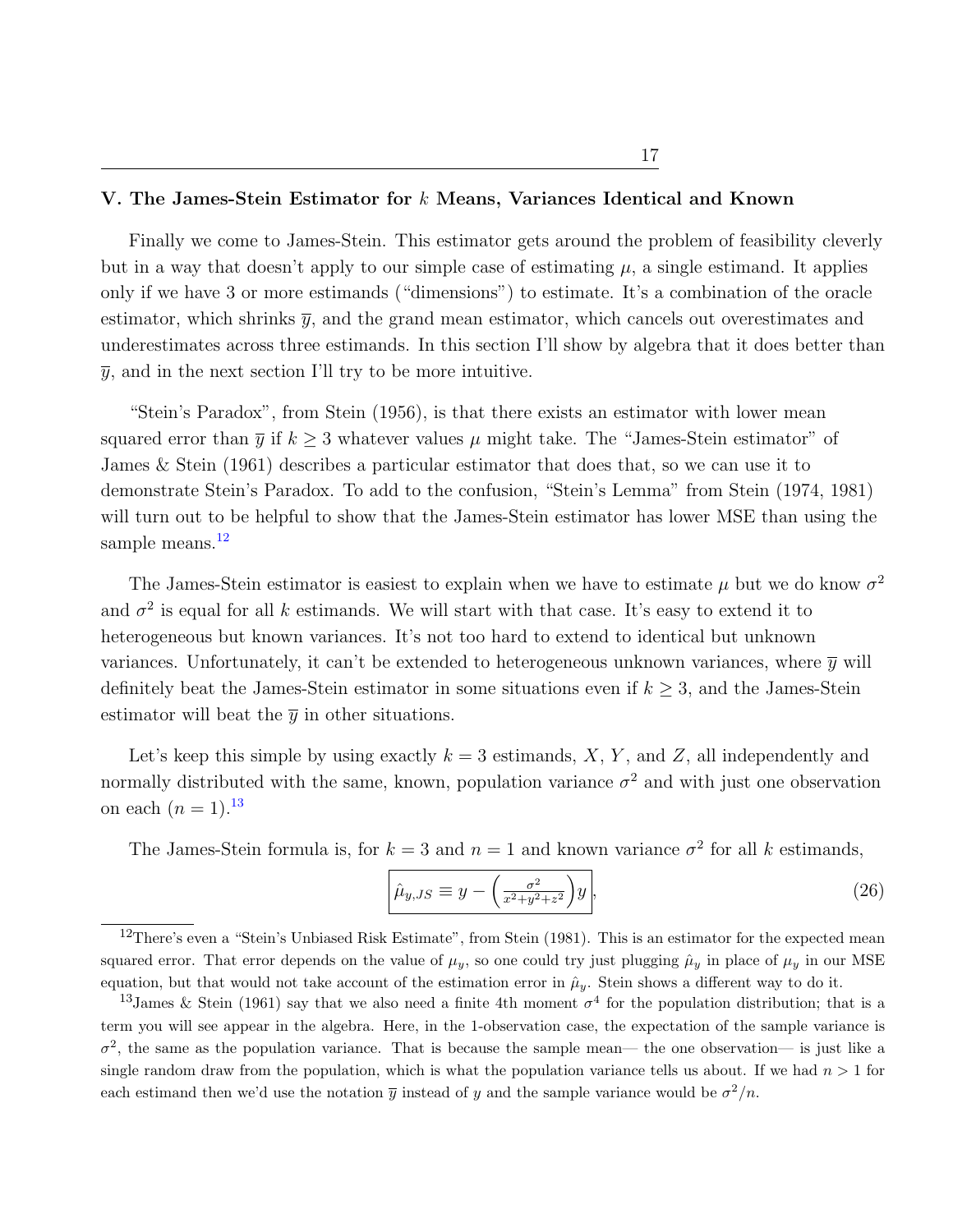### V. The James-Stein Estimator for  $k$  Means, Variances Identical and Known

Finally we come to James-Stein. This estimator gets around the problem of feasibility cleverly but in a way that doesn't apply to our simple case of estimating  $\mu$ , a single estimand. It applies only if we have 3 or more estimands ("dimensions") to estimate. It's a combination of the oracle estimator, which shrinks  $\bar{y}$ , and the grand mean estimator, which cancels out overestimates and underestimates across three estimands. In this section I'll show by algebra that it does better than  $\bar{y}$ , and in the next section I'll try to be more intuitive.

"Stein's Paradox", from Stein (1956), is that there exists an estimator with lower mean squared error than  $\bar{y}$  if  $k \geq 3$  whatever values  $\mu$  might take. The "James-Stein estimator" of James & Stein (1961) describes a particular estimator that does that, so we can use it to demonstrate Stein's Paradox. To add to the confusion, "Stein's Lemma" from Stein (1974, 1981) will turn out to be helpful to show that the James-Stein estimator has lower MSE than using the sample means. $12$ 

The James-Stein estimator is easiest to explain when we have to estimate  $\mu$  but we do know  $\sigma^2$ and  $\sigma^2$  is equal for all k estimands. We will start with that case. It's easy to extend it to heterogeneous but known variances. It's not too hard to extend to identical but unknown variances. Unfortunately, it can't be extended to heterogeneous unknown variances, where  $\bar{y}$  will definitely beat the James-Stein estimator in some situations even if  $k \geq 3$ , and the James-Stein estimator will beat the  $\bar{y}$  in other situations.

Let's keep this simple by using exactly  $k = 3$  estimands, X, Y, and Z, all independently and normally distributed with the same, known, population variance  $\sigma^2$  and with just one observation on each  $(n = 1).^{13}$  $(n = 1).^{13}$  $(n = 1).^{13}$ 

The James-Stein formula is, for  $k = 3$  and  $n = 1$  and known variance  $\sigma^2$  for all k estimands,

$$
\hat{\mu}_{y,JS} \equiv y - \left(\frac{\sigma^2}{x^2 + y^2 + z^2}\right)y\,,\tag{26}
$$

<span id="page-17-0"></span><sup>&</sup>lt;sup>12</sup>There's even a "Stein's Unbiased Risk Estimate", from Stein (1981). This is an estimator for the expected mean squared error. That error depends on the value of  $\mu_y$ , so one could try just plugging  $\hat{\mu}_y$  in place of  $\mu_y$  in our MSE equation, but that would not take account of the estimation error in  $\hat{\mu}_y$ . Stein shows a different way to do it.

<span id="page-17-1"></span><sup>&</sup>lt;sup>13</sup>James & Stein (1961) say that we also need a finite 4th moment  $\sigma^4$  for the population distribution; that is a term you will see appear in the algebra. Here, in the 1-observation case, the expectation of the sample variance is  $\sigma^2$ , the same as the population variance. That is because the sample mean— the one observation— is just like a single random draw from the population, which is what the population variance tells us about. If we had  $n > 1$  for each estimand then we'd use the notation  $\overline{y}$  instead of y and the sample variance would be  $\sigma^2/n$ .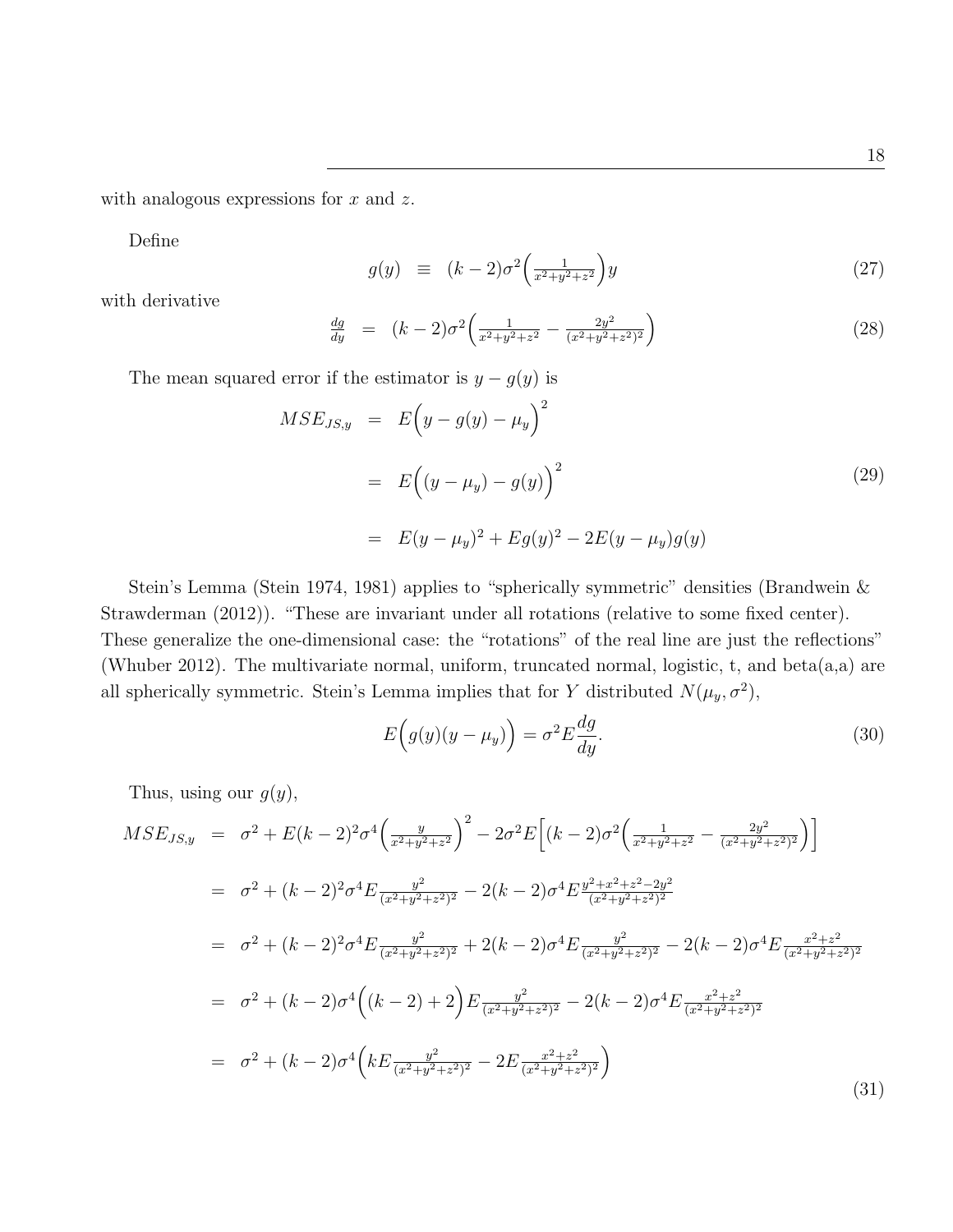with analogous expressions for  $x$  and  $z$ .

Define

$$
g(y) \equiv (k-2)\sigma^2 \left(\frac{1}{x^2+y^2+z^2}\right) y \tag{27}
$$

with derivative

$$
\frac{dg}{dy} = (k-2)\sigma^2 \left( \frac{1}{x^2 + y^2 + z^2} - \frac{2y^2}{(x^2 + y^2 + z^2)^2} \right) \tag{28}
$$

The mean squared error if the estimator is  $y - g(y)$  is

$$
MSE_{JS,y} = E(y - g(y) - \mu_y)^2
$$
  
=  $E((y - \mu_y) - g(y))^2$  (29)  
=  $E(y - \mu_y)^2 + Eg(y)^2 - 2E(y - \mu_y)g(y)$ 

Stein's Lemma (Stein 1974, 1981) applies to "spherically symmetric" densities (Brandwein & Strawderman (2012)). "These are invariant under all rotations (relative to some fixed center). These generalize the one-dimensional case: the "rotations" of the real line are just the reflections" (Whuber 2012). The multivariate normal, uniform, truncated normal, logistic, t, and beta(a,a) are all spherically symmetric. Stein's Lemma implies that for Y distributed  $N(\mu_y, \sigma^2)$ ,

$$
E\left(g(y)(y-\mu_y)\right) = \sigma^2 E \frac{dg}{dy}.
$$
\n(30)

Thus, using our  $g(y)$ ,

<span id="page-18-0"></span>
$$
MSE_{JS,y} = \sigma^2 + E(k-2)^2 \sigma^4 \left(\frac{y}{x^2+y^2+z^2}\right)^2 - 2\sigma^2 E \left[ (k-2)\sigma^2 \left(\frac{1}{x^2+y^2+z^2} - \frac{2y^2}{(x^2+y^2+z^2)^2}\right) \right]
$$
  
\n
$$
= \sigma^2 + (k-2)^2 \sigma^4 E \frac{y^2}{(x^2+y^2+z^2)^2} - 2(k-2)\sigma^4 E \frac{y^2+x^2+z^2-2y^2}{(x^2+y^2+z^2)^2}
$$
  
\n
$$
= \sigma^2 + (k-2)^2 \sigma^4 E \frac{y^2}{(x^2+y^2+z^2)^2} + 2(k-2)\sigma^4 E \frac{y^2}{(x^2+y^2+z^2)^2} - 2(k-2)\sigma^4 E \frac{x^2+z^2}{(x^2+y^2+z^2)^2}
$$
  
\n
$$
= \sigma^2 + (k-2)\sigma^4 \left( (k-2) + 2 \right) E \frac{y^2}{(x^2+y^2+z^2)^2} - 2(k-2)\sigma^4 E \frac{x^2+z^2}{(x^2+y^2+z^2)^2}
$$
  
\n
$$
= \sigma^2 + (k-2)\sigma^4 \left( k E \frac{y^2}{(x^2+y^2+z^2)^2} - 2 E \frac{x^2+z^2}{(x^2+y^2+z^2)^2} \right)
$$
  
\n(31)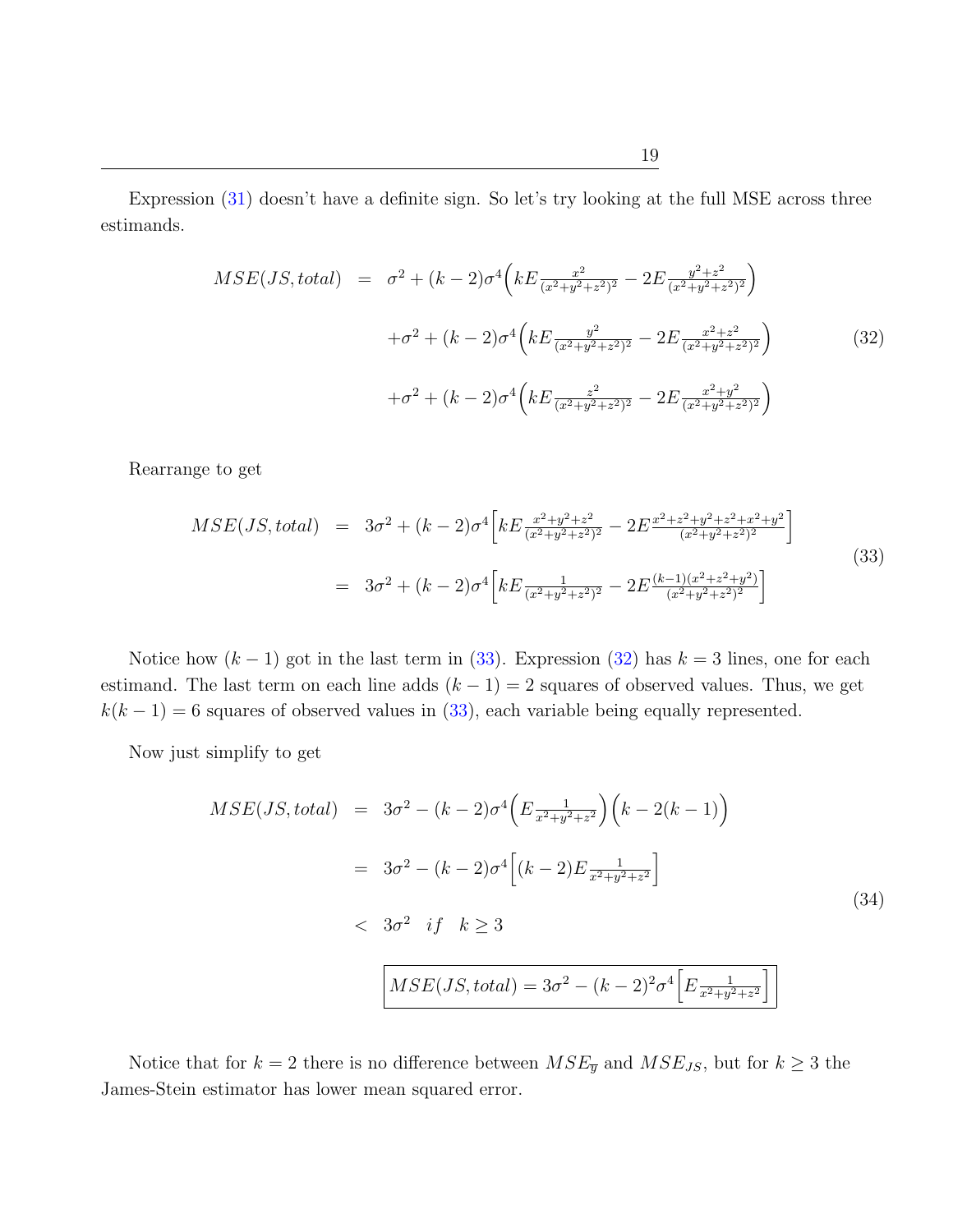Expression [\(31\)](#page-18-0) doesn't have a definite sign. So let's try looking at the full MSE across three estimands.

<span id="page-19-1"></span>
$$
MSE(JS, total) = \sigma^2 + (k-2)\sigma^4 \left( kE \frac{x^2}{(x^2+y^2+z^2)^2} - 2E \frac{y^2+z^2}{(x^2+y^2+z^2)^2} \right)
$$

$$
+ \sigma^2 + (k-2)\sigma^4 \left( kE \frac{y^2}{(x^2+y^2+z^2)^2} - 2E \frac{x^2+z^2}{(x^2+y^2+z^2)^2} \right)
$$

$$
+ \sigma^2 + (k-2)\sigma^4 \left( kE \frac{z^2}{(x^2+y^2+z^2)^2} - 2E \frac{x^2+y^2}{(x^2+y^2+z^2)^2} \right)
$$
(32)

Rearrange to get

<span id="page-19-0"></span>
$$
MSE(JS, total) = 3\sigma^{2} + (k - 2)\sigma^{4} \left[ kE \frac{x^{2} + y^{2} + z^{2}}{(x^{2} + y^{2} + z^{2})^{2}} - 2E \frac{x^{2} + z^{2} + y^{2} + z^{2} + x^{2} + y^{2}}{(x^{2} + y^{2} + z^{2})^{2}} \right]
$$
  

$$
= 3\sigma^{2} + (k - 2)\sigma^{4} \left[ kE \frac{1}{(x^{2} + y^{2} + z^{2})^{2}} - 2E \frac{(k - 1)(x^{2} + z^{2} + y^{2})}{(x^{2} + y^{2} + z^{2})^{2}} \right]
$$
(33)

Notice how  $(k-1)$  got in the last term in [\(33\)](#page-19-0). Expression [\(32\)](#page-19-1) has  $k = 3$  lines, one for each estimand. The last term on each line adds  $(k - 1) = 2$  squares of observed values. Thus, we get  $k(k-1) = 6$  squares of observed values in [\(33\)](#page-19-0), each variable being equally represented.

Now just simplify to get

$$
MSE(JS, total) = 3\sigma^2 - (k-2)\sigma^4 \left( E \frac{1}{x^2 + y^2 + z^2} \right) \left( k - 2(k-1) \right)
$$
  

$$
= 3\sigma^2 - (k-2)\sigma^4 \left[ (k-2)E \frac{1}{x^2 + y^2 + z^2} \right]
$$
  

$$
< 3\sigma^2 \quad \text{if} \quad k \ge 3
$$
  

$$
MSE(JS, total) = 3\sigma^2 - (k-2)^2 \sigma^4 \left[ E \frac{1}{x^2 + y^2 + z^2} \right]
$$
 (34)

Notice that for  $k = 2$  there is no difference between  $MSE_{\overline{y}}$  and  $MSE_{JS}$ , but for  $k \geq 3$  the James-Stein estimator has lower mean squared error.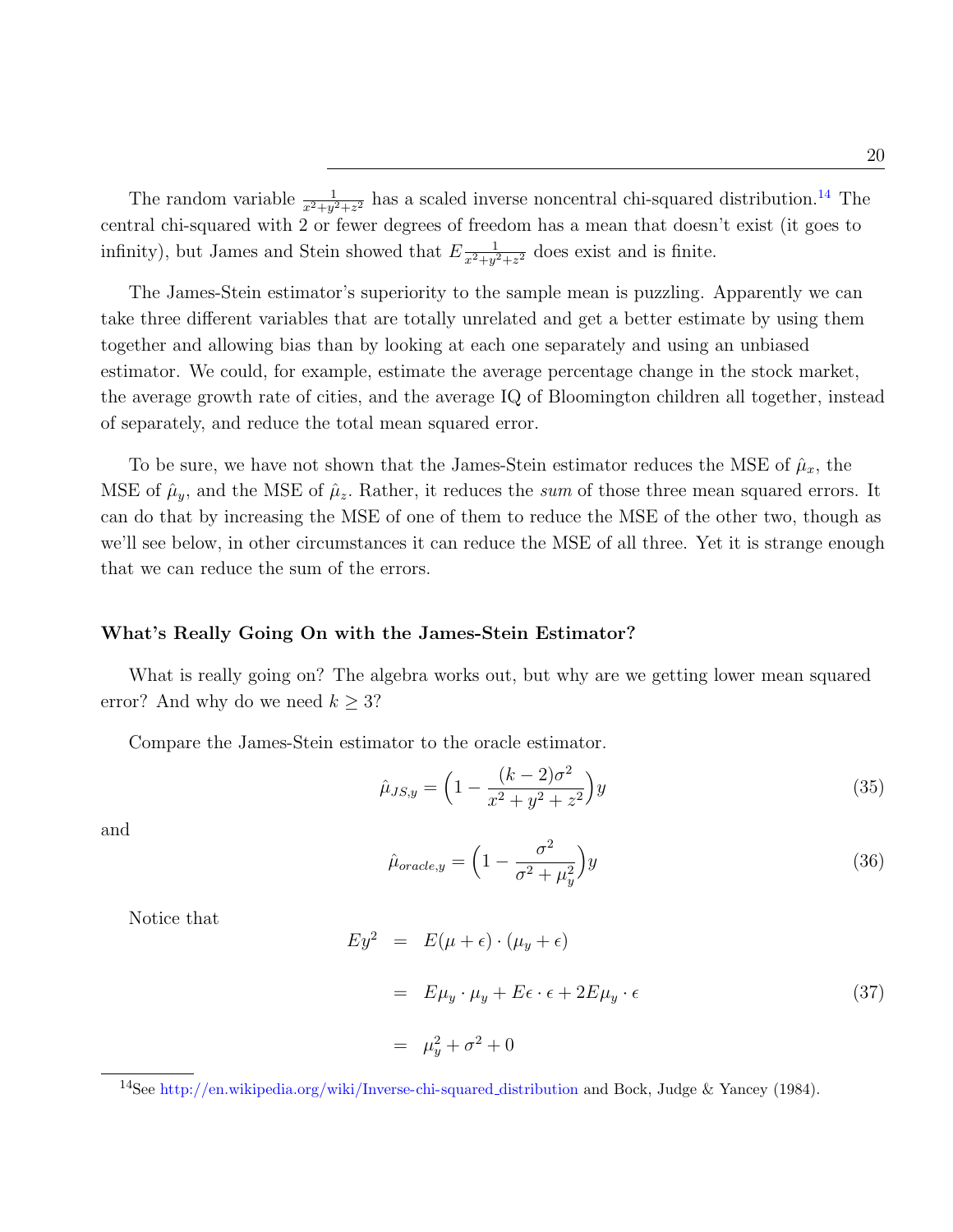The random variable  $\frac{1}{x^2+y^2+z^2}$  has a scaled inverse noncentral chi-squared distribution.<sup>[14](#page-20-0)</sup> The central chi-squared with 2 or fewer degrees of freedom has a mean that doesn't exist (it goes to infinity), but James and Stein showed that  $E_{\overline{x^2+y^2}}$  $\frac{1}{x^2+y^2+z^2}$  does exist and is finite.

The James-Stein estimator's superiority to the sample mean is puzzling. Apparently we can take three different variables that are totally unrelated and get a better estimate by using them together and allowing bias than by looking at each one separately and using an unbiased estimator. We could, for example, estimate the average percentage change in the stock market, the average growth rate of cities, and the average IQ of Bloomington children all together, instead of separately, and reduce the total mean squared error.

To be sure, we have not shown that the James-Stein estimator reduces the MSE of  $\hat{\mu}_x$ , the MSE of  $\hat{\mu}_y$ , and the MSE of  $\hat{\mu}_z$ . Rather, it reduces the sum of those three mean squared errors. It can do that by increasing the MSE of one of them to reduce the MSE of the other two, though as we'll see below, in other circumstances it can reduce the MSE of all three. Yet it is strange enough that we can reduce the sum of the errors.

## What's Really Going On with the James-Stein Estimator?

What is really going on? The algebra works out, but why are we getting lower mean squared error? And why do we need  $k \geq 3$ ?

Compare the James-Stein estimator to the oracle estimator.

<span id="page-20-1"></span>
$$
\hat{\mu}_{JS,y} = \left(1 - \frac{(k-2)\sigma^2}{x^2 + y^2 + z^2}\right)y\tag{35}
$$

and

$$
\hat{\mu}_{oracle,y} = \left(1 - \frac{\sigma^2}{\sigma^2 + \mu_y^2}\right) y \tag{36}
$$

Notice that

$$
Ey2 = E(\mu + \epsilon) \cdot (\mu_y + \epsilon)
$$
  
=  $E\mu_y \cdot \mu_y + E\epsilon \cdot \epsilon + 2E\mu_y \cdot \epsilon$  (37)  
=  $\mu_y^2 + \sigma^2 + 0$ 

<span id="page-20-0"></span><sup>14</sup>See [http://en.wikipedia.org/wiki/Inverse-chi-squared](http://en.wikipedia.org/wiki/Inverse-chi-squared_distribution) distribution and Bock, Judge & Yancey (1984).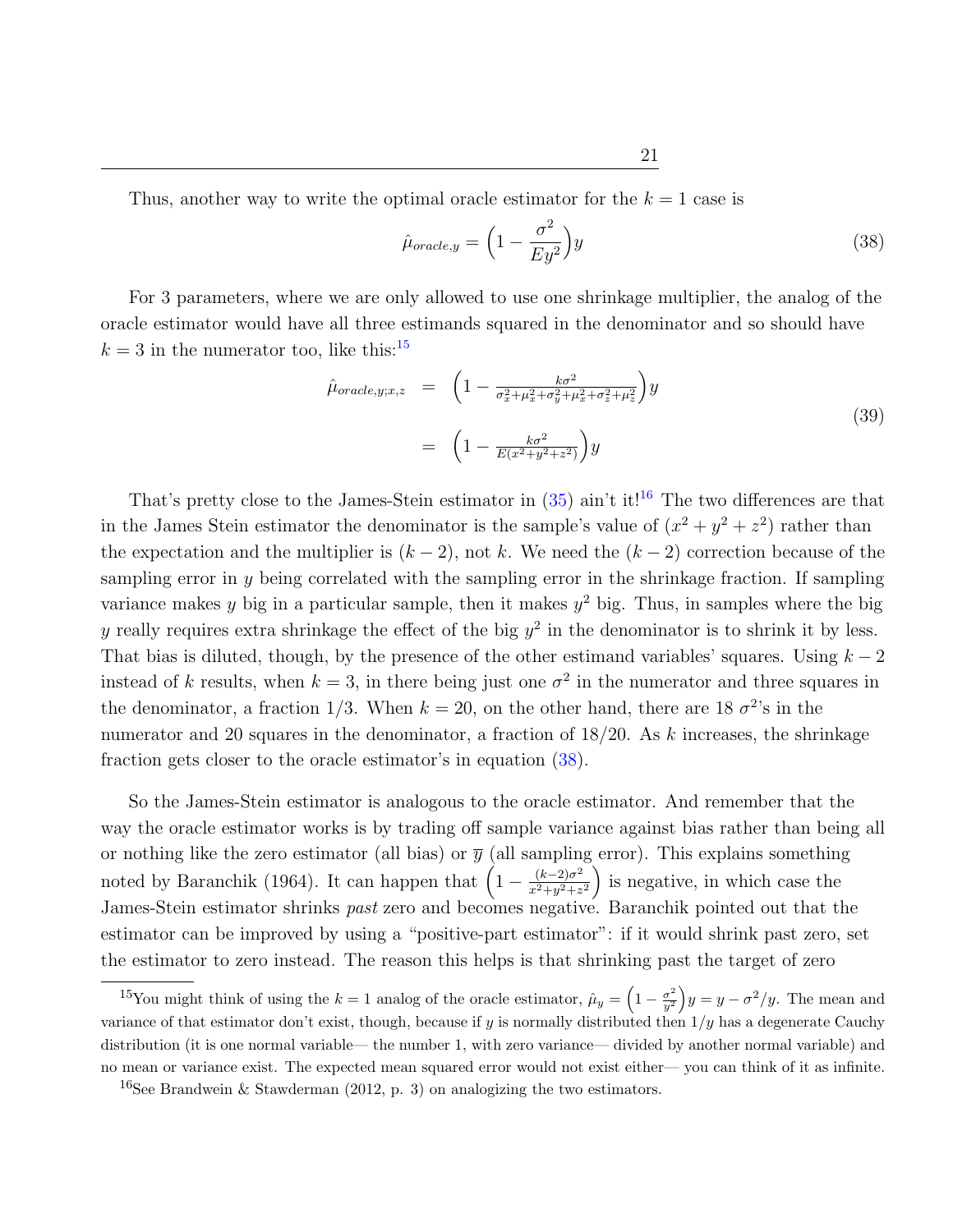Thus, another way to write the optimal oracle estimator for the  $k = 1$  case is

<span id="page-21-2"></span>
$$
\hat{\mu}_{oracle,y} = \left(1 - \frac{\sigma^2}{E y^2}\right) y \tag{38}
$$

For 3 parameters, where we are only allowed to use one shrinkage multiplier, the analog of the oracle estimator would have all three estimands squared in the denominator and so should have  $k = 3$  in the numerator too, like this:<sup>[15](#page-21-0)</sup>

$$
\hat{\mu}_{oracle,y;x,z} = \left(1 - \frac{k\sigma^2}{\sigma_x^2 + \mu_x^2 + \sigma_y^2 + \mu_x^2 + \sigma_z^2 + \mu_z^2}\right)y \n= \left(1 - \frac{k\sigma^2}{E(x^2 + y^2 + z^2)}\right)y
$$
\n(39)

That's pretty close to the James-Stein estimator in  $(35)$  ain't it!<sup>[16](#page-21-1)</sup> The two differences are that in the James Stein estimator the denominator is the sample's value of  $(x^2 + y^2 + z^2)$  rather than the expectation and the multiplier is  $(k-2)$ , not k. We need the  $(k-2)$  correction because of the sampling error in  $y$  being correlated with the sampling error in the shrinkage fraction. If sampling variance makes y big in a particular sample, then it makes  $y^2$  big. Thus, in samples where the big y really requires extra shrinkage the effect of the big  $y^2$  in the denominator is to shrink it by less. That bias is diluted, though, by the presence of the other estimand variables' squares. Using  $k - 2$ instead of k results, when  $k = 3$ , in there being just one  $\sigma^2$  in the numerator and three squares in the denominator, a fraction 1/3. When  $k = 20$ , on the other hand, there are 18  $\sigma^2$ 's in the numerator and 20 squares in the denominator, a fraction of  $18/20$ . As k increases, the shrinkage fraction gets closer to the oracle estimator's in equation [\(38\)](#page-21-2).

So the James-Stein estimator is analogous to the oracle estimator. And remember that the way the oracle estimator works is by trading off sample variance against bias rather than being all or nothing like the zero estimator (all bias) or  $\bar{y}$  (all sampling error). This explains something noted by Baranchik (1964). It can happen that  $\left(1 - \frac{(k-2)\sigma^2}{r^2 + n^2 + r^2}\right)$  $\frac{(k-2)\sigma^2}{x^2+y^2+z^2}$  is negative, in which case the James-Stein estimator shrinks past zero and becomes negative. Baranchik pointed out that the estimator can be improved by using a "positive-part estimator": if it would shrink past zero, set the estimator to zero instead. The reason this helps is that shrinking past the target of zero

<span id="page-21-0"></span><sup>&</sup>lt;sup>15</sup>You might think of using the  $k = 1$  analog of the oracle estimator,  $\hat{\mu}_y = \left(1 - \frac{\sigma^2}{y^2}\right)$  $\left(\frac{\sigma^2}{y^2}\right)y = y - \frac{\sigma^2}{y}$ . The mean and variance of that estimator don't exist, though, because if y is normally distributed then  $1/y$  has a degenerate Cauchy distribution (it is one normal variable— the number 1, with zero variance— divided by another normal variable) and no mean or variance exist. The expected mean squared error would not exist either— you can think of it as infinite.

<span id="page-21-1"></span><sup>&</sup>lt;sup>16</sup>See Brandwein & Stawderman (2012, p. 3) on analogizing the two estimators.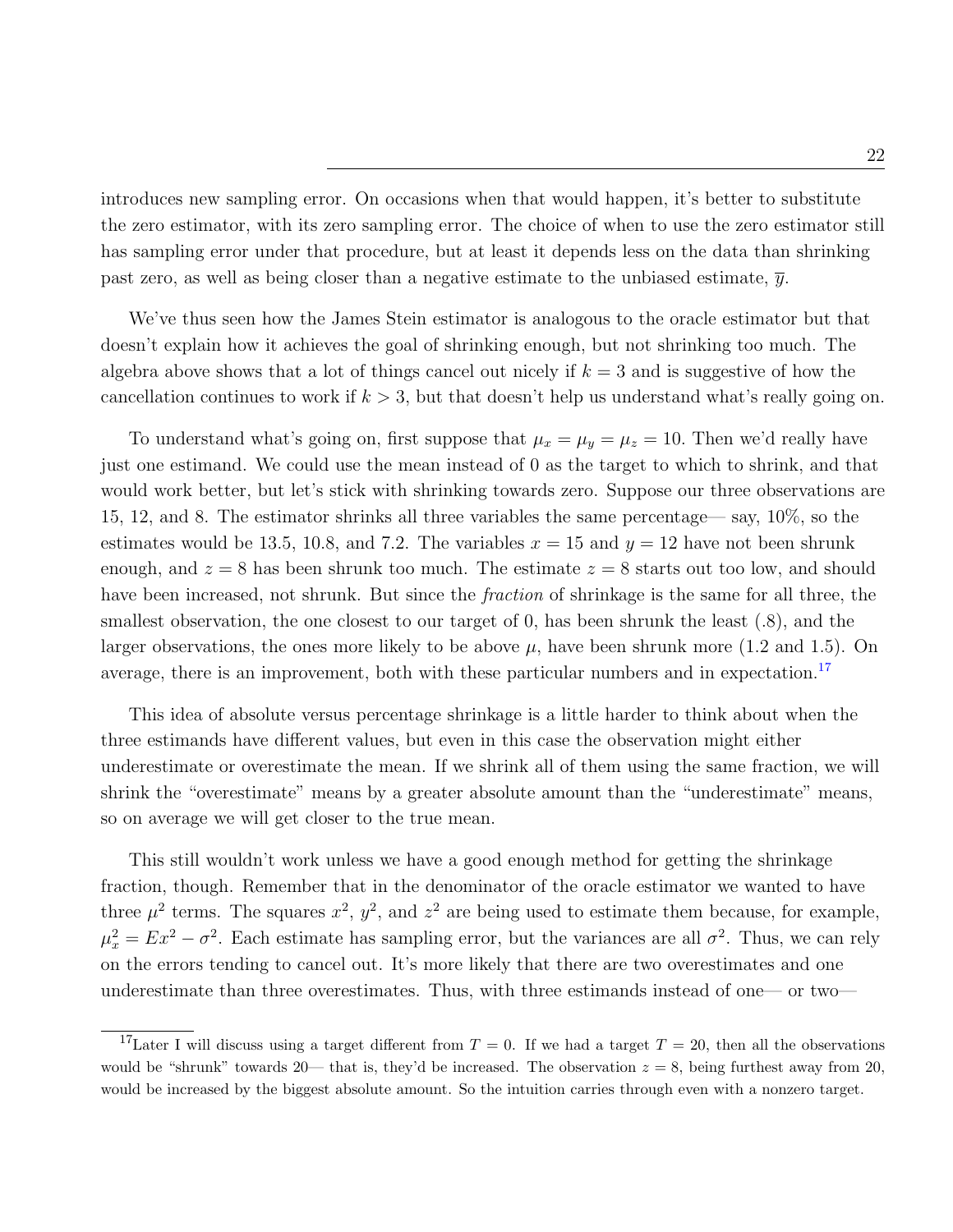introduces new sampling error. On occasions when that would happen, it's better to substitute the zero estimator, with its zero sampling error. The choice of when to use the zero estimator still has sampling error under that procedure, but at least it depends less on the data than shrinking past zero, as well as being closer than a negative estimate to the unbiased estimate,  $\bar{y}$ .

We've thus seen how the James Stein estimator is analogous to the oracle estimator but that doesn't explain how it achieves the goal of shrinking enough, but not shrinking too much. The algebra above shows that a lot of things cancel out nicely if  $k = 3$  and is suggestive of how the cancellation continues to work if  $k > 3$ , but that doesn't help us understand what's really going on.

To understand what's going on, first suppose that  $\mu_x = \mu_y = \mu_z = 10$ . Then we'd really have just one estimand. We could use the mean instead of 0 as the target to which to shrink, and that would work better, but let's stick with shrinking towards zero. Suppose our three observations are 15, 12, and 8. The estimator shrinks all three variables the same percentage— say, 10%, so the estimates would be 13.5, 10.8, and 7.2. The variables  $x = 15$  and  $y = 12$  have not been shrunk enough, and  $z = 8$  has been shrunk too much. The estimate  $z = 8$  starts out too low, and should have been increased, not shrunk. But since the *fraction* of shrinkage is the same for all three, the smallest observation, the one closest to our target of 0, has been shrunk the least  $(0.8)$ , and the larger observations, the ones more likely to be above  $\mu$ , have been shrunk more (1.2 and 1.5). On average, there is an improvement, both with these particular numbers and in expectation.<sup>[17](#page-22-0)</sup>

This idea of absolute versus percentage shrinkage is a little harder to think about when the three estimands have different values, but even in this case the observation might either underestimate or overestimate the mean. If we shrink all of them using the same fraction, we will shrink the "overestimate" means by a greater absolute amount than the "underestimate" means, so on average we will get closer to the true mean.

This still wouldn't work unless we have a good enough method for getting the shrinkage fraction, though. Remember that in the denominator of the oracle estimator we wanted to have three  $\mu^2$  terms. The squares  $x^2$ ,  $y^2$ , and  $z^2$  are being used to estimate them because, for example,  $\mu_x^2 = Ex^2 - \sigma^2$ . Each estimate has sampling error, but the variances are all  $\sigma^2$ . Thus, we can rely on the errors tending to cancel out. It's more likely that there are two overestimates and one underestimate than three overestimates. Thus, with three estimands instead of one— or two—

<span id="page-22-0"></span><sup>&</sup>lt;sup>17</sup>Later I will discuss using a target different from  $T = 0$ . If we had a target  $T = 20$ , then all the observations would be "shrunk" towards 20— that is, they'd be increased. The observation  $z = 8$ , being furthest away from 20, would be increased by the biggest absolute amount. So the intuition carries through even with a nonzero target.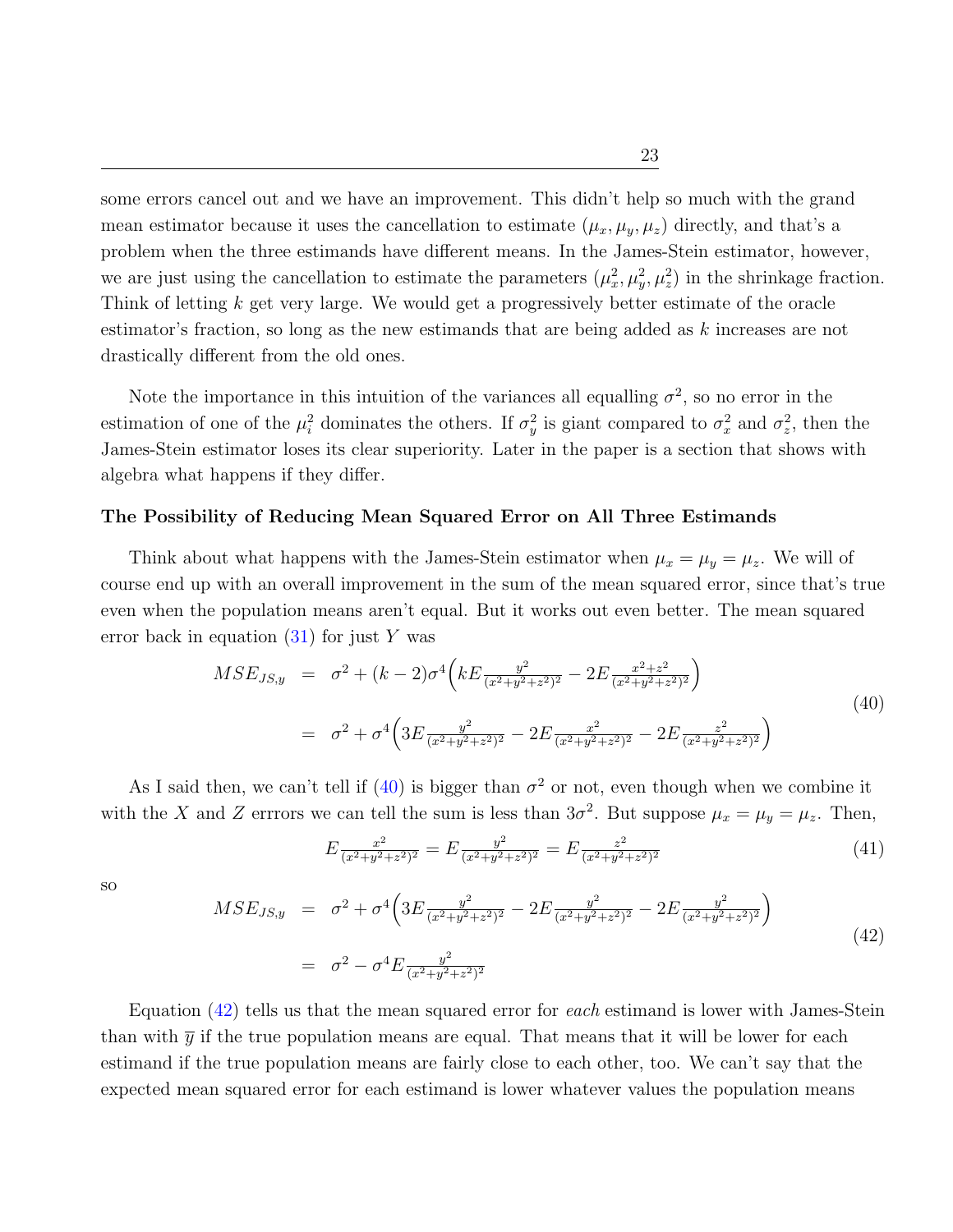some errors cancel out and we have an improvement. This didn't help so much with the grand mean estimator because it uses the cancellation to estimate  $(\mu_x, \mu_y, \mu_z)$  directly, and that's a problem when the three estimands have different means. In the James-Stein estimator, however, we are just using the cancellation to estimate the parameters  $(\mu_x^2, \mu_y^2, \mu_z^2)$  in the shrinkage fraction. Think of letting k get very large. We would get a progressively better estimate of the oracle estimator's fraction, so long as the new estimands that are being added as k increases are not drastically different from the old ones.

Note the importance in this intuition of the variances all equalling  $\sigma^2$ , so no error in the estimation of one of the  $\mu_i^2$  dominates the others. If  $\sigma_y^2$  is giant compared to  $\sigma_x^2$  and  $\sigma_z^2$ , then the James-Stein estimator loses its clear superiority. Later in the paper is a section that shows with algebra what happens if they differ.

## The Possibility of Reducing Mean Squared Error on All Three Estimands

Think about what happens with the James-Stein estimator when  $\mu_x = \mu_y = \mu_z$ . We will of course end up with an overall improvement in the sum of the mean squared error, since that's true even when the population means aren't equal. But it works out even better. The mean squared error back in equation  $(31)$  for just Y was

<span id="page-23-0"></span>
$$
MSE_{JS,y} = \sigma^2 + (k-2)\sigma^4 \left( kE \frac{y^2}{(x^2 + y^2 + z^2)^2} - 2E \frac{x^2 + z^2}{(x^2 + y^2 + z^2)^2} \right)
$$
  
=  $\sigma^2 + \sigma^4 \left( 3E \frac{y^2}{(x^2 + y^2 + z^2)^2} - 2E \frac{x^2}{(x^2 + y^2 + z^2)^2} - 2E \frac{z^2}{(x^2 + y^2 + z^2)^2} \right)$  (40)

As I said then, we can't tell if [\(40\)](#page-23-0) is bigger than  $\sigma^2$  or not, even though when we combine it with the X and Z errrors we can tell the sum is less than  $3\sigma^2$ . But suppose  $\mu_x = \mu_y = \mu_z$ . Then,

$$
E\frac{x^2}{(x^2+y^2+z^2)^2} = E\frac{y^2}{(x^2+y^2+z^2)^2} = E\frac{z^2}{(x^2+y^2+z^2)^2}
$$
(41)

so

<span id="page-23-1"></span>
$$
MSE_{JS,y} = \sigma^2 + \sigma^4 \left( 3E \frac{y^2}{(x^2 + y^2 + z^2)^2} - 2E \frac{y^2}{(x^2 + y^2 + z^2)^2} - 2E \frac{y^2}{(x^2 + y^2 + z^2)^2} \right)
$$
  
=  $\sigma^2 - \sigma^4 E \frac{y^2}{(x^2 + y^2 + z^2)^2}$  (42)

Equation [\(42\)](#page-23-1) tells us that the mean squared error for each estimand is lower with James-Stein than with  $\bar{y}$  if the true population means are equal. That means that it will be lower for each estimand if the true population means are fairly close to each other, too. We can't say that the expected mean squared error for each estimand is lower whatever values the population means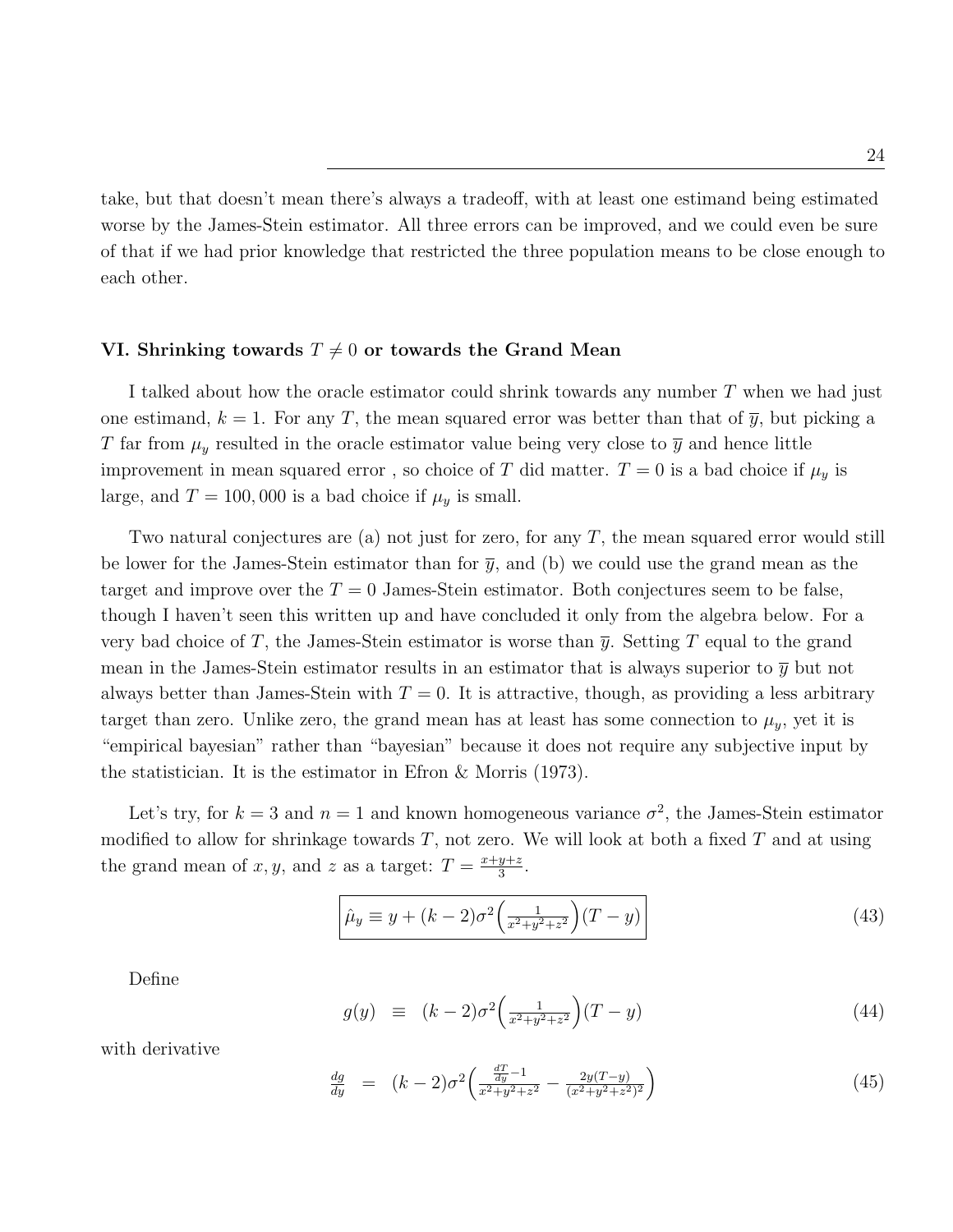take, but that doesn't mean there's always a tradeoff, with at least one estimand being estimated worse by the James-Stein estimator. All three errors can be improved, and we could even be sure of that if we had prior knowledge that restricted the three population means to be close enough to each other.

## VI. Shrinking towards  $T \neq 0$  or towards the Grand Mean

I talked about how the oracle estimator could shrink towards any number T when we had just one estimand,  $k = 1$ . For any T, the mean squared error was better than that of  $\overline{y}$ , but picking a T far from  $\mu_y$  resulted in the oracle estimator value being very close to  $\bar{y}$  and hence little improvement in mean squared error, so choice of T did matter.  $T = 0$  is a bad choice if  $\mu_y$  is large, and  $T = 100,000$  is a bad choice if  $\mu_y$  is small.

Two natural conjectures are (a) not just for zero, for any T, the mean squared error would still be lower for the James-Stein estimator than for  $\bar{y}$ , and (b) we could use the grand mean as the target and improve over the  $T = 0$  James-Stein estimator. Both conjectures seem to be false, though I haven't seen this written up and have concluded it only from the algebra below. For a very bad choice of T, the James-Stein estimator is worse than  $\bar{y}$ . Setting T equal to the grand mean in the James-Stein estimator results in an estimator that is always superior to  $\bar{y}$  but not always better than James-Stein with  $T = 0$ . It is attractive, though, as providing a less arbitrary target than zero. Unlike zero, the grand mean has at least has some connection to  $\mu_y$ , yet it is "empirical bayesian" rather than "bayesian" because it does not require any subjective input by the statistician. It is the estimator in Efron & Morris (1973).

Let's try, for  $k = 3$  and  $n = 1$  and known homogeneous variance  $\sigma^2$ , the James-Stein estimator modified to allow for shrinkage towards  $T$ , not zero. We will look at both a fixed  $T$  and at using the grand mean of x, y, and z as a target:  $T = \frac{x+y+z}{3}$  $\frac{y+z}{3}$ .

$$
\hat{\mu}_y \equiv y + (k-2)\sigma^2 \left(\frac{1}{x^2 + y^2 + z^2}\right) (T - y) \tag{43}
$$

Define

$$
g(y) \equiv (k-2)\sigma^2 \left(\frac{1}{x^2 + y^2 + z^2}\right) (T - y) \tag{44}
$$

with derivative

$$
\frac{dg}{dy} = (k-2)\sigma^2 \left( \frac{\frac{dT}{dy} - 1}{x^2 + y^2 + z^2} - \frac{2y(T-y)}{(x^2 + y^2 + z^2)^2} \right)
$$
\n(45)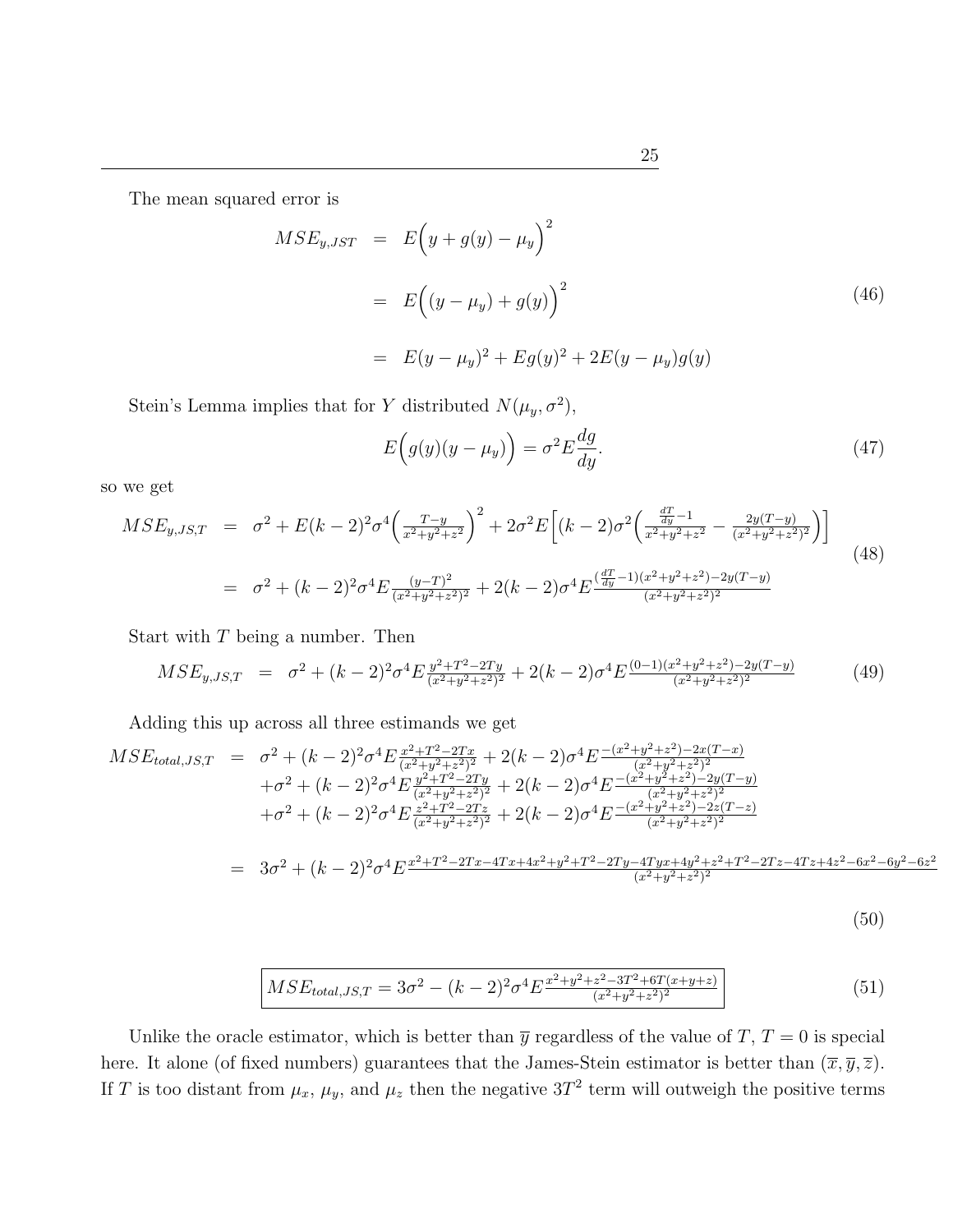The mean squared error is

$$
MSE_{y,JST} = E(y + g(y) - \mu_y)^2
$$
  
=  $E((y - \mu_y) + g(y))^2$  (46)  
=  $E(y - \mu_y)^2 + Eg(y)^2 + 2E(y - \mu_y)g(y)$ 

Stein's Lemma implies that for Y distributed  $N(\mu_y, \sigma^2)$ ,

$$
E\left(g(y)(y-\mu_y)\right) = \sigma^2 E \frac{dg}{dy}.
$$
\n(47)

so we get

$$
MSE_{y,JS,T} = \sigma^2 + E(k-2)^2 \sigma^4 \left(\frac{T-y}{x^2+y^2+z^2}\right)^2 + 2\sigma^2 E \left[ (k-2)\sigma^2 \left(\frac{\frac{dT}{dy}-1}{x^2+y^2+z^2} - \frac{2y(T-y)}{(x^2+y^2+z^2)^2} \right) \right]
$$
  
=  $\sigma^2 + (k-2)^2 \sigma^4 E \frac{(y-T)^2}{(x^2+y^2+z^2)^2} + 2(k-2)\sigma^4 E \frac{(\frac{dT}{dy}-1)(x^2+y^2+z^2) - 2y(T-y)}{(x^2+y^2+z^2)^2}$  (48)

Start with  $T$  being a number. Then

$$
MSE_{y,JS,T} = \sigma^2 + (k-2)^2 \sigma^4 E \frac{y^2 + T^2 - 2Ty}{(x^2 + y^2 + z^2)^2} + 2(k-2) \sigma^4 E \frac{(0-1)(x^2 + y^2 + z^2) - 2y(T - y)}{(x^2 + y^2 + z^2)^2}
$$
(49)

Adding this up across all three estimands we get

$$
MSE_{total,JS,T} = \sigma^2 + (k-2)^2 \sigma^4 E \frac{x^2 + T^2 - 2Tx}{(x^2 + y^2 + z^2)^2} + 2(k-2) \sigma^4 E \frac{-(x^2 + y^2 + z^2) - 2x(T - x)}{(x^2 + y^2 + z^2)^2} + \sigma^2 + (k-2)^2 \sigma^4 E \frac{y^2 + T^2 - 2Ty}{(x^2 + y^2 + z^2)^2} + 2(k-2) \sigma^4 E \frac{-(x^2 + y^2 + z^2) - 2y(T - y)}{(x^2 + y^2 + z^2)^2} + \sigma^2 + (k-2)^2 \sigma^4 E \frac{z^2 + T^2 - 2Tx}{(x^2 + y^2 + z^2)^2} + 2(k-2) \sigma^4 E \frac{-(x^2 + y^2 + z^2) - 2z(T - z)}{(x^2 + y^2 + z^2)^2} = 3\sigma^2 + (k-2)^2 \sigma^4 E \frac{x^2 + T^2 - 2Tx - 4Tx + 4x^2 + y^2 + T^2 - 2Ty - 4Tyx + 4y^2 + z^2 + T^2 - 2Tz - 4Tz + 4z^2 - 6x^2 - 6y^2 - 6z^2}{(x^2 + y^2 + z^2)^2}
$$

$$
(50)
$$

$$
MSE_{total,JS,T} = 3\sigma^2 - (k-2)^2 \sigma^4 E^{\frac{x^2 + y^2 + z^2 - 3T^2 + 6T(x + y + z)}{(x^2 + y^2 + z^2)^2}}
$$
(51)

Unlike the oracle estimator, which is better than  $\overline{y}$  regardless of the value of T, T = 0 is special here. It alone (of fixed numbers) guarantees that the James-Stein estimator is better than  $(\bar{x}, \bar{y}, \bar{z})$ . If T is too distant from  $\mu_x$ ,  $\mu_y$ , and  $\mu_z$  then the negative 3T<sup>2</sup> term will outweigh the positive terms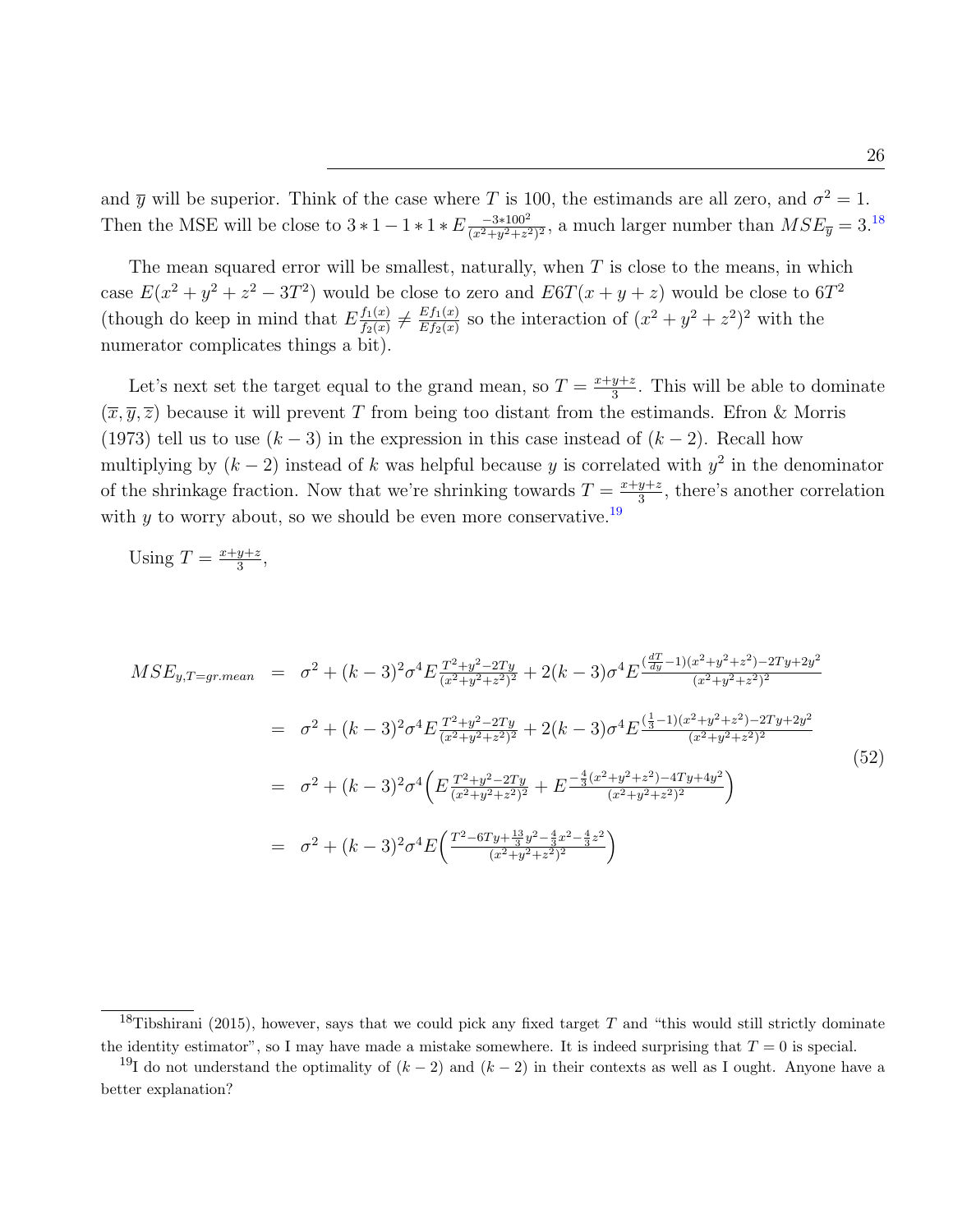and  $\bar{y}$  will be superior. Think of the case where T is 100, the estimands are all zero, and  $\sigma^2 = 1$ . Then the MSE will be close to  $3 * 1 - 1 * 1 * E \frac{-3 * 100^2}{(x^2 + y^2 + z^2)}$  $\frac{-3*100^2}{(x^2+y^2+z^2)^2}$ , a much larger number than  $MSE_{\overline{y}} = 3.^{18}$  $MSE_{\overline{y}} = 3.^{18}$  $MSE_{\overline{y}} = 3.^{18}$ 

The mean squared error will be smallest, naturally, when  $T$  is close to the means, in which case  $E(x^2 + y^2 + z^2 - 3T^2)$  would be close to zero and  $E6T(x + y + z)$  would be close to  $6T^2$ (though do keep in mind that  $E \frac{f_1(x)}{f_2(x)}$  $\frac{f_1(x)}{f_2(x)} \neq \frac{Ef_1(x)}{Ef_2(x)}$  $\frac{E f_1(x)}{E f_2(x)}$  so the interaction of  $(x^2 + y^2 + z^2)^2$  with the numerator complicates things a bit).

Let's next set the target equal to the grand mean, so  $T = \frac{x+y+z}{3}$  $\frac{y+z}{3}$ . This will be able to dominate  $(\overline{x}, \overline{y}, \overline{z})$  because it will prevent T from being too distant from the estimands. Efron & Morris (1973) tell us to use  $(k-3)$  in the expression in this case instead of  $(k-2)$ . Recall how multiplying by  $(k-2)$  instead of k was helpful because y is correlated with  $y^2$  in the denominator of the shrinkage fraction. Now that we're shrinking towards  $T = \frac{x+y+z}{3}$  $\frac{y+z}{3}$ , there's another correlation with  $\gamma$  to worry about, so we should be even more conservative.<sup>[19](#page-26-1)</sup>

Using 
$$
T = \frac{x+y+z}{3}
$$
,

$$
MSE_{y,T=gr.mean} = \sigma^2 + (k-3)^2 \sigma^4 E \frac{T^2 + y^2 - 2Ty}{(x^2 + y^2 + z^2)^2} + 2(k-3) \sigma^4 E \frac{\left(\frac{dT}{dy} - 1\right)(x^2 + y^2 + z^2) - 2Ty + 2y^2}{(x^2 + y^2 + z^2)^2}
$$
  
\n
$$
= \sigma^2 + (k-3)^2 \sigma^4 E \frac{T^2 + y^2 - 2Ty}{(x^2 + y^2 + z^2)^2} + 2(k-3) \sigma^4 E \frac{\left(\frac{1}{3} - 1\right)(x^2 + y^2 + z^2) - 2Ty + 2y^2}{(x^2 + y^2 + z^2)^2}
$$
  
\n
$$
= \sigma^2 + (k-3)^2 \sigma^4 \left( E \frac{T^2 + y^2 - 2Ty}{(x^2 + y^2 + z^2)^2} + E \frac{-\frac{4}{3}(x^2 + y^2 + z^2) - 4Ty + 4y^2}{(x^2 + y^2 + z^2)^2} \right)
$$
  
\n
$$
= \sigma^2 + (k-3)^2 \sigma^4 E \left( \frac{T^2 - 6Ty + \frac{13}{3}y^2 - \frac{4}{3}x^2 - \frac{4}{3}z^2}{(x^2 + y^2 + z^2)^2} \right)
$$
  
\n(52)

<span id="page-26-0"></span><sup>&</sup>lt;sup>18</sup>Tibshirani (2015), however, says that we could pick any fixed target T and "this would still strictly dominate the identity estimator", so I may have made a mistake somewhere. It is indeed surprising that  $T = 0$  is special.

<span id="page-26-1"></span><sup>&</sup>lt;sup>19</sup>I do not understand the optimality of  $(k-2)$  and  $(k-2)$  in their contexts as well as I ought. Anyone have a better explanation?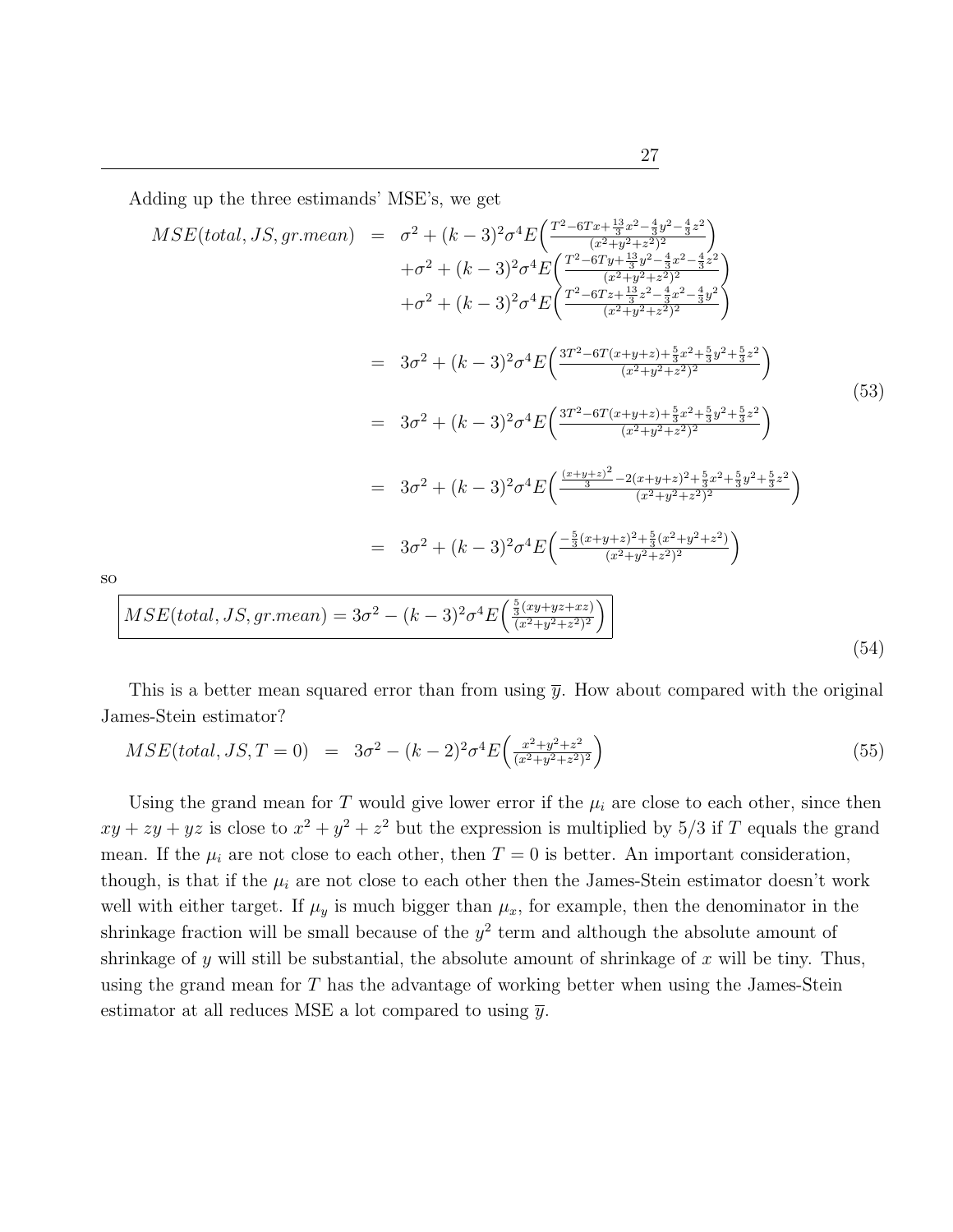Adding up the three estimands' MSE's, we get

so

$$
MSE(total, JS, gr. mean) = \sigma^{2} + (k - 3)^{2} \sigma^{4} E\left(\frac{T^{2} - 6T x + \frac{13}{3}x^{2} - \frac{4}{3}y^{2} - \frac{4}{3}z^{2}}{(x^{2} + y^{2} + z^{2})^{2}}\right) + \sigma^{2} + (k - 3)^{2} \sigma^{4} E\left(\frac{T^{2} - 6T y + \frac{13}{3}y^{2} - \frac{4}{3}x^{2}}{(x^{2} + y^{2} + z^{2})^{2}}\right) + \sigma^{2} + (k - 3)^{2} \sigma^{4} E\left(\frac{T^{2} - 6T z + \frac{13}{3}z^{2} - \frac{4}{3}x^{2} - \frac{4}{3}y^{2}}{(x^{2} + y^{2} + z^{2})^{2}}\right) = 3\sigma^{2} + (k - 3)^{2} \sigma^{4} E\left(\frac{3T^{2} - 6T(x + y + z) + \frac{5}{3}x^{2} + \frac{5}{3}y^{2} + \frac{5}{3}z^{2}}{(x^{2} + y^{2} + z^{2})^{2}}\right) = 3\sigma^{2} + (k - 3)^{2} \sigma^{4} E\left(\frac{3T^{2} - 6T(x + y + z) + \frac{5}{3}x^{2} + \frac{5}{3}y^{2} + \frac{5}{3}z^{2}}{(x^{2} + y^{2} + z^{2})^{2}}\right) = 3\sigma^{2} + (k - 3)^{2} \sigma^{4} E\left(\frac{\frac{(x + y + z)^{2}}{3} - 2(x + y + z)^{2} + \frac{5}{3}x^{2} + \frac{5}{3}y^{2} + \frac{5}{3}z^{2}}{(x^{2} + y^{2} + z^{2})^{2}}\right) = 3\sigma^{2} + (k - 3)^{2} \sigma^{4} E\left(\frac{-\frac{5}{3}(x + y + z)^{2} + \frac{5}{3}(x^{2} + y^{2} + z^{2})}{(x^{2} + y^{2} + z^{2})^{2}}\right) MSE(total, JS, gr. mean) = 3\sigma^{2} - (k - 3)^{2} \sigma^{4} E\left(\frac{\frac{5}{3}(xy + yz + xz)}{(x^{2} + y^{2} + z
$$

This is a better mean squared error than from using  $\bar{y}$ . How about compared with the original James-Stein estimator?

$$
MSE(total, JS, T = 0) = 3\sigma^2 - (k-2)^2 \sigma^4 E\left(\frac{x^2 + y^2 + z^2}{(x^2 + y^2 + z^2)^2}\right)
$$
\n(55)

Using the grand mean for T would give lower error if the  $\mu_i$  are close to each other, since then  $xy + zy + yz$  is close to  $x^2 + y^2 + z^2$  but the expression is multiplied by 5/3 if T equals the grand mean. If the  $\mu_i$  are not close to each other, then  $T = 0$  is better. An important consideration, though, is that if the  $\mu_i$  are not close to each other then the James-Stein estimator doesn't work well with either target. If  $\mu_y$  is much bigger than  $\mu_x$ , for example, then the denominator in the shrinkage fraction will be small because of the  $y^2$  term and although the absolute amount of shrinkage of y will still be substantial, the absolute amount of shrinkage of x will be tiny. Thus, using the grand mean for  $T$  has the advantage of working better when using the James-Stein estimator at all reduces MSE a lot compared to using  $\bar{y}$ .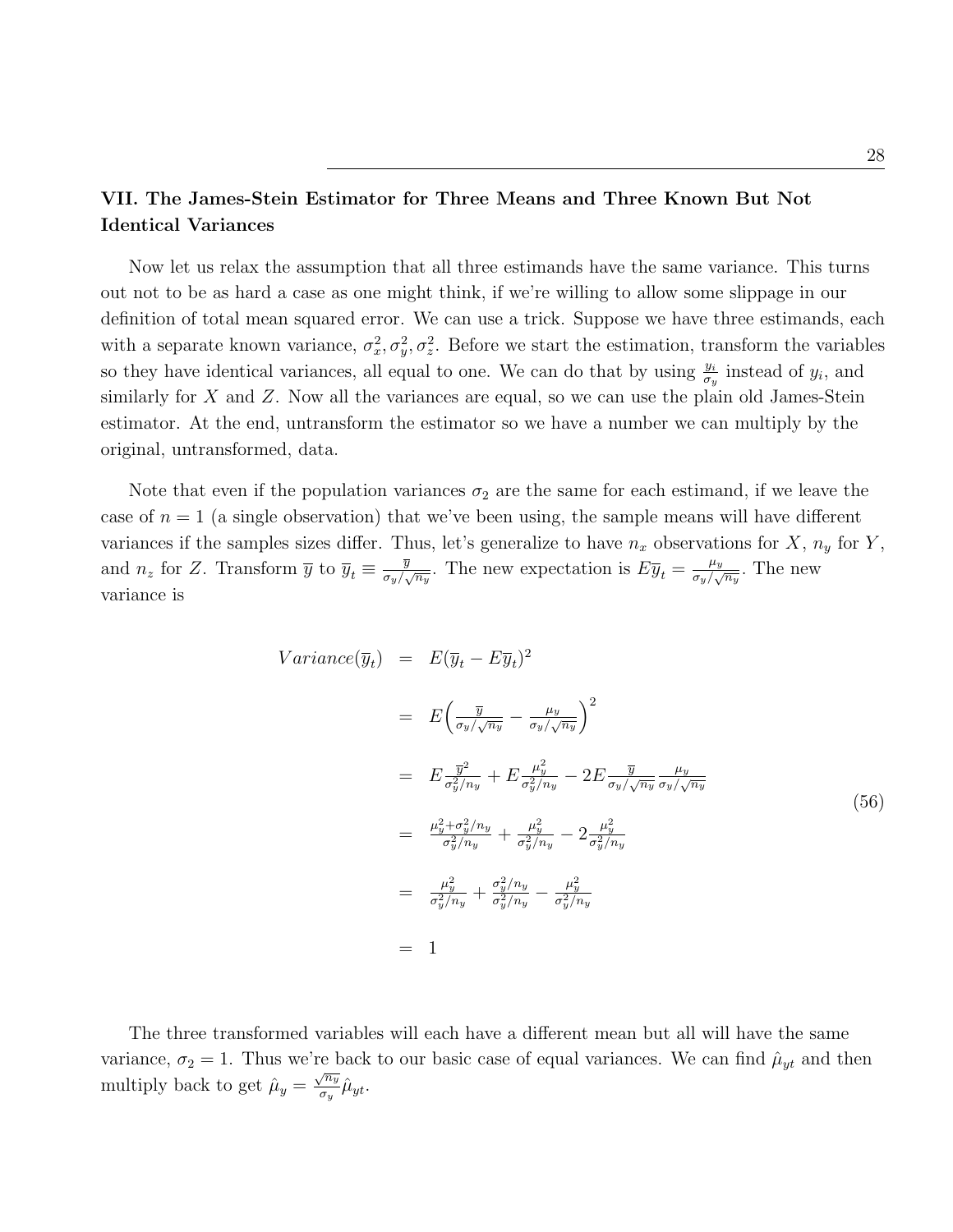# VII. The James-Stein Estimator for Three Means and Three Known But Not Identical Variances

Now let us relax the assumption that all three estimands have the same variance. This turns out not to be as hard a case as one might think, if we're willing to allow some slippage in our definition of total mean squared error. We can use a trick. Suppose we have three estimands, each with a separate known variance,  $\sigma_x^2$ ,  $\sigma_y^2$ ,  $\sigma_z^2$ . Before we start the estimation, transform the variables so they have identical variances, all equal to one. We can do that by using  $\frac{y_i}{\sigma_y}$  instead of  $y_i$ , and similarly for  $X$  and  $Z$ . Now all the variances are equal, so we can use the plain old James-Stein estimator. At the end, untransform the estimator so we have a number we can multiply by the original, untransformed, data.

Note that even if the population variances  $\sigma_2$  are the same for each estimand, if we leave the case of  $n = 1$  (a single observation) that we've been using, the sample means will have different variances if the samples sizes differ. Thus, let's generalize to have  $n_x$  observations for X,  $n_y$  for Y, and  $n_z$  for Z. Transform  $\overline{y}$  to  $\overline{y}_t \equiv \frac{\overline{y}}{\sigma_y/\sqrt{y}}$  $\frac{\overline{y}}{\sigma_y/\sqrt{n_y}}$ . The new expectation is  $E\overline{y}_t = \frac{\mu_y}{\sigma_y/\sqrt{n_y}}$  $\frac{\mu_y}{\sigma_y/\sqrt{n_y}}$ . The new variance is

$$
Variance(\overline{y}_t) = E(\overline{y}_t - E\overline{y}_t)^2
$$
  
\n
$$
= E\left(\frac{\overline{y}}{\sigma_y/\sqrt{n_y}} - \frac{\mu_y}{\sigma_y/\sqrt{n_y}}\right)^2
$$
  
\n
$$
= E\frac{\overline{y}^2}{\sigma_y^2/n_y} + E\frac{\mu_y^2}{\sigma_y^2/n_y} - 2E\frac{\overline{y}}{\sigma_y/\sqrt{n_y}}\frac{\mu_y}{\sigma_y/\sqrt{n_y}}
$$
  
\n
$$
= \frac{\mu_y^2 + \sigma_y^2/n_y}{\sigma_y^2/n_y} + \frac{\mu_y^2}{\sigma_y^2/n_y} - 2\frac{\mu_y^2}{\sigma_y^2/n_y}
$$
  
\n
$$
= \frac{\mu_y^2}{\sigma_y^2/n_y} + \frac{\sigma_y^2/n_y}{\sigma_y^2/n_y} - \frac{\mu_y^2}{\sigma_y^2/n_y}
$$
  
\n
$$
= 1
$$

The three transformed variables will each have a different mean but all will have the same variance,  $\sigma_2 = 1$ . Thus we're back to our basic case of equal variances. We can find  $\hat{\mu}_{yt}$  and then multiply back to get  $\hat{\mu}_y = \frac{\sqrt{n_y}}{\sigma_y}$  $\frac{\sqrt{n_y}}{\sigma_y}\hat{\mu}_{yt}.$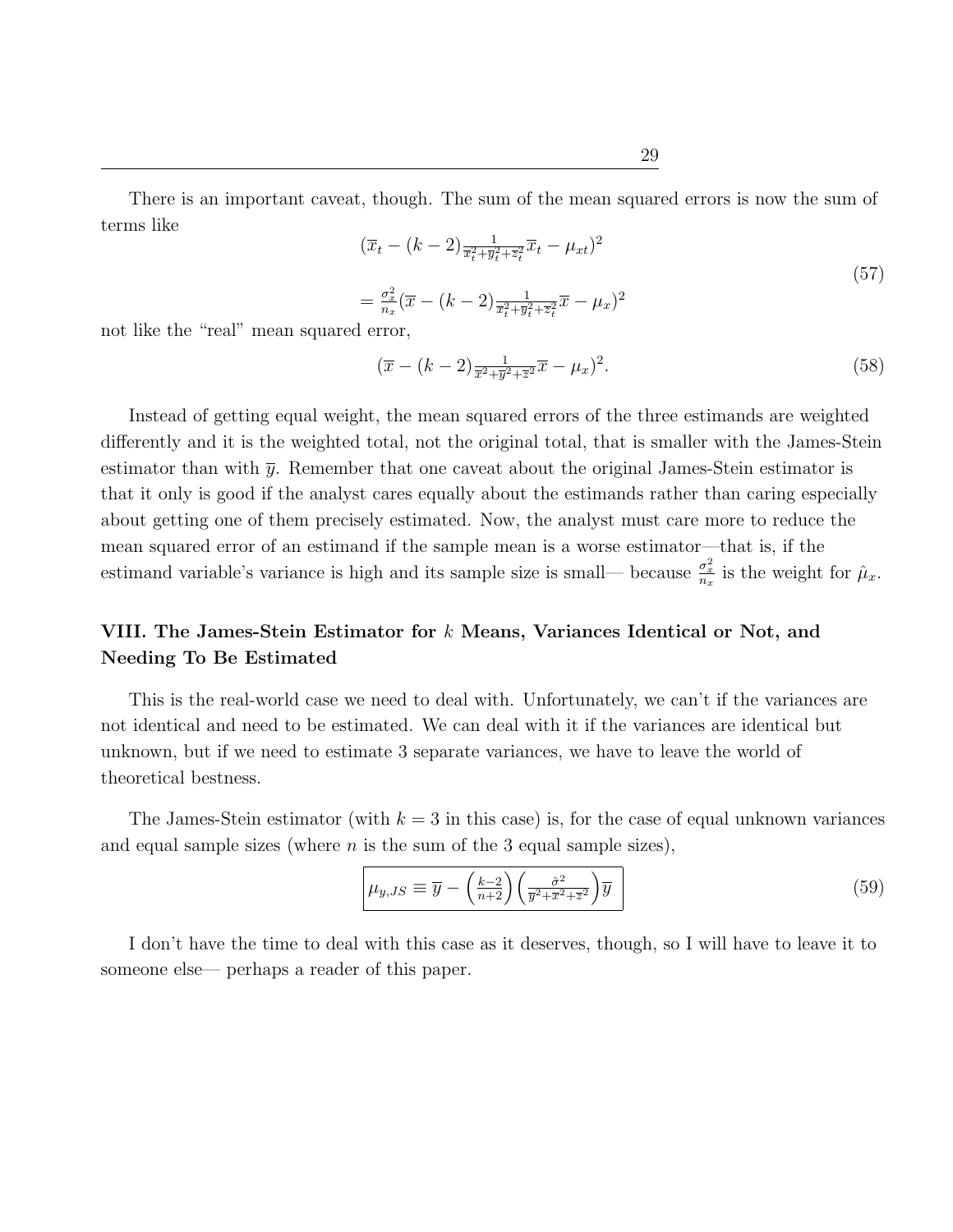There is an important caveat, though. The sum of the mean squared errors is now the sum of terms like

$$
(\overline{x}_t - (k-2)\frac{1}{\overline{x}_t^2 + \overline{y}_t^2 + \overline{z}_t^2}\overline{x}_t - \mu_{xt})^2
$$
  
=  $\frac{\sigma_x^2}{n_x}(\overline{x} - (k-2)\frac{1}{\overline{x}_t^2 + \overline{y}_t^2 + \overline{z}_t^2}\overline{x} - \mu_x)^2$  (57)

not like the "real" mean squared error,

$$
(\overline{x} - (k-2)\frac{1}{\overline{x}^2 + \overline{y}^2 + \overline{z}^2}\overline{x} - \mu_x)^2.
$$
\n
$$
(58)
$$

Instead of getting equal weight, the mean squared errors of the three estimands are weighted differently and it is the weighted total, not the original total, that is smaller with the James-Stein estimator than with  $\bar{y}$ . Remember that one caveat about the original James-Stein estimator is that it only is good if the analyst cares equally about the estimands rather than caring especially about getting one of them precisely estimated. Now, the analyst must care more to reduce the mean squared error of an estimand if the sample mean is a worse estimator—that is, if the estimand variable's variance is high and its sample size is small— because  $\frac{\sigma_x^2}{n_x}$  is the weight for  $\hat{\mu}_x$ .

# VIII. The James-Stein Estimator for  $k$  Means, Variances Identical or Not, and Needing To Be Estimated

This is the real-world case we need to deal with. Unfortunately, we can't if the variances are not identical and need to be estimated. We can deal with it if the variances are identical but unknown, but if we need to estimate 3 separate variances, we have to leave the world of theoretical bestness.

The James-Stein estimator (with  $k = 3$  in this case) is, for the case of equal unknown variances and equal sample sizes (where  $n$  is the sum of the 3 equal sample sizes),

$$
\mu_{y,JS} \equiv \overline{y} - \left(\frac{k-2}{n+2}\right) \left(\frac{\hat{\sigma}^2}{\overline{y}^2 + \overline{x}^2 + \overline{z}^2}\right) \overline{y}
$$
\n(59)

I don't have the time to deal with this case as it deserves, though, so I will have to leave it to someone else— perhaps a reader of this paper.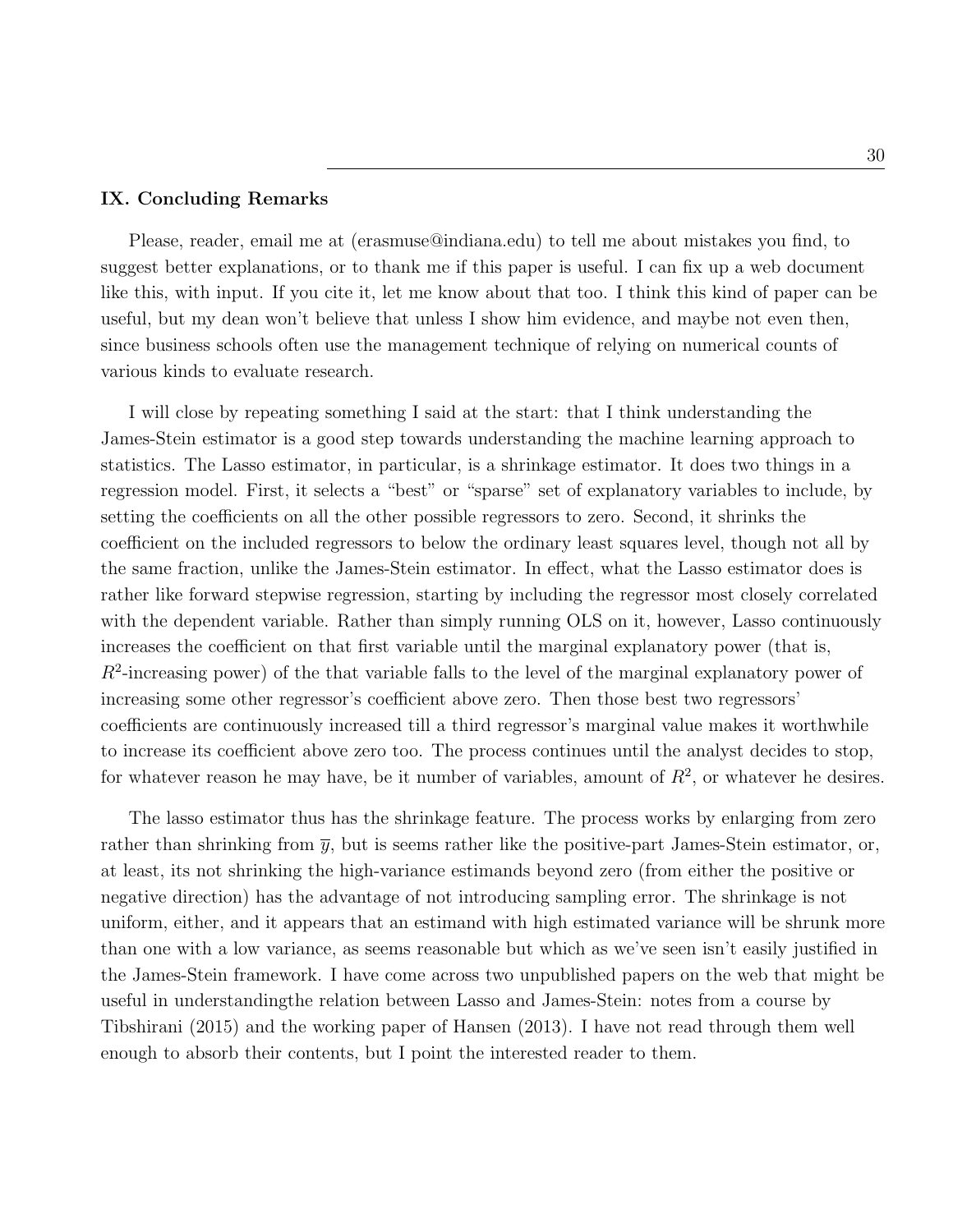### IX. Concluding Remarks

Please, reader, email me at (erasmuse@indiana.edu) to tell me about mistakes you find, to suggest better explanations, or to thank me if this paper is useful. I can fix up a web document like this, with input. If you cite it, let me know about that too. I think this kind of paper can be useful, but my dean won't believe that unless I show him evidence, and maybe not even then, since business schools often use the management technique of relying on numerical counts of various kinds to evaluate research.

I will close by repeating something I said at the start: that I think understanding the James-Stein estimator is a good step towards understanding the machine learning approach to statistics. The Lasso estimator, in particular, is a shrinkage estimator. It does two things in a regression model. First, it selects a "best" or "sparse" set of explanatory variables to include, by setting the coefficients on all the other possible regressors to zero. Second, it shrinks the coefficient on the included regressors to below the ordinary least squares level, though not all by the same fraction, unlike the James-Stein estimator. In effect, what the Lasso estimator does is rather like forward stepwise regression, starting by including the regressor most closely correlated with the dependent variable. Rather than simply running OLS on it, however, Lasso continuously increases the coefficient on that first variable until the marginal explanatory power (that is,  $R<sup>2</sup>$ -increasing power) of the that variable falls to the level of the marginal explanatory power of increasing some other regressor's coefficient above zero. Then those best two regressors' coefficients are continuously increased till a third regressor's marginal value makes it worthwhile to increase its coefficient above zero too. The process continues until the analyst decides to stop, for whatever reason he may have, be it number of variables, amount of  $R^2$ , or whatever he desires.

The lasso estimator thus has the shrinkage feature. The process works by enlarging from zero rather than shrinking from  $\bar{y}$ , but is seems rather like the positive-part James-Stein estimator, or, at least, its not shrinking the high-variance estimands beyond zero (from either the positive or negative direction) has the advantage of not introducing sampling error. The shrinkage is not uniform, either, and it appears that an estimand with high estimated variance will be shrunk more than one with a low variance, as seems reasonable but which as we've seen isn't easily justified in the James-Stein framework. I have come across two unpublished papers on the web that might be useful in understandingthe relation between Lasso and James-Stein: notes from a course by Tibshirani (2015) and the working paper of Hansen (2013). I have not read through them well enough to absorb their contents, but I point the interested reader to them.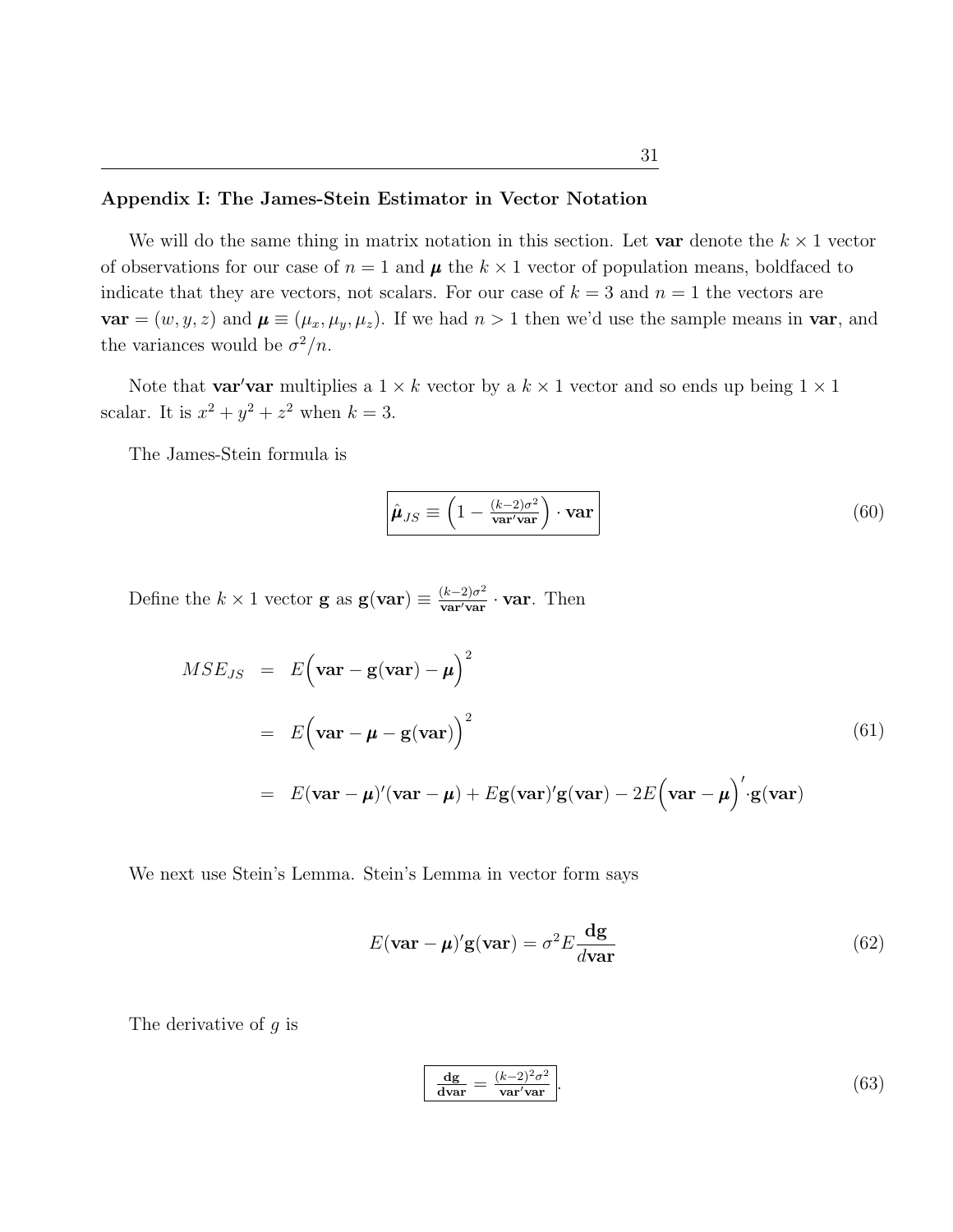We will do the same thing in matrix notation in this section. Let var denote the  $k \times 1$  vector of observations for our case of  $n = 1$  and  $\mu$  the  $k \times 1$  vector of population means, boldfaced to indicate that they are vectors, not scalars. For our case of  $k = 3$  and  $n = 1$  the vectors are  $var = (w, y, z)$  and  $\mu \equiv (\mu_x, \mu_y, \mu_z)$ . If we had  $n > 1$  then we'd use the sample means in var, and the variances would be  $\sigma^2/n$ .

Note that **var'var** multiplies a  $1 \times k$  vector by a  $k \times 1$  vector and so ends up being  $1 \times 1$ scalar. It is  $x^2 + y^2 + z^2$  when  $k = 3$ .

The James-Stein formula is

$$
\hat{\mu}_{JS} \equiv \left(1 - \frac{(k-2)\sigma^2}{\text{var}'\text{var}}\right) \cdot \text{var}\tag{60}
$$

Define the  $k \times 1$  vector **g** as  $\mathbf{g}(\mathbf{var}) \equiv \frac{(k-2)\sigma^2}{\mathbf{var}/\mathbf{var}}$  $\frac{(k-2)\sigma^2}{\text{var}'\text{var}} \cdot \text{var}$ . Then

$$
MSE_{JS} = E(\mathbf{var} - \mathbf{g}(\mathbf{var}) - \boldsymbol{\mu})^2
$$
  
=  $E(\mathbf{var} - \boldsymbol{\mu} - \mathbf{g}(\mathbf{var}))^2$  (61)  
=  $E(\mathbf{var} - \boldsymbol{\mu})'(\mathbf{var} - \boldsymbol{\mu}) + E\mathbf{g}(\mathbf{var})'\mathbf{g}(\mathbf{var}) - 2E(\mathbf{var} - \boldsymbol{\mu})'\mathbf{g}(\mathbf{var})$ 

We next use Stein's Lemma. Stein's Lemma in vector form says

$$
E(\mathbf{var} - \boldsymbol{\mu})' \mathbf{g}(\mathbf{var}) = \sigma^2 E \frac{\mathbf{dg}}{d\mathbf{var}} \tag{62}
$$

The derivative of  $q$  is

$$
\frac{dg}{dvar} = \frac{(k-2)^2 \sigma^2}{var' var}.
$$
\n(63)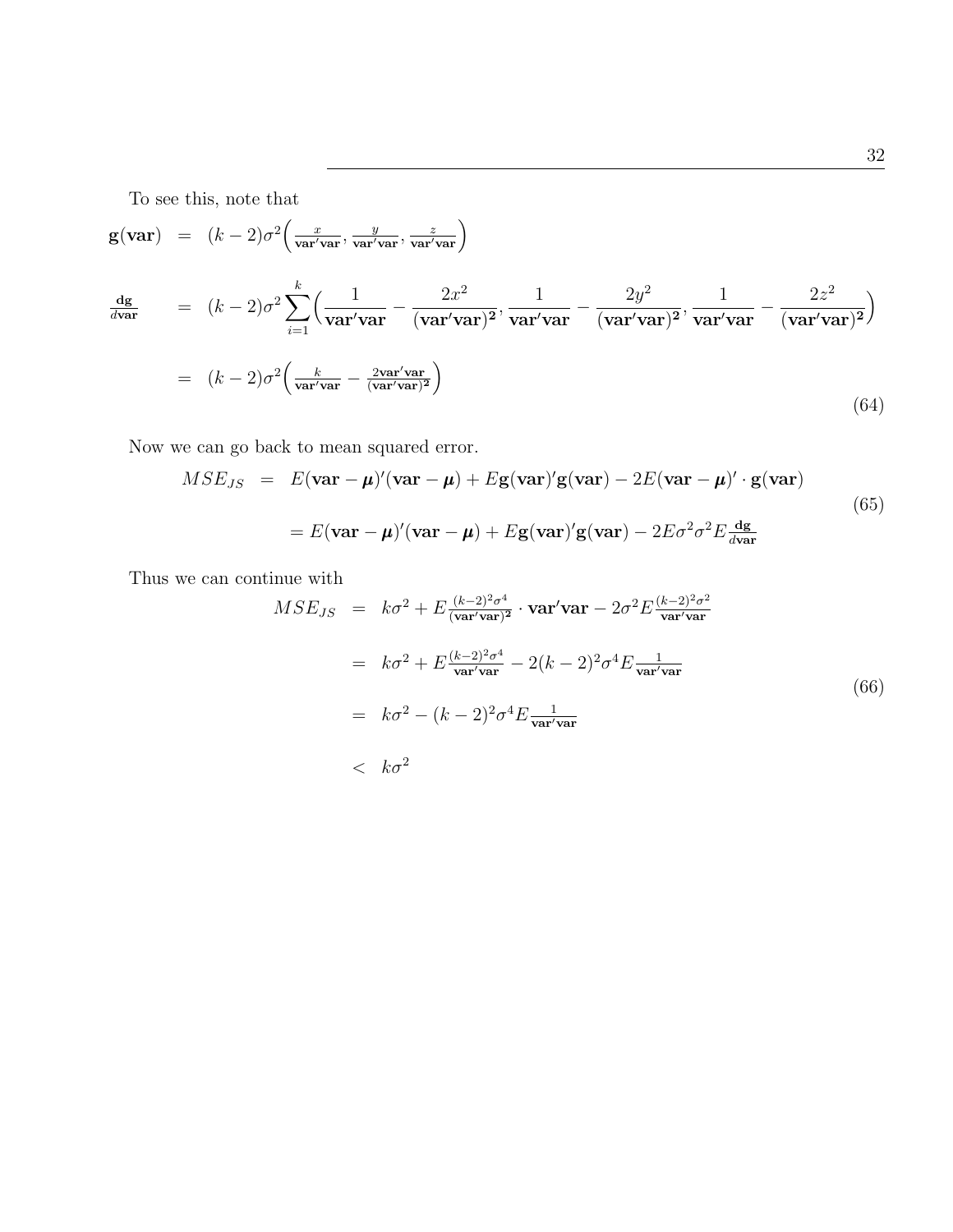To see this, note that

$$
\mathbf{g}(\mathbf{var}) = (k-2)\sigma^2 \left(\frac{x}{\mathbf{var}'\mathbf{var}^{\prime}} , \frac{y}{\mathbf{var}'\mathbf{var}^{\prime}} , \frac{z}{\mathbf{var}'\mathbf{var}^{\prime}}\right)
$$
\n
$$
\frac{d\mathbf{g}}{d\mathbf{var}} = (k-2)\sigma^2 \sum_{i=1}^k \left(\frac{1}{\mathbf{var}'\mathbf{var}^{\prime}} - \frac{2x^2}{(\mathbf{var}'\mathbf{var}^{\prime})^2} , \frac{1}{\mathbf{var}'\mathbf{var}^{\prime}} - \frac{2y^2}{(\mathbf{var}'\mathbf{var})^2} , \frac{1}{\mathbf{var}'\mathbf{var}^{\prime}} - \frac{2z^2}{(\mathbf{var}'\mathbf{var}^{\prime})^2}\right)
$$
\n
$$
= (k-2)\sigma^2 \left(\frac{k}{\mathbf{var}'\mathbf{var}^{\prime}} - \frac{2\mathbf{var}'\mathbf{var}^{\prime}}{(\mathbf{var}'\mathbf{var})^2}\right)
$$
\n(64)

Now we can go back to mean squared error.

$$
MSE_{JS} = E(\mathbf{var} - \boldsymbol{\mu})'(\mathbf{var} - \boldsymbol{\mu}) + E\mathbf{g}(\mathbf{var})'\mathbf{g}(\mathbf{var}) - 2E(\mathbf{var} - \boldsymbol{\mu})' \cdot \mathbf{g}(\mathbf{var})
$$
  
=  $E(\mathbf{var} - \boldsymbol{\mu})'(\mathbf{var} - \boldsymbol{\mu}) + E\mathbf{g}(\mathbf{var})'\mathbf{g}(\mathbf{var}) - 2E\sigma^2\sigma^2 E \frac{d\mathbf{g}}{d\mathbf{var}}$  (65)

Thus we can continue with

$$
MSE_{JS} = k\sigma^2 + E \frac{(k-2)^2 \sigma^4}{(\text{var}/\text{var})^2} \cdot \text{var}' \text{var}' - 2\sigma^2 E \frac{(k-2)^2 \sigma^2}{\text{var}' \text{var}' \text{var}'}
$$
  
=  $k\sigma^2 + E \frac{(k-2)^2 \sigma^4}{\text{var}' \text{var}^2} - 2(k-2)^2 \sigma^4 E \frac{1}{\text{var}' \text{var}' \text{var}'}$   
=  $k\sigma^2 - (k-2)^2 \sigma^4 E \frac{1}{\text{var}' \text{var}' \text{var}'}$  (66)  
 $< k\sigma^2$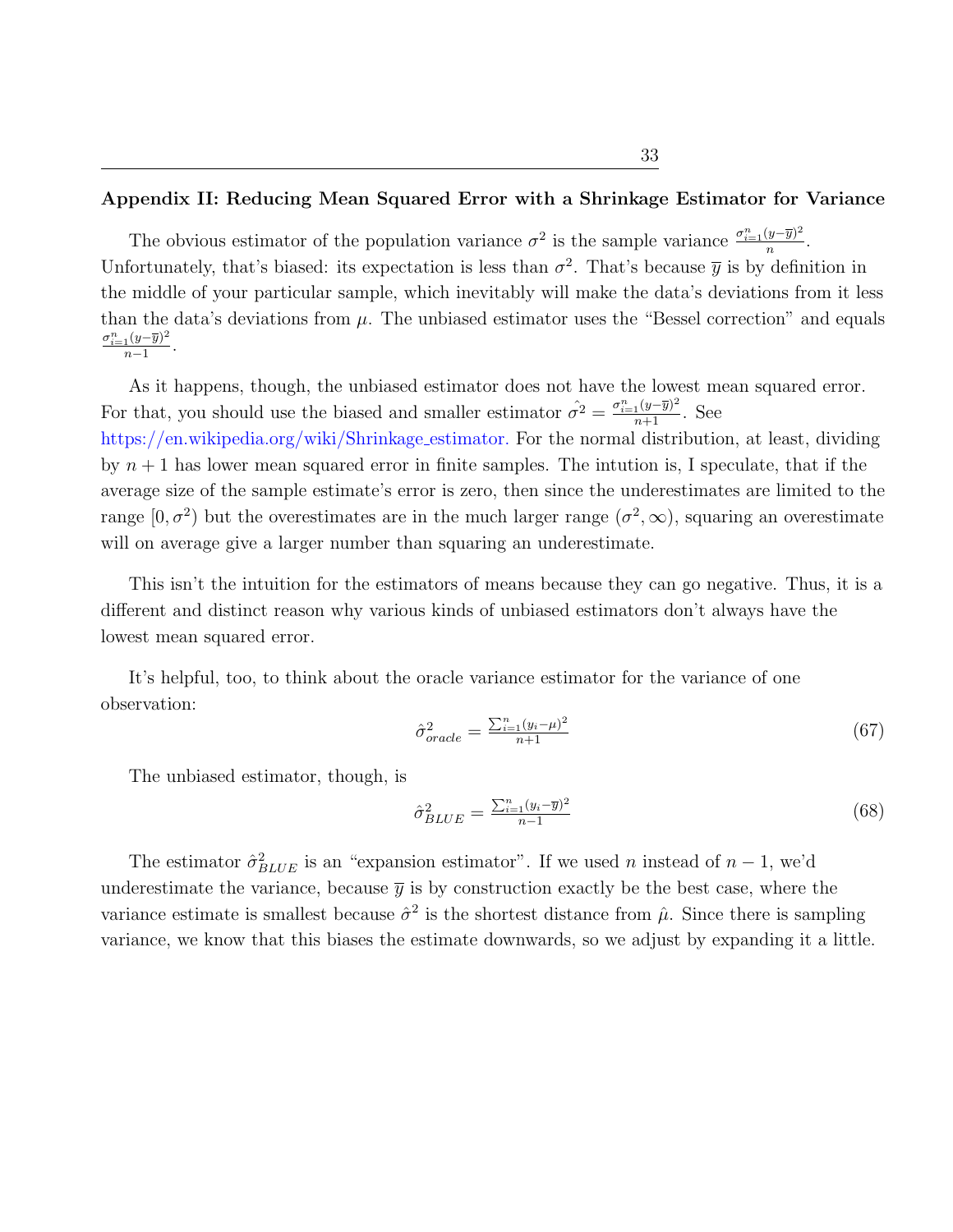## Appendix II: Reducing Mean Squared Error with a Shrinkage Estimator for Variance

The obvious estimator of the population variance  $\sigma^2$  is the sample variance  $\frac{\sigma_{i=1}^n(y-\bar{y})^2}{n}$  $\frac{(y-y)^{-}}{n}$ . Unfortunately, that's biased: its expectation is less than  $\sigma^2$ . That's because  $\bar{y}$  is by definition in the middle of your particular sample, which inevitably will make the data's deviations from it less than the data's deviations from  $\mu$ . The unbiased estimator uses the "Bessel correction" and equals  $\sigma_{i=1}^n(y-\overline{y})^2$  $\frac{1(y-y)^{-1}}{n-1}$ .

As it happens, though, the unbiased estimator does not have the lowest mean squared error. For that, you should use the biased and smaller estimator  $\hat{\sigma}^2 = \frac{\sigma_{i=1}^n (y-\bar{y})^2}{n+1}$ . See

[https://en.wikipedia.org/wiki/Shrinkage](https://en.wikipedia.org/wiki/Shrinkage_estimator.) estimator. For the normal distribution, at least, dividing by  $n + 1$  has lower mean squared error in finite samples. The intution is, I speculate, that if the average size of the sample estimate's error is zero, then since the underestimates are limited to the range  $[0, \sigma^2)$  but the overestimates are in the much larger range  $(\sigma^2, \infty)$ , squaring an overestimate will on average give a larger number than squaring an underestimate.

This isn't the intuition for the estimators of means because they can go negative. Thus, it is a different and distinct reason why various kinds of unbiased estimators don't always have the lowest mean squared error.

It's helpful, too, to think about the oracle variance estimator for the variance of one observation:

$$
\hat{\sigma}_{oracle}^2 = \frac{\sum_{i=1}^n (y_i - \mu)^2}{n+1} \tag{67}
$$

The unbiased estimator, though, is

$$
\hat{\sigma}_{BLUE}^2 = \frac{\sum_{i=1}^n (y_i - \overline{y})^2}{n-1} \tag{68}
$$

The estimator  $\hat{\sigma}_{BLUE}^2$  is an "expansion estimator". If we used n instead of  $n-1$ , we'd underestimate the variance, because  $\bar{y}$  is by construction exactly be the best case, where the variance estimate is smallest because  $\hat{\sigma}^2$  is the shortest distance from  $\hat{\mu}$ . Since there is sampling variance, we know that this biases the estimate downwards, so we adjust by expanding it a little.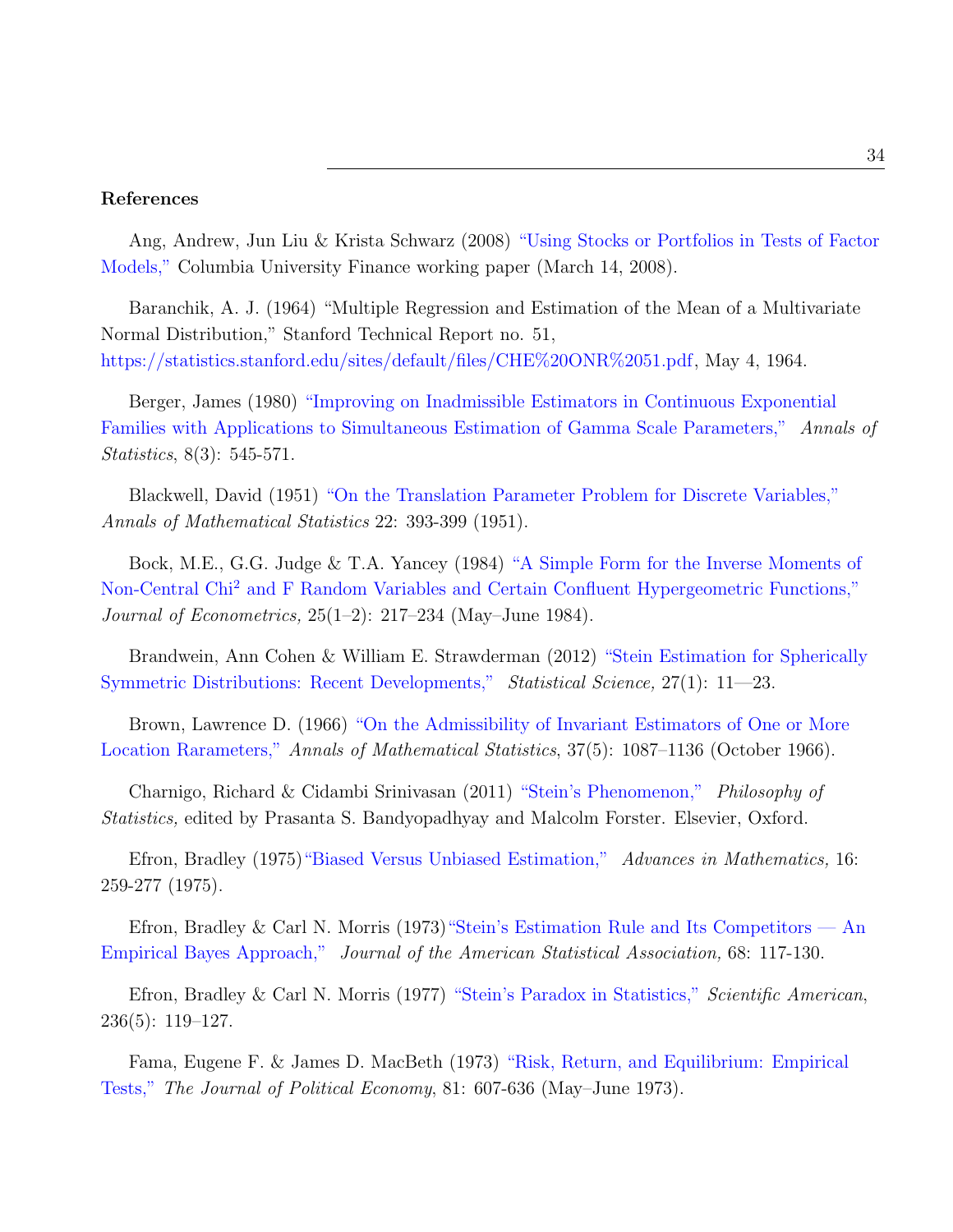## References

Ang, Andrew, Jun Liu & Krista Schwarz (2008) ["Using Stocks or Portfolios in Tests of Factor]( https://doi.org/10.1017/S0022109019000255 ) [Models,"]( https://doi.org/10.1017/S0022109019000255 ) Columbia University Finance working paper (March 14, 2008).

Baranchik, A. J. (1964) "Multiple Regression and Estimation of the Mean of a Multivariate Normal Distribution," Stanford Technical Report no. 51, [https://statistics.stanford.edu/sites/default/files/CHE%20ONR%2051.pdf,](https://statistics.stanford.edu/sites/default/files/CHE%20ONR%2051.pdf) May 4, 1964.

Berger, James (1980) ["Improving on Inadmissible Estimators in Continuous Exponential](http://projecteuclid.org/euclid.aos/1176345008) [Families with Applications to Simultaneous Estimation of Gamma Scale Parameters,"](http://projecteuclid.org/euclid.aos/1176345008) Annals of Statistics, 8(3): 545-571.

Blackwell, David (1951) ["On the Translation Parameter Problem for Discrete Variables,"](https://doi.org/10.1214/aoms/1177729585 ) Annals of Mathematical Statistics 22: 393-399 (1951).

Bock, M.E., G.G. Judge & T.A. Yancey (1984) ["A Simple Form for the Inverse Moments of](https://www.sciencedirect.com/science/article/abs/pii/0304407684900484 ) Non-Central Chi<sup>2</sup> [and F Random Variables and Certain Confluent Hypergeometric Functions,"](https://www.sciencedirect.com/science/article/abs/pii/0304407684900484 ) Journal of Econometrics, 25(1–2): 217–234 (May–June 1984).

Brandwein, Ann Cohen & William E. Strawderman (2012) ["Stein Estimation for Spherically](https://www.jstor.org/stable/23208820 ) [Symmetric Distributions: Recent Developments,"](https://www.jstor.org/stable/23208820 ) Statistical Science, 27(1): 11—23.

Brown, Lawrence D. (1966) ["On the Admissibility of Invariant Estimators of One or More](https://www.jstor.org/stable/2239069 ) [Location Rarameters,"](https://www.jstor.org/stable/2239069 ) Annals of Mathematical Statistics, 37(5): 1087–1136 (October 1966).

Charnigo, Richard & Cidambi Srinivasan (2011) ["Stein's Phenomenon,"](https://doi.org/10.1016/B978-0-444-51862-0.50033-2 ) Philosophy of Statistics, edited by Prasanta S. Bandyopadhyay and Malcolm Forster. Elsevier, Oxford.

Efron, Bradley (1975[\)"Biased Versus Unbiased Estimation,"](http://www.sciencedirect.com/science/article/pii/0001870875901140) Advances in Mathematics, 16: 259-277 (1975).

Efron, Bradley & Carl N. Morris (1973) "Stein's Estimation Rule and Its Competitors — An [Empirical Bayes Approach,"]( https://doi.org/10.2307/2284155 ) Journal of the American Statistical Association, 68: 117-130.

Efron, Bradley & Carl N. Morris (1977) ["Stein's Paradox in Statistics,"](http://wwwstat. stanford.edu/~ckirby/brad/other/Article1977.pdf) Scientific American, 236(5): 119–127.

Fama, Eugene F. & James D. MacBeth (1973) ["Risk, Return, and Equilibrium: Empirical](https://finpko.ku.edu/myssi/FIN938/Fama%20&%20Macbeth.JPE_1973.pdf ) [Tests,"](https://finpko.ku.edu/myssi/FIN938/Fama%20&%20Macbeth.JPE_1973.pdf ) The Journal of Political Economy, 81: 607-636 (May–June 1973).